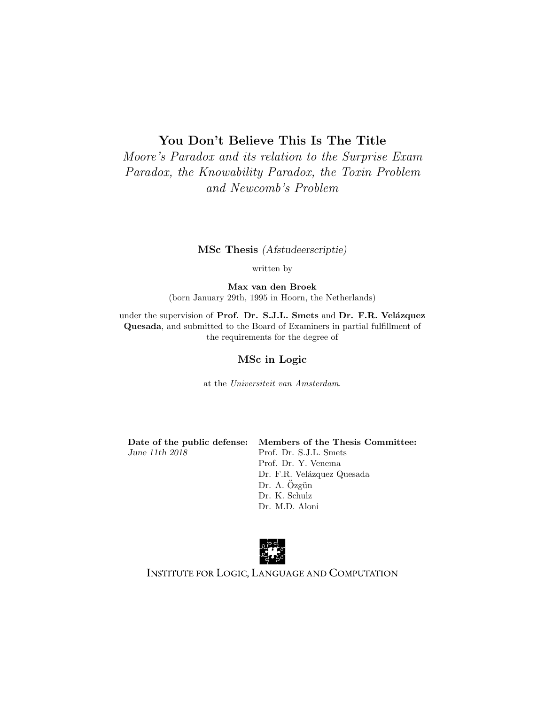## You Don't Believe This Is The Title

Moore's Paradox and its relation to the Surprise Exam Paradox, the Knowability Paradox, the Toxin Problem and Newcomb's Problem

#### MSc Thesis (Afstudeerscriptie)

written by

Max van den Broek (born January 29th, 1995 in Hoorn, the Netherlands)

under the supervision of Prof. Dr. S.J.L. Smets and Dr. F.R. Velázquez Quesada, and submitted to the Board of Examiners in partial fulfillment of the requirements for the degree of

#### MSc in Logic

at the Universiteit van Amsterdam.

June 11th 2018 Prof. Dr. S.J.L. Smets

Date of the public defense: Members of the Thesis Committee: Prof. Dr. Y. Venema Dr. F.R. Velázquez Quesada Dr. A. Özgün Dr. K. Schulz Dr. M.D. Aloni



INSTITUTE FOR LOGIC, LANGUAGE AND COMPUTATION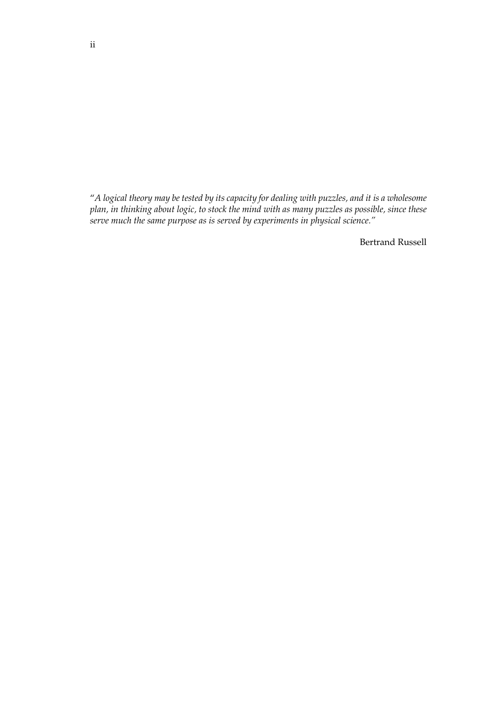"*A logical theory may be tested by its capacity for dealing with puzzles, and it is a wholesome plan, in thinking about logic, to stock the mind with as many puzzles as possible, since these serve much the same purpose as is served by experiments in physical science."*

Bertrand Russell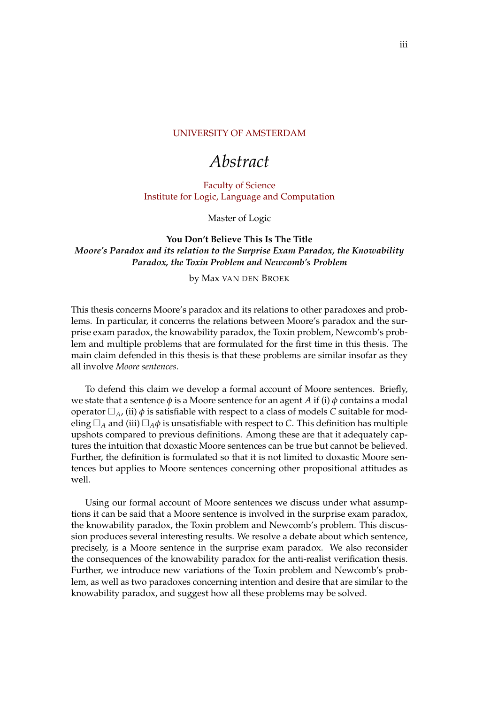#### [UNIVERSITY OF AMSTERDAM](HTTP://WWW.UNIVERSITY.COM)

# *Abstract*

[Faculty of Science](http://faculty.university.com) [Institute for Logic, Language and Computation](http://department.university.com)

Master of Logic

**You Don't Believe This Is The Title** *Moore's Paradox and its relation to the Surprise Exam Paradox, the Knowability Paradox, the Toxin Problem and Newcomb's Problem*

by Max VAN DEN BROEK

This thesis concerns Moore's paradox and its relations to other paradoxes and problems. In particular, it concerns the relations between Moore's paradox and the surprise exam paradox, the knowability paradox, the Toxin problem, Newcomb's problem and multiple problems that are formulated for the first time in this thesis. The main claim defended in this thesis is that these problems are similar insofar as they all involve *Moore sentences*.

To defend this claim we develop a formal account of Moore sentences. Briefly, we state that a sentence  $\phi$  is a Moore sentence for an agent *A* if (i)  $\phi$  contains a modal operator  $\Box_A$ , (ii)  $\phi$  is satisfiable with respect to a class of models *C* suitable for modeling  $\Box_A$  and (iii)  $\Box_A \phi$  is unsatisfiable with respect to *C*. This definition has multiple upshots compared to previous definitions. Among these are that it adequately captures the intuition that doxastic Moore sentences can be true but cannot be believed. Further, the definition is formulated so that it is not limited to doxastic Moore sentences but applies to Moore sentences concerning other propositional attitudes as well.

Using our formal account of Moore sentences we discuss under what assumptions it can be said that a Moore sentence is involved in the surprise exam paradox, the knowability paradox, the Toxin problem and Newcomb's problem. This discussion produces several interesting results. We resolve a debate about which sentence, precisely, is a Moore sentence in the surprise exam paradox. We also reconsider the consequences of the knowability paradox for the anti-realist verification thesis. Further, we introduce new variations of the Toxin problem and Newcomb's problem, as well as two paradoxes concerning intention and desire that are similar to the knowability paradox, and suggest how all these problems may be solved.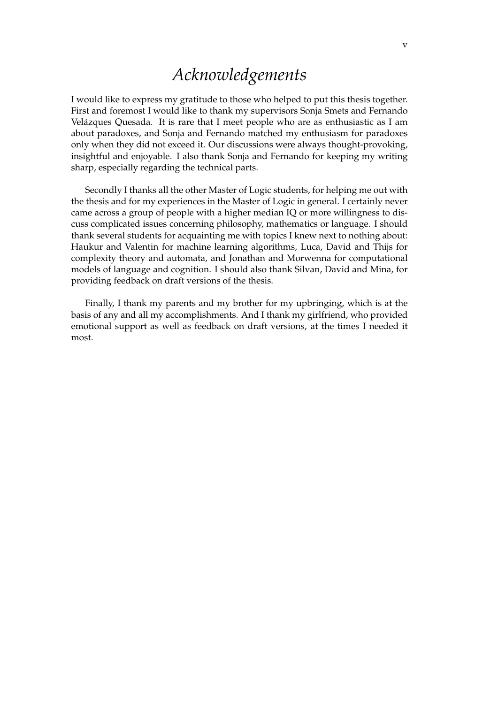# *Acknowledgements*

I would like to express my gratitude to those who helped to put this thesis together. First and foremost I would like to thank my supervisors Sonja Smets and Fernando Velázques Quesada. It is rare that I meet people who are as enthusiastic as I am about paradoxes, and Sonja and Fernando matched my enthusiasm for paradoxes only when they did not exceed it. Our discussions were always thought-provoking, insightful and enjoyable. I also thank Sonja and Fernando for keeping my writing sharp, especially regarding the technical parts.

Secondly I thanks all the other Master of Logic students, for helping me out with the thesis and for my experiences in the Master of Logic in general. I certainly never came across a group of people with a higher median IQ or more willingness to discuss complicated issues concerning philosophy, mathematics or language. I should thank several students for acquainting me with topics I knew next to nothing about: Haukur and Valentin for machine learning algorithms, Luca, David and Thijs for complexity theory and automata, and Jonathan and Morwenna for computational models of language and cognition. I should also thank Silvan, David and Mina, for providing feedback on draft versions of the thesis.

Finally, I thank my parents and my brother for my upbringing, which is at the basis of any and all my accomplishments. And I thank my girlfriend, who provided emotional support as well as feedback on draft versions, at the times I needed it most.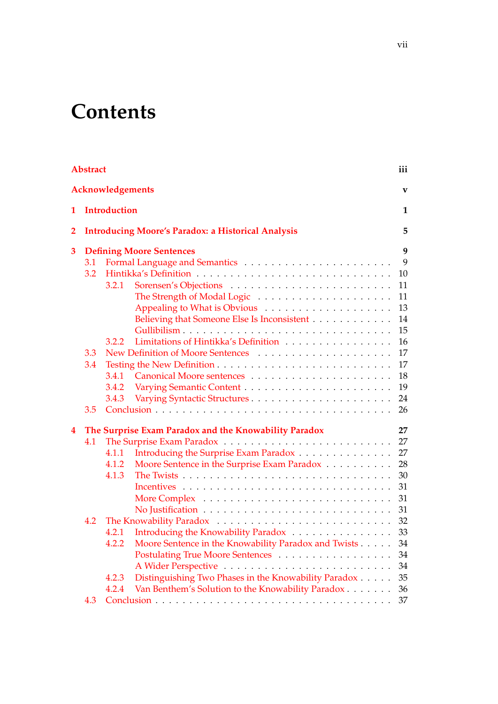# **Contents**

| <b>Abstract</b>  |                                                           |                                                               |    |  |  |  |  |
|------------------|-----------------------------------------------------------|---------------------------------------------------------------|----|--|--|--|--|
| Acknowledgements |                                                           |                                                               |    |  |  |  |  |
| 1                | <b>Introduction</b>                                       |                                                               |    |  |  |  |  |
| 2                | <b>Introducing Moore's Paradox: a Historical Analysis</b> |                                                               |    |  |  |  |  |
| 3                |                                                           | <b>Defining Moore Sentences</b>                               | 9  |  |  |  |  |
|                  | 3.1                                                       |                                                               | 9  |  |  |  |  |
|                  | 3.2                                                       |                                                               | 10 |  |  |  |  |
|                  |                                                           | 3.2.1                                                         | 11 |  |  |  |  |
|                  |                                                           |                                                               | 11 |  |  |  |  |
|                  |                                                           |                                                               | 13 |  |  |  |  |
|                  |                                                           | Believing that Someone Else Is Inconsistent                   | 14 |  |  |  |  |
|                  |                                                           | Gullibilism                                                   | 15 |  |  |  |  |
|                  |                                                           | Limitations of Hintikka's Definition<br>3.2.2                 | 16 |  |  |  |  |
|                  | 3.3                                                       |                                                               | 17 |  |  |  |  |
|                  | 3.4                                                       |                                                               | 17 |  |  |  |  |
|                  |                                                           | 3.4.1                                                         | 18 |  |  |  |  |
|                  |                                                           | 3.4.2                                                         | 19 |  |  |  |  |
|                  |                                                           | 3.4.3                                                         | 24 |  |  |  |  |
|                  | 3.5                                                       |                                                               | 26 |  |  |  |  |
| $\boldsymbol{4}$ | The Surprise Exam Paradox and the Knowability Paradox     |                                                               |    |  |  |  |  |
|                  | 4.1                                                       |                                                               | 27 |  |  |  |  |
|                  |                                                           | Introducing the Surprise Exam Paradox<br>4.1.1                | 27 |  |  |  |  |
|                  |                                                           | Moore Sentence in the Surprise Exam Paradox<br>4.1.2          | 28 |  |  |  |  |
|                  |                                                           | 4.1.3                                                         | 30 |  |  |  |  |
|                  |                                                           |                                                               | 31 |  |  |  |  |
|                  |                                                           |                                                               | 31 |  |  |  |  |
|                  |                                                           |                                                               | 31 |  |  |  |  |
|                  | 4.2                                                       |                                                               | 32 |  |  |  |  |
|                  |                                                           | Introducing the Knowability Paradox<br>4.2.1                  | 33 |  |  |  |  |
|                  |                                                           | Moore Sentence in the Knowability Paradox and Twists<br>4.2.2 | 34 |  |  |  |  |
|                  |                                                           | Postulating True Moore Sentences                              | 34 |  |  |  |  |
|                  |                                                           |                                                               | 34 |  |  |  |  |
|                  |                                                           | Distinguishing Two Phases in the Knowability Paradox<br>4.2.3 | 35 |  |  |  |  |
|                  |                                                           | Van Benthem's Solution to the Knowability Paradox<br>4.2.4    | 36 |  |  |  |  |
|                  | 4.3                                                       |                                                               | 37 |  |  |  |  |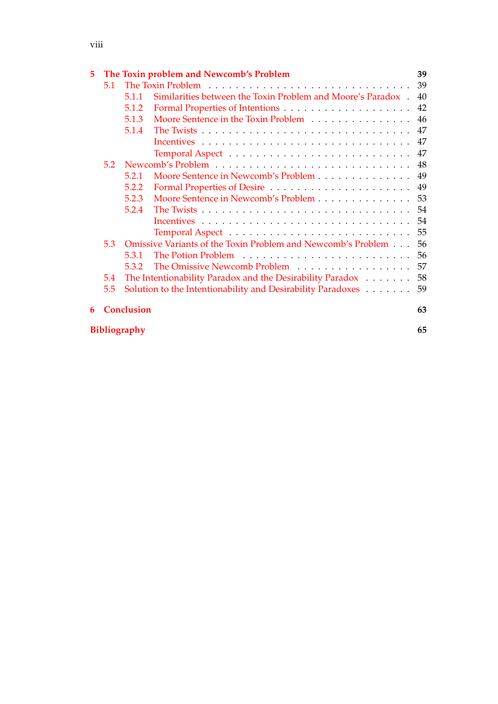## viii

| 5 |                                                                  |                     | The Toxin problem and Newcomb's Problem                      | 39 |  |  |
|---|------------------------------------------------------------------|---------------------|--------------------------------------------------------------|----|--|--|
|   | 5.1                                                              |                     |                                                              | 39 |  |  |
|   |                                                                  | 5.1.1               | Similarities between the Toxin Problem and Moore's Paradox.  | 40 |  |  |
|   |                                                                  | 5.1.2               |                                                              | 42 |  |  |
|   |                                                                  | 5.1.3               | Moore Sentence in the Toxin Problem                          | 46 |  |  |
|   |                                                                  | 5.1.4               |                                                              | 47 |  |  |
|   |                                                                  |                     |                                                              | 47 |  |  |
|   |                                                                  |                     |                                                              | 47 |  |  |
|   | 5.2                                                              |                     |                                                              | 48 |  |  |
|   |                                                                  | 5.2.1               | Moore Sentence in Newcomb's Problem                          | 49 |  |  |
|   |                                                                  | 5.2.2               |                                                              | 49 |  |  |
|   |                                                                  | 5.2.3               | Moore Sentence in Newcomb's Problem                          | 53 |  |  |
|   |                                                                  | 5.2.4               |                                                              | 54 |  |  |
|   |                                                                  |                     |                                                              | 54 |  |  |
|   |                                                                  |                     |                                                              | 55 |  |  |
|   | 5.3                                                              |                     | Omissive Variants of the Toxin Problem and Newcomb's Problem | 56 |  |  |
|   |                                                                  | 5.3.1               |                                                              | 56 |  |  |
|   |                                                                  | 5.3.2               | The Omissive Newcomb Problem                                 | 57 |  |  |
|   | The Intentionability Paradox and the Desirability Paradox<br>5.4 |                     |                                                              |    |  |  |
|   | 5.5                                                              |                     | Solution to the Intentionability and Desirability Paradoxes  | 59 |  |  |
| 6 |                                                                  | <b>Conclusion</b>   |                                                              |    |  |  |
|   |                                                                  | <b>Bibliography</b> |                                                              | 65 |  |  |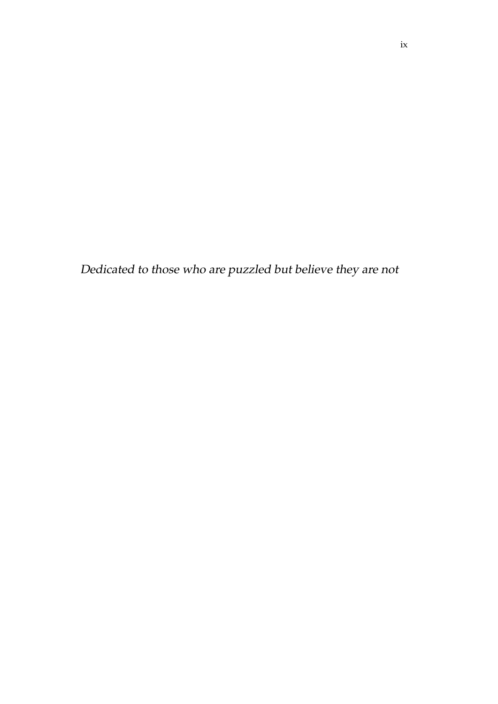Dedicated to those who are puzzled but believe they are not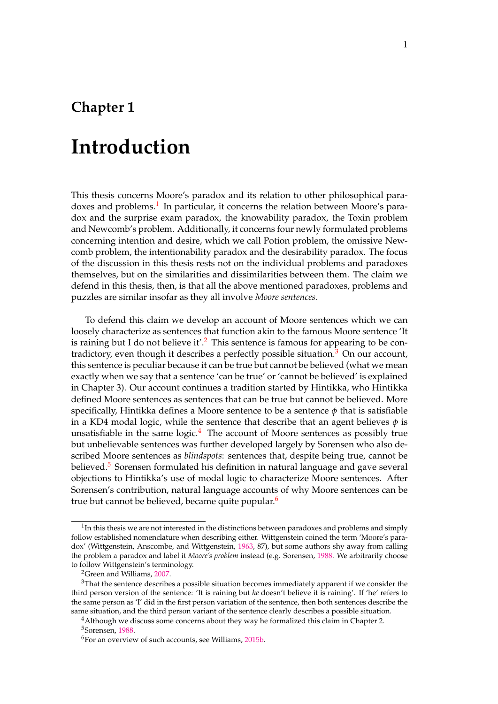# **Chapter 1**

# **Introduction**

This thesis concerns Moore's paradox and its relation to other philosophical para-doxes and problems.<sup>[1](#page-11-0)</sup> In particular, it concerns the relation between Moore's paradox and the surprise exam paradox, the knowability paradox, the Toxin problem and Newcomb's problem. Additionally, it concerns four newly formulated problems concerning intention and desire, which we call Potion problem, the omissive Newcomb problem, the intentionability paradox and the desirability paradox. The focus of the discussion in this thesis rests not on the individual problems and paradoxes themselves, but on the similarities and dissimilarities between them. The claim we defend in this thesis, then, is that all the above mentioned paradoxes, problems and puzzles are similar insofar as they all involve *Moore sentences*.

To defend this claim we develop an account of Moore sentences which we can loosely characterize as sentences that function akin to the famous Moore sentence 'It is raining but I do not believe it'.<sup>[2](#page-11-0)</sup> This sentence is famous for appearing to be con-tradictory, even though it describes a perfectly possible situation.<sup>[3](#page-11-0)</sup> On our account, this sentence is peculiar because it can be true but cannot be believed (what we mean exactly when we say that a sentence 'can be true' or 'cannot be believed' is explained in Chapter 3). Our account continues a tradition started by Hintikka, who Hintikka defined Moore sentences as sentences that can be true but cannot be believed. More specifically, Hintikka defines a Moore sentence to be a sentence *φ* that is satisfiable in a KD4 modal logic, while the sentence that describe that an agent believes  $\phi$  is unsatisfiable in the same logic. $4$  The account of Moore sentences as possibly true but unbelievable sentences was further developed largely by Sorensen who also described Moore sentences as *blindspots*: sentences that, despite being true, cannot be believed.<sup>[5](#page-11-0)</sup> Sorensen formulated his definition in natural language and gave several objections to Hintikka's use of modal logic to characterize Moore sentences. After Sorensen's contribution, natural language accounts of why Moore sentences can be true but cannot be believed, became quite popular.<sup>[6](#page-11-0)</sup>

 $1$ In this thesis we are not interested in the distinctions between paradoxes and problems and simply follow established nomenclature when describing either. Wittgenstein coined the term 'Moore's paradox' (Wittgenstein, Anscombe, and Wittgenstein, 1963, 87), but some authors shy away from calling the problem a paradox and label it *Moore's problem* instead (e.g. Sorensen, 1988. We arbitrarily choose to follow Wittgenstein's terminology.

<sup>2</sup>Green and Williams, [2007.](#page-76-0)

<sup>&</sup>lt;sup>3</sup>That the sentence describes a possible situation becomes immediately apparent if we consider the third person version of the sentence: 'It is raining but *he* doesn't believe it is raining'. If 'he' refers to the same person as 'I' did in the first person variation of the sentence, then both sentences describe the same situation, and the third person variant of the sentence clearly describes a possible situation.

<sup>&</sup>lt;sup>4</sup> Although we discuss some concerns about they way he formalized this claim in Chapter 2. <sup>5</sup>Sorensen, 1988.

<sup>6</sup>For an overview of such accounts, see Williams, 2015b.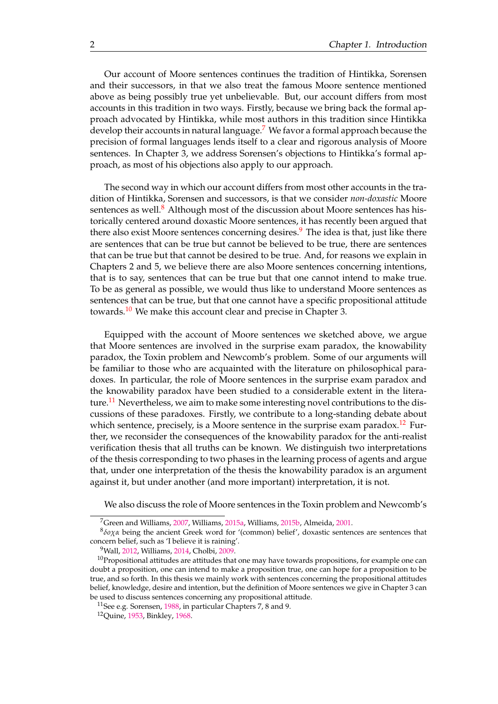<span id="page-11-0"></span>Our account of Moore sentences continues the tradition of Hintikka, Sorensen and their successors, in that we also treat the famous Moore sentence mentioned above as being possibly true yet unbelievable. But, our account differs from most accounts in this tradition in two ways. Firstly, because we bring back the formal approach advocated by Hintikka, while most authors in this tradition since Hintikka develop their accounts in natural language.<sup>[7](#page-12-0)</sup> We favor a formal approach because the precision of formal languages lends itself to a clear and rigorous analysis of Moore sentences. In Chapter 3, we address Sorensen's objections to Hintikka's formal approach, as most of his objections also apply to our approach.

The second way in which our account differs from most other accounts in the tradition of Hintikka, Sorensen and successors, is that we consider *non-doxastic* Moore sentences as well. $8$  Although most of the discussion about Moore sentences has historically centered around doxastic Moore sentences, it has recently been argued that there also exist Moore sentences concerning desires. $9$  The idea is that, just like there are sentences that can be true but cannot be believed to be true, there are sentences that can be true but that cannot be desired to be true. And, for reasons we explain in Chapters 2 and 5, we believe there are also Moore sentences concerning intentions, that is to say, sentences that can be true but that one cannot intend to make true. To be as general as possible, we would thus like to understand Moore sentences as sentences that can be true, but that one cannot have a specific propositional attitude towards.<sup>[10](#page-12-0)</sup> We make this account clear and precise in Chapter 3.

Equipped with the account of Moore sentences we sketched above, we argue that Moore sentences are involved in the surprise exam paradox, the knowability paradox, the Toxin problem and Newcomb's problem. Some of our arguments will be familiar to those who are acquainted with the literature on philosophical paradoxes. In particular, the role of Moore sentences in the surprise exam paradox and the knowability paradox have been studied to a considerable extent in the litera-ture.<sup>[11](#page-12-0)</sup> Nevertheless, we aim to make some interesting novel contributions to the discussions of these paradoxes. Firstly, we contribute to a long-standing debate about which sentence, precisely, is a Moore sentence in the surprise exam paradox.<sup>[12](#page-12-0)</sup> Further, we reconsider the consequences of the knowability paradox for the anti-realist verification thesis that all truths can be known. We distinguish two interpretations of the thesis corresponding to two phases in the learning process of agents and argue that, under one interpretation of the thesis the knowability paradox is an argument against it, but under another (and more important) interpretation, it is not.

We also discuss the role of Moore sentences in the Toxin problem and Newcomb's

<sup>7</sup>Green and Williams, [2007,](#page-76-0) Williams, 2015a, Williams, 2015b, Almeida, [2001.](#page-75-0)

<sup>8</sup> *δoχα* being the ancient Greek word for '(common) belief', doxastic sentences are sentences that concern belief, such as 'I believe it is raining'.

<sup>&</sup>lt;sup>9</sup>Wall, 2012, Williams, 2014, Cholbi, [2009.](#page-75-0)

 $10$ Propositional attitudes are attitudes that one may have towards propositions, for example one can doubt a proposition, one can intend to make a proposition true, one can hope for a proposition to be true, and so forth. In this thesis we mainly work with sentences concerning the propositional attitudes belief, knowledge, desire and intention, but the definition of Moore sentences we give in Chapter 3 can be used to discuss sentences concerning any propositional attitude.

<sup>&</sup>lt;sup>11</sup>See e.g. Sorensen, 1988, in particular Chapters 7, 8 and 9.

<sup>12</sup>Quine, [1953,](#page-76-0) Binkley, [1968.](#page-75-0)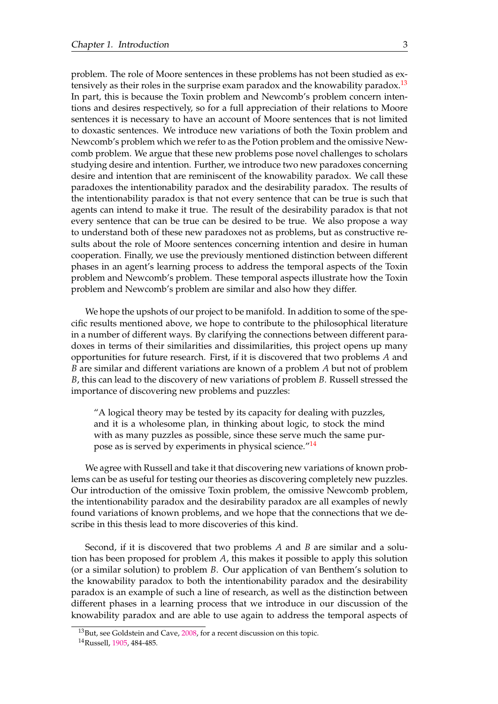<span id="page-12-0"></span>problem. The role of Moore sentences in these problems has not been studied as ex-tensively as their roles in the surprise exam paradox and the knowability paradox.<sup>[13](#page-13-0)</sup> In part, this is because the Toxin problem and Newcomb's problem concern intentions and desires respectively, so for a full appreciation of their relations to Moore sentences it is necessary to have an account of Moore sentences that is not limited to doxastic sentences. We introduce new variations of both the Toxin problem and Newcomb's problem which we refer to as the Potion problem and the omissive Newcomb problem. We argue that these new problems pose novel challenges to scholars studying desire and intention. Further, we introduce two new paradoxes concerning desire and intention that are reminiscent of the knowability paradox. We call these paradoxes the intentionability paradox and the desirability paradox. The results of the intentionability paradox is that not every sentence that can be true is such that agents can intend to make it true. The result of the desirability paradox is that not every sentence that can be true can be desired to be true. We also propose a way to understand both of these new paradoxes not as problems, but as constructive results about the role of Moore sentences concerning intention and desire in human cooperation. Finally, we use the previously mentioned distinction between different phases in an agent's learning process to address the temporal aspects of the Toxin problem and Newcomb's problem. These temporal aspects illustrate how the Toxin problem and Newcomb's problem are similar and also how they differ.

We hope the upshots of our project to be manifold. In addition to some of the specific results mentioned above, we hope to contribute to the philosophical literature in a number of different ways. By clarifying the connections between different paradoxes in terms of their similarities and dissimilarities, this project opens up many opportunities for future research. First, if it is discovered that two problems *A* and *B* are similar and different variations are known of a problem *A* but not of problem *B*, this can lead to the discovery of new variations of problem *B*. Russell stressed the importance of discovering new problems and puzzles:

"A logical theory may be tested by its capacity for dealing with puzzles, and it is a wholesome plan, in thinking about logic, to stock the mind with as many puzzles as possible, since these serve much the same pur-pose as is served by experiments in physical science."<sup>[14](#page-13-0)</sup>

We agree with Russell and take it that discovering new variations of known problems can be as useful for testing our theories as discovering completely new puzzles. Our introduction of the omissive Toxin problem, the omissive Newcomb problem, the intentionability paradox and the desirability paradox are all examples of newly found variations of known problems, and we hope that the connections that we describe in this thesis lead to more discoveries of this kind.

Second, if it is discovered that two problems *A* and *B* are similar and a solution has been proposed for problem *A*, this makes it possible to apply this solution (or a similar solution) to problem *B*. Our application of van Benthem's solution to the knowability paradox to both the intentionability paradox and the desirability paradox is an example of such a line of research, as well as the distinction between different phases in a learning process that we introduce in our discussion of the knowability paradox and are able to use again to address the temporal aspects of

<sup>&</sup>lt;sup>13</sup>But, see Goldstein and Cave, [2008,](#page-75-0) for a recent discussion on this topic.

<sup>14</sup>Russell, [1905,](#page-76-0) 484-485.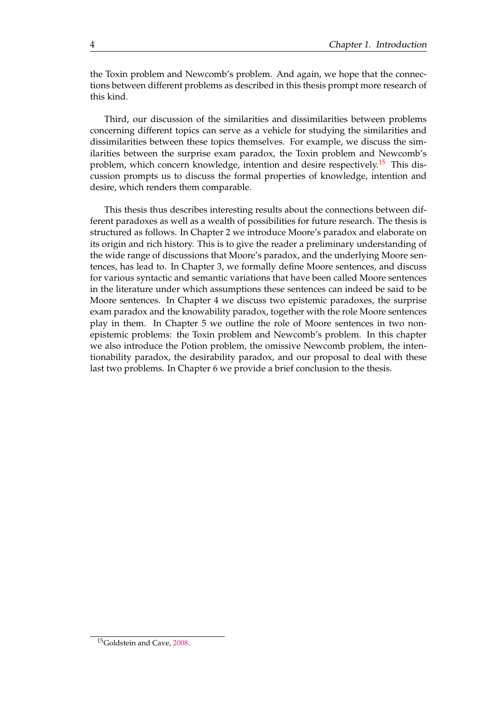<span id="page-13-0"></span>the Toxin problem and Newcomb's problem. And again, we hope that the connections between different problems as described in this thesis prompt more research of this kind.

Third, our discussion of the similarities and dissimilarities between problems concerning different topics can serve as a vehicle for studying the similarities and dissimilarities between these topics themselves. For example, we discuss the similarities between the surprise exam paradox, the Toxin problem and Newcomb's problem, which concern knowledge, intention and desire respectively.<sup>[15](#page-14-0)</sup> This discussion prompts us to discuss the formal properties of knowledge, intention and desire, which renders them comparable.

This thesis thus describes interesting results about the connections between different paradoxes as well as a wealth of possibilities for future research. The thesis is structured as follows. In Chapter 2 we introduce Moore's paradox and elaborate on its origin and rich history. This is to give the reader a preliminary understanding of the wide range of discussions that Moore's paradox, and the underlying Moore sentences, has lead to. In Chapter 3, we formally define Moore sentences, and discuss for various syntactic and semantic variations that have been called Moore sentences in the literature under which assumptions these sentences can indeed be said to be Moore sentences. In Chapter 4 we discuss two epistemic paradoxes, the surprise exam paradox and the knowability paradox, together with the role Moore sentences play in them. In Chapter 5 we outline the role of Moore sentences in two nonepistemic problems: the Toxin problem and Newcomb's problem. In this chapter we also introduce the Potion problem, the omissive Newcomb problem, the intentionability paradox, the desirability paradox, and our proposal to deal with these last two problems. In Chapter 6 we provide a brief conclusion to the thesis.

<sup>15</sup>Goldstein and Cave, [2008.](#page-75-0)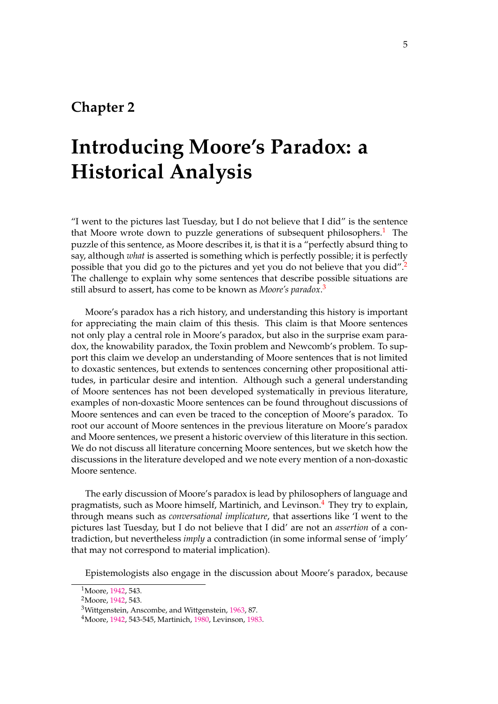## <span id="page-14-0"></span>**Chapter 2**

# **Introducing Moore's Paradox: a Historical Analysis**

"I went to the pictures last Tuesday, but I do not believe that I did" is the sentence that Moore wrote down to puzzle generations of subsequent philosophers.<sup>[1](#page-15-0)</sup> The puzzle of this sentence, as Moore describes it, is that it is a "perfectly absurd thing to say, although *what* is asserted is something which is perfectly possible; it is perfectly possible that you did go to the pictures and yet you do not believe that you did".<sup>[2](#page-15-0)</sup> The challenge to explain why some sentences that describe possible situations are still absurd to assert, has come to be known as *Moore's paradox*. [3](#page-15-0)

Moore's paradox has a rich history, and understanding this history is important for appreciating the main claim of this thesis. This claim is that Moore sentences not only play a central role in Moore's paradox, but also in the surprise exam paradox, the knowability paradox, the Toxin problem and Newcomb's problem. To support this claim we develop an understanding of Moore sentences that is not limited to doxastic sentences, but extends to sentences concerning other propositional attitudes, in particular desire and intention. Although such a general understanding of Moore sentences has not been developed systematically in previous literature, examples of non-doxastic Moore sentences can be found throughout discussions of Moore sentences and can even be traced to the conception of Moore's paradox. To root our account of Moore sentences in the previous literature on Moore's paradox and Moore sentences, we present a historic overview of this literature in this section. We do not discuss all literature concerning Moore sentences, but we sketch how the discussions in the literature developed and we note every mention of a non-doxastic Moore sentence.

The early discussion of Moore's paradox is lead by philosophers of language and pragmatists, such as Moore himself, Martinich, and Levinson.<sup>[4](#page-15-0)</sup> They try to explain, through means such as *conversational implicature*, that assertions like 'I went to the pictures last Tuesday, but I do not believe that I did' are not an *assertion* of a contradiction, but nevertheless *imply* a contradiction (in some informal sense of 'imply' that may not correspond to material implication).

Epistemologists also engage in the discussion about Moore's paradox, because

<sup>&</sup>lt;sup>1</sup>Moore, [1942,](#page-76-0) 543.

<sup>&</sup>lt;sup>2</sup>Moore, [1942,](#page-76-0) 543.

<sup>3</sup>Wittgenstein, Anscombe, and Wittgenstein, 1963, 87.

<sup>4</sup>Moore, [1942,](#page-76-0) 543-545, Martinich, [1980,](#page-76-0) Levinson, [1983.](#page-76-0)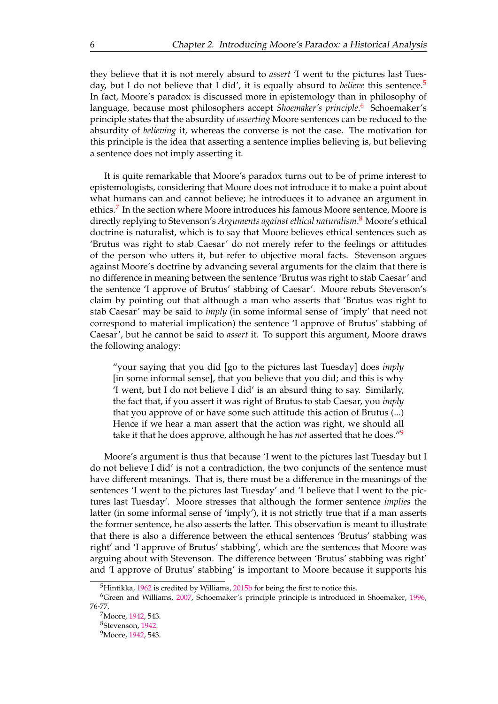<span id="page-15-0"></span>they believe that it is not merely absurd to *assert* 'I went to the pictures last Tuesday, but I do not believe that I did', it is equally absurd to *believe* this sentence.<sup>[5](#page-16-0)</sup> In fact, Moore's paradox is discussed more in epistemology than in philosophy of language, because most philosophers accept *Shoemaker's principle*. [6](#page-16-0) Schoemaker's principle states that the absurdity of *asserting* Moore sentences can be reduced to the absurdity of *believing* it, whereas the converse is not the case. The motivation for this principle is the idea that asserting a sentence implies believing is, but believing a sentence does not imply asserting it.

It is quite remarkable that Moore's paradox turns out to be of prime interest to epistemologists, considering that Moore does not introduce it to make a point about what humans can and cannot believe; he introduces it to advance an argument in ethics.<sup>[7](#page-16-0)</sup> In the section where Moore introduces his famous Moore sentence, Moore is directly replying to Stevenson's *Arguments against ethical naturalism*. [8](#page-16-0) Moore's ethical doctrine is naturalist, which is to say that Moore believes ethical sentences such as 'Brutus was right to stab Caesar' do not merely refer to the feelings or attitudes of the person who utters it, but refer to objective moral facts. Stevenson argues against Moore's doctrine by advancing several arguments for the claim that there is no difference in meaning between the sentence 'Brutus was right to stab Caesar' and the sentence 'I approve of Brutus' stabbing of Caesar'. Moore rebuts Stevenson's claim by pointing out that although a man who asserts that 'Brutus was right to stab Caesar' may be said to *imply* (in some informal sense of 'imply' that need not correspond to material implication) the sentence 'I approve of Brutus' stabbing of Caesar', but he cannot be said to *assert* it. To support this argument, Moore draws the following analogy:

"your saying that you did [go to the pictures last Tuesday] does *imply* [in some informal sense], that you believe that you did; and this is why 'I went, but I do not believe I did' is an absurd thing to say. Similarly, the fact that, if you assert it was right of Brutus to stab Caesar, you *imply* that you approve of or have some such attitude this action of Brutus (...) Hence if we hear a man assert that the action was right, we should all take it that he does approve, although he has *not* asserted that he does."[9](#page-16-0)

Moore's argument is thus that because 'I went to the pictures last Tuesday but I do not believe I did' is not a contradiction, the two conjuncts of the sentence must have different meanings. That is, there must be a difference in the meanings of the sentences 'I went to the pictures last Tuesday' and 'I believe that I went to the pictures last Tuesday'. Moore stresses that although the former sentence *implies* the latter (in some informal sense of 'imply'), it is not strictly true that if a man asserts the former sentence, he also asserts the latter. This observation is meant to illustrate that there is also a difference between the ethical sentences 'Brutus' stabbing was right' and 'I approve of Brutus' stabbing', which are the sentences that Moore was arguing about with Stevenson. The difference between 'Brutus' stabbing was right' and 'I approve of Brutus' stabbing' is important to Moore because it supports his

<sup>&</sup>lt;sup>5</sup>Hintikka, [1962](#page-76-0) is credited by Williams, 2015b for being the first to notice this.

<sup>6</sup>Green and Williams, [2007,](#page-76-0) Schoemaker's principle principle is introduced in Shoemaker, [1996,](#page-76-0) 76-77.

<sup>7</sup>Moore, [1942,](#page-76-0) 543.

<sup>8</sup>Stevenson, 1942.

<sup>9</sup>Moore, [1942,](#page-76-0) 543.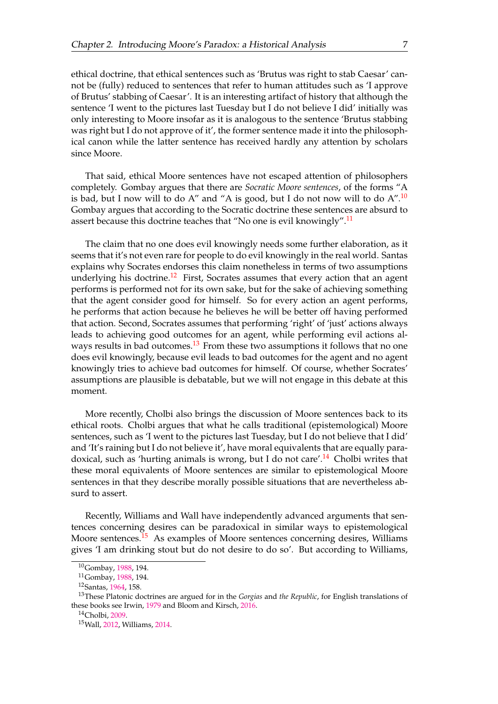<span id="page-16-0"></span>ethical doctrine, that ethical sentences such as 'Brutus was right to stab Caesar' cannot be (fully) reduced to sentences that refer to human attitudes such as 'I approve of Brutus' stabbing of Caesar'. It is an interesting artifact of history that although the sentence 'I went to the pictures last Tuesday but I do not believe I did' initially was only interesting to Moore insofar as it is analogous to the sentence 'Brutus stabbing was right but I do not approve of it', the former sentence made it into the philosophical canon while the latter sentence has received hardly any attention by scholars since Moore.

That said, ethical Moore sentences have not escaped attention of philosophers completely. Gombay argues that there are *Socratic Moore sentences*, of the forms "A is bad, but I now will to do A" and "A is good, but I do not now will to do  $A''$ .<sup>[10](#page-17-0)</sup> Gombay argues that according to the Socratic doctrine these sentences are absurd to assert because this doctrine teaches that "No one is evil knowingly".<sup>[11](#page-17-0)</sup>

The claim that no one does evil knowingly needs some further elaboration, as it seems that it's not even rare for people to do evil knowingly in the real world. Santas explains why Socrates endorses this claim nonetheless in terms of two assumptions underlying his doctrine.<sup>[12](#page-17-0)</sup> First, Socrates assumes that every action that an agent performs is performed not for its own sake, but for the sake of achieving something that the agent consider good for himself. So for every action an agent performs, he performs that action because he believes he will be better off having performed that action. Second, Socrates assumes that performing 'right' of 'just' actions always leads to achieving good outcomes for an agent, while performing evil actions al-ways results in bad outcomes.<sup>[13](#page-17-0)</sup> From these two assumptions it follows that no one does evil knowingly, because evil leads to bad outcomes for the agent and no agent knowingly tries to achieve bad outcomes for himself. Of course, whether Socrates' assumptions are plausible is debatable, but we will not engage in this debate at this moment.

More recently, Cholbi also brings the discussion of Moore sentences back to its ethical roots. Cholbi argues that what he calls traditional (epistemological) Moore sentences, such as 'I went to the pictures last Tuesday, but I do not believe that I did' and 'It's raining but I do not believe it', have moral equivalents that are equally para-doxical, such as 'hurting animals is wrong, but I do not care'.<sup>[14](#page-17-0)</sup> Cholbi writes that these moral equivalents of Moore sentences are similar to epistemological Moore sentences in that they describe morally possible situations that are nevertheless absurd to assert.

Recently, Williams and Wall have independently advanced arguments that sentences concerning desires can be paradoxical in similar ways to epistemological Moore sentences.<sup>[15](#page-17-0)</sup> As examples of Moore sentences concerning desires, Williams gives 'I am drinking stout but do not desire to do so'. But according to Williams,

<sup>10</sup>Gombay, [1988,](#page-75-0) 194.

<sup>11</sup>Gombay, [1988,](#page-75-0) 194.

<sup>12</sup>Santas, [1964,](#page-76-0) 158.

<sup>13</sup>These Platonic doctrines are argued for in the *Gorgias* and *the Republic*, for English translations of these books see Irwin, [1979](#page-76-0) and Bloom and Kirsch, [2016.](#page-75-0)

<sup>14</sup>Cholbi, [2009.](#page-75-0)

<sup>15</sup>Wall, 2012, Williams, 2014.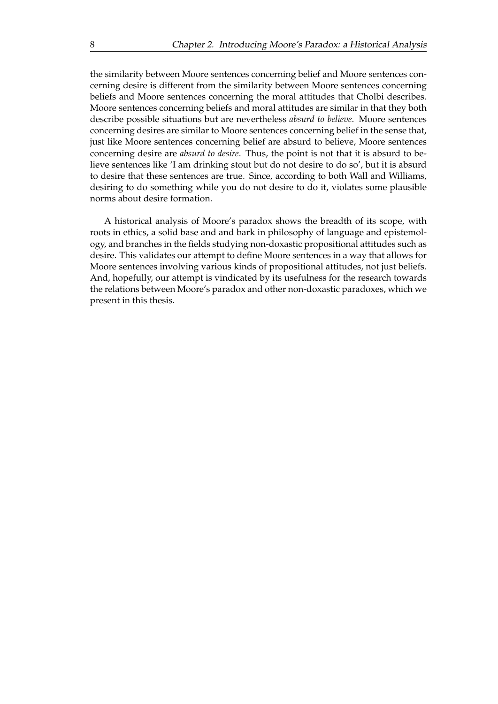<span id="page-17-0"></span>the similarity between Moore sentences concerning belief and Moore sentences concerning desire is different from the similarity between Moore sentences concerning beliefs and Moore sentences concerning the moral attitudes that Cholbi describes. Moore sentences concerning beliefs and moral attitudes are similar in that they both describe possible situations but are nevertheless *absurd to believe*. Moore sentences concerning desires are similar to Moore sentences concerning belief in the sense that, just like Moore sentences concerning belief are absurd to believe, Moore sentences concerning desire are *absurd to desire*. Thus, the point is not that it is absurd to believe sentences like 'I am drinking stout but do not desire to do so', but it is absurd to desire that these sentences are true. Since, according to both Wall and Williams, desiring to do something while you do not desire to do it, violates some plausible norms about desire formation.

A historical analysis of Moore's paradox shows the breadth of its scope, with roots in ethics, a solid base and and bark in philosophy of language and epistemology, and branches in the fields studying non-doxastic propositional attitudes such as desire. This validates our attempt to define Moore sentences in a way that allows for Moore sentences involving various kinds of propositional attitudes, not just beliefs. And, hopefully, our attempt is vindicated by its usefulness for the research towards the relations between Moore's paradox and other non-doxastic paradoxes, which we present in this thesis.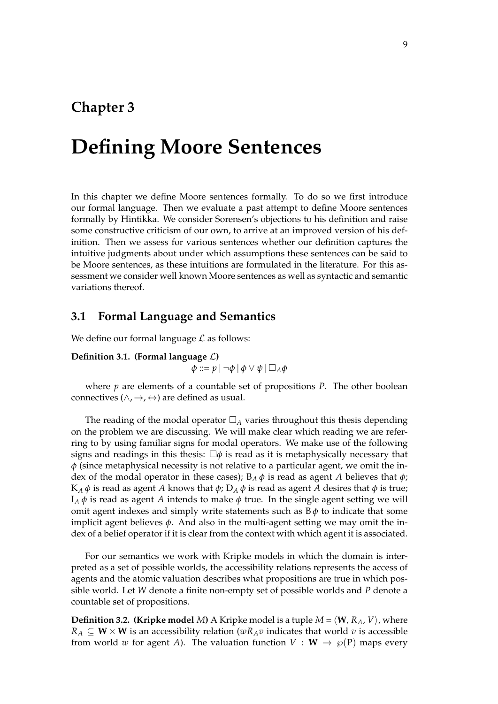## **Chapter 3**

# **Defining Moore Sentences**

In this chapter we define Moore sentences formally. To do so we first introduce our formal language. Then we evaluate a past attempt to define Moore sentences formally by Hintikka. We consider Sorensen's objections to his definition and raise some constructive criticism of our own, to arrive at an improved version of his definition. Then we assess for various sentences whether our definition captures the intuitive judgments about under which assumptions these sentences can be said to be Moore sentences, as these intuitions are formulated in the literature. For this assessment we consider well known Moore sentences as well as syntactic and semantic variations thereof.

### **3.1 Formal Language and Semantics**

We define our formal language  $\mathcal L$  as follows:

**Definition 3.1. (Formal language** L**)**

 $\phi ::= p | ¬φ | φ ∨ ψ | ∎<sub>A</sub>φ$ 

where *p* are elements of a countable set of propositions *P*. The other boolean connectives ( $\land$ ,  $\rightarrow$ ,  $\leftrightarrow$ ) are defined as usual.

The reading of the modal operator  $\Box_A$  varies throughout this thesis depending on the problem we are discussing. We will make clear which reading we are referring to by using familiar signs for modal operators. We make use of the following signs and readings in this thesis:  $\Box \phi$  is read as it is metaphysically necessary that *φ* (since metaphysical necessity is not relative to a particular agent, we omit the index of the modal operator in these cases);  $B_A \phi$  is read as agent *A* believes that  $\phi$ ;  $K_A$  *φ* is read as agent *A* knows that *φ*;  $D_A$  *φ* is read as agent *A* desires that *φ* is true;  $I_A \phi$  is read as agent *A* intends to make  $\phi$  true. In the single agent setting we will omit agent indexes and simply write statements such as  $B\phi$  to indicate that some implicit agent believes  $\phi$ . And also in the multi-agent setting we may omit the index of a belief operator if it is clear from the context with which agent it is associated.

For our semantics we work with Kripke models in which the domain is interpreted as a set of possible worlds, the accessibility relations represents the access of agents and the atomic valuation describes what propositions are true in which possible world. Let *W* denote a finite non-empty set of possible worlds and *P* denote a countable set of propositions.

**Definition 3.2. (Kripke model** *M*) A Kripke model is a tuple  $M = \langle W, R_A, V \rangle$ , where  $R_A \subseteq W \times W$  is an accessibility relation ( $wR_A v$  indicates that world v is accessible from world *w* for agent *A*). The valuation function  $V : W \rightarrow \wp(P)$  maps every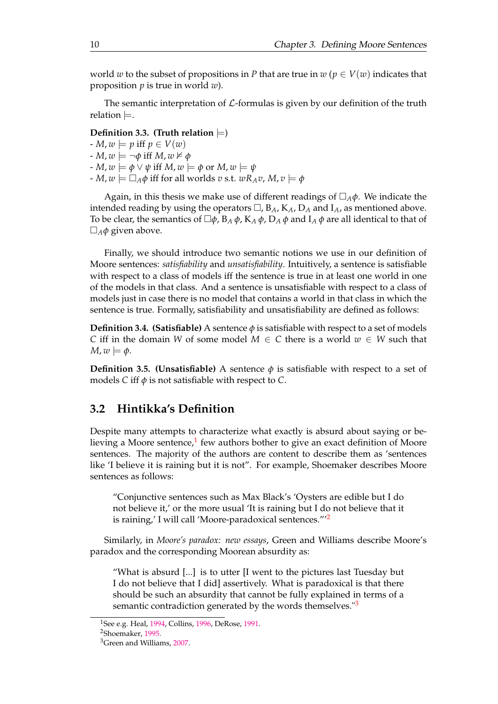<span id="page-19-0"></span>world *w* to the subset of propositions in *P* that are true in  $w (p \in V(w))$  indicates that proposition *p* is true in world *w*).

The semantic interpretation of  $\mathcal{L}$ -formulas is given by our definition of the truth relation  $\models$ .

**Definition 3.3.** (Truth relation  $\models$ )

 $-P$ ,  $w \models p$  iff  $p \in V(w)$  $-M$ ,  $w \models \neg \phi$  iff  $M$ ,  $w \not\models \phi$  $-\mathit{M}, \mathit{w} \models \phi \lor \psi$  iff  $M, \mathit{w} \models \phi$  or  $M, \mathit{w} \models \psi$  $\mathbf{A} \cdot \mathbf{W} = \mathbf{A} \cdot \mathbf{A} \cdot \mathbf{A}$  iff for all worlds *v* s.t.  $w \cdot R_A v$ ,  $M, v \models \phi$ 

Again, in this thesis we make use of different readings of  $\Box_A \phi$ . We indicate the intended reading by using the operators  $\Box$ ,  $B_A$ ,  $K_A$ ,  $D_A$  and  $I_A$ , as mentioned above. To be clear, the semantics of  $\Box \phi$ ,  $B_A \phi$ ,  $K_A \phi$ ,  $D_A \phi$  and  $I_A \phi$  are all identical to that of  $\square_A \phi$  given above.

Finally, we should introduce two semantic notions we use in our definition of Moore sentences: *satisfiability* and *unsatisfiability*. Intuitively, a sentence is satisfiable with respect to a class of models iff the sentence is true in at least one world in one of the models in that class. And a sentence is unsatisfiable with respect to a class of models just in case there is no model that contains a world in that class in which the sentence is true. Formally, satisfiability and unsatisfiability are defined as follows:

**Definition 3.4. (Satisfiable)** A sentence  $\phi$  is satisfiable with respect to a set of models *C* iff in the domain *W* of some model  $M \in C$  there is a world  $w \in W$  such that  $M, w \models \phi$ .

**Definition 3.5. (Unsatisfiable)** A sentence  $\phi$  is satisfiable with respect to a set of models *C* iff  $\phi$  is not satisfiable with respect to *C*.

## **3.2 Hintikka's Definition**

Despite many attempts to characterize what exactly is absurd about saying or be-lieving a Moore sentence,<sup>[1](#page-20-0)</sup> few authors bother to give an exact definition of Moore sentences. The majority of the authors are content to describe them as 'sentences like 'I believe it is raining but it is not". For example, Shoemaker describes Moore sentences as follows:

"Conjunctive sentences such as Max Black's 'Oysters are edible but I do not believe it,' or the more usual 'It is raining but I do not believe that it is raining,' I will call 'Moore-paradoxical sentences."<sup>[2](#page-20-0)</sup>

Similarly, in *Moore's paradox: new essays*, Green and Williams describe Moore's paradox and the corresponding Moorean absurdity as:

"What is absurd [...] is to utter [I went to the pictures last Tuesday but I do not believe that I did] assertively. What is paradoxical is that there should be such an absurdity that cannot be fully explained in terms of a semantic contradiction generated by the words themselves."<sup>[3](#page-20-0)</sup>

<sup>&</sup>lt;sup>1</sup>See e.g. Heal, [1994,](#page-76-0) Collins, [1996,](#page-75-0) DeRose, [1991.](#page-75-0)

<sup>2</sup>Shoemaker, [1995.](#page-76-0)

<sup>3</sup>Green and Williams, [2007.](#page-76-0)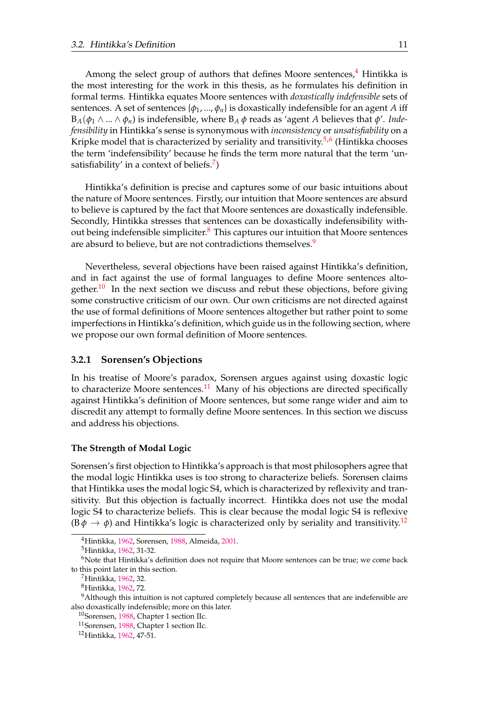<span id="page-20-0"></span>Among the select group of authors that defines Moore sentences,<sup>[4](#page-21-0)</sup> Hintikka is the most interesting for the work in this thesis, as he formulates his definition in formal terms. Hintikka equates Moore sentences with *doxastically indefensible* sets of sentences. A set of sentences  $\{\phi_1, ..., \phi_n\}$  is doxastically indefensible for an agent *A* iff  $B_A(\phi_1 \wedge ... \wedge \phi_n)$  is indefensible, where  $B_A \phi$  reads as 'agent A believes that  $\phi'$ . *Indefensibility* in Hintikka's sense is synonymous with *inconsistency* or *unsatisfiability* on a Kripke model that is characterized by seriality and transitivity.<sup>[5,6](#page-21-0)</sup> (Hintikka chooses the term 'indefensibility' because he finds the term more natural that the term 'un-satisfiability' in a context of beliefs.<sup>[7](#page-21-0)</sup>)

Hintikka's definition is precise and captures some of our basic intuitions about the nature of Moore sentences. Firstly, our intuition that Moore sentences are absurd to believe is captured by the fact that Moore sentences are doxastically indefensible. Secondly, Hintikka stresses that sentences can be doxastically indefensibility without being indefensible simpliciter. $8$  This captures our intuition that Moore sentences are absurd to believe, but are not contradictions themselves.<sup>[9](#page-21-0)</sup>

Nevertheless, several objections have been raised against Hintikka's definition, and in fact against the use of formal languages to define Moore sentences alto-gether.<sup>[10](#page-21-0)</sup> In the next section we discuss and rebut these objections, before giving some constructive criticism of our own. Our own criticisms are not directed against the use of formal definitions of Moore sentences altogether but rather point to some imperfections in Hintikka's definition, which guide us in the following section, where we propose our own formal definition of Moore sentences.

#### **3.2.1 Sorensen's Objections**

In his treatise of Moore's paradox, Sorensen argues against using doxastic logic to characterize Moore sentences.<sup>[11](#page-21-0)</sup> Many of his objections are directed specifically against Hintikka's definition of Moore sentences, but some range wider and aim to discredit any attempt to formally define Moore sentences. In this section we discuss and address his objections.

#### **The Strength of Modal Logic**

Sorensen's first objection to Hintikka's approach is that most philosophers agree that the modal logic Hintikka uses is too strong to characterize beliefs. Sorensen claims that Hintikka uses the modal logic S4, which is characterized by reflexivity and transitivity. But this objection is factually incorrect. Hintikka does not use the modal logic S4 to characterize beliefs. This is clear because the modal logic S4 is reflexive  $(\mathsf{B}\phi \to \phi)$  and Hintikka's logic is characterized only by seriality and transitivity.<sup>[12](#page-21-0)</sup>

<sup>4</sup>Hintikka, [1962,](#page-76-0) Sorensen, 1988, Almeida, [2001.](#page-75-0)

<sup>5</sup>Hintikka, [1962,](#page-76-0) 31-32.

 $6$ Note that Hintikka's definition does not require that Moore sentences can be true; we come back to this point later in this section.

<sup>7</sup>Hintikka, [1962,](#page-76-0) 32.

<sup>8</sup>Hintikka, [1962,](#page-76-0) 72.

<sup>&</sup>lt;sup>9</sup>Although this intuition is not captured completely because all sentences that are indefensible are also doxastically indefensible; more on this later.

<sup>10</sup>Sorensen, 1988, Chapter 1 section IIc.

<sup>11</sup>Sorensen, 1988, Chapter 1 section IIc.

<sup>12</sup>Hintikka, [1962,](#page-76-0) 47-51.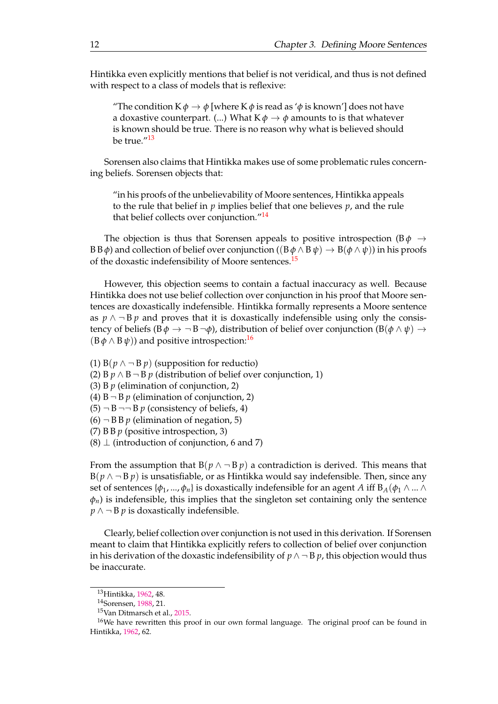<span id="page-21-0"></span>Hintikka even explicitly mentions that belief is not veridical, and thus is not defined with respect to a class of models that is reflexive:

"The condition  $K \phi \rightarrow \phi$  [where  $K \phi$  is read as ' $\phi$  is known'] does not have a doxastive counterpart. (...) What  $K \phi \rightarrow \phi$  amounts to is that whatever is known should be true. There is no reason why what is believed should be true."[13](#page-22-0)

Sorensen also claims that Hintikka makes use of some problematic rules concerning beliefs. Sorensen objects that:

"in his proofs of the unbelievability of Moore sentences, Hintikka appeals to the rule that belief in *p* implies belief that one believes *p*, and the rule that belief collects over conjunction."<sup>[14](#page-22-0)</sup>

The objection is thus that Sorensen appeals to positive introspection ( $B\phi \rightarrow$ B *θ*) and collection of belief over conjunction (( $B$  *φ* ∧ *B ψ*) →  $B$ (*φ* ∧ *ψ*)) in his proofs of the doxastic indefensibility of Moore sentences.<sup>[15](#page-22-0)</sup>

However, this objection seems to contain a factual inaccuracy as well. Because Hintikka does not use belief collection over conjunction in his proof that Moore sentences are doxastically indefensible. Hintikka formally represents a Moore sentence as  $p \wedge \neg B p$  and proves that it is doxastically indefensible using only the consistency of beliefs ( $B\phi \rightarrow \neg B \neg \phi$ ), distribution of belief over conjunction ( $B(\phi \land \psi) \rightarrow$  $(B \phi \wedge B \psi)$  and positive introspection:<sup>[16](#page-22-0)</sup>

(1)  $B(p \land \neg B p)$  (supposition for reductio)

(2) B  $p \wedge B \neg B$  *p* (distribution of belief over conjunction, 1)

(3) B *p* (elimination of conjunction, 2)

(4)  $B \neg B p$  (elimination of conjunction, 2)

 $(5)$   $\neg$  B  $\neg$   $\neg$  B *p* (consistency of beliefs, 4)

$$
(6) \neg BBp
$$
 (elimination of negation, 5)

(7) B B *p* (positive introspection, 3)

 $(8)$   $\perp$  (introduction of conjunction, 6 and 7)

From the assumption that  $B(p \land \neg B p)$  a contradiction is derived. This means that  $B(p \wedge \neg B p)$  is unsatisfiable, or as Hintikka would say indefensible. Then, since any set of sentences  $\{\phi_1, ..., \phi_n\}$  is doxastically indefensible for an agent *A* iff  $B_A(\phi_1 \wedge ... \wedge$  $\varphi$ <sup>*n*</sup>) is indefensible, this implies that the singleton set containing only the sentence *p* ∧ ¬ *B p* is doxastically indefensible.

Clearly, belief collection over conjunction is not used in this derivation. If Sorensen meant to claim that Hintikka explicitly refers to collection of belief over conjunction in his derivation of the doxastic indefensibility of  $p \wedge \neg B p$ , this objection would thus be inaccurate.

<sup>13</sup>Hintikka, [1962,](#page-76-0) 48.

<sup>14</sup>Sorensen, 1988, 21.

<sup>15</sup>Van Ditmarsch et al., 2015.

<sup>&</sup>lt;sup>16</sup>We have rewritten this proof in our own formal language. The original proof can be found in Hintikka, [1962,](#page-76-0) 62.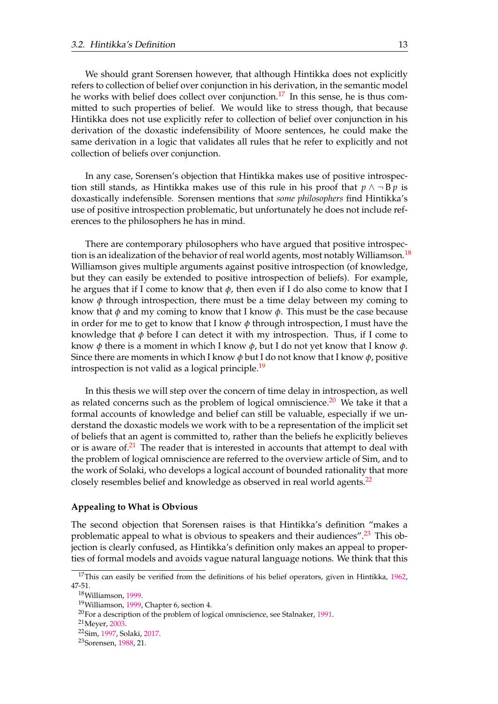<span id="page-22-0"></span>We should grant Sorensen however, that although Hintikka does not explicitly refers to collection of belief over conjunction in his derivation, in the semantic model he works with belief does collect over conjunction.<sup>[17](#page-23-0)</sup> In this sense, he is thus committed to such properties of belief. We would like to stress though, that because Hintikka does not use explicitly refer to collection of belief over conjunction in his derivation of the doxastic indefensibility of Moore sentences, he could make the same derivation in a logic that validates all rules that he refer to explicitly and not collection of beliefs over conjunction.

In any case, Sorensen's objection that Hintikka makes use of positive introspection still stands, as Hintikka makes use of this rule in his proof that  $p \wedge \neg B p$  is doxastically indefensible. Sorensen mentions that *some philosophers* find Hintikka's use of positive introspection problematic, but unfortunately he does not include references to the philosophers he has in mind.

There are contemporary philosophers who have argued that positive introspec-tion is an idealization of the behavior of real world agents, most notably Williamson.<sup>[18](#page-23-0)</sup> Williamson gives multiple arguments against positive introspection (of knowledge, but they can easily be extended to positive introspection of beliefs). For example, he argues that if I come to know that *φ*, then even if I do also come to know that I know  $\phi$  through introspection, there must be a time delay between my coming to know that  $\phi$  and my coming to know that I know  $\phi$ . This must be the case because in order for me to get to know that I know  $\phi$  through introspection, I must have the knowledge that *φ* before I can detect it with my introspection. Thus, if I come to know *φ* there is a moment in which I know *φ*, but I do not yet know that I know *φ*. Since there are moments in which I know *φ* but I do not know that I know *φ*, positive introspection is not valid as a logical principle.<sup>[19](#page-23-0)</sup>

In this thesis we will step over the concern of time delay in introspection, as well as related concerns such as the problem of logical omniscience.<sup>[20](#page-23-0)</sup> We take it that a formal accounts of knowledge and belief can still be valuable, especially if we understand the doxastic models we work with to be a representation of the implicit set of beliefs that an agent is committed to, rather than the beliefs he explicitly believes or is aware of. $21$  The reader that is interested in accounts that attempt to deal with the problem of logical omniscience are referred to the overview article of Sim, and to the work of Solaki, who develops a logical account of bounded rationality that more closely resembles belief and knowledge as observed in real world agents.<sup>[22](#page-23-0)</sup>

#### **Appealing to What is Obvious**

The second objection that Sorensen raises is that Hintikka's definition "makes a problematic appeal to what is obvious to speakers and their audiences".<sup>[23](#page-23-0)</sup> This objection is clearly confused, as Hintikka's definition only makes an appeal to properties of formal models and avoids vague natural language notions. We think that this

 $17$ This can easily be verified from the definitions of his belief operators, given in Hintikka, [1962,](#page-76-0) 47-51.

<sup>18</sup>Williamson, 1999.

<sup>19</sup>Williamson, 1999, Chapter 6, section 4.

<sup>&</sup>lt;sup>20</sup>For a description of the problem of logical omniscience, see Stalnaker, 1991.

<sup>21</sup>Meyer, [2003.](#page-76-0)

<sup>22</sup>Sim, 1997, Solaki, 2017.

<sup>23</sup>Sorensen, 1988, 21.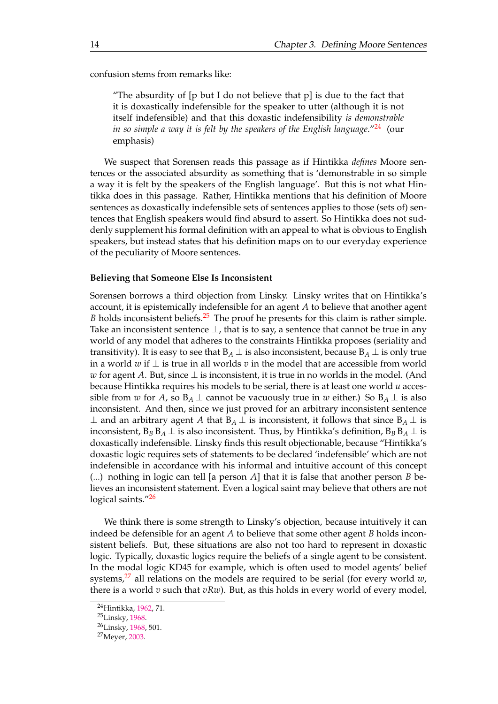<span id="page-23-0"></span>confusion stems from remarks like:

"The absurdity of [p but I do not believe that p] is due to the fact that it is doxastically indefensible for the speaker to utter (although it is not itself indefensible) and that this doxastic indefensibility *is demonstrable in so simple a way it is felt by the speakers of the English language.*"<sup>[24](#page-24-0)</sup> (our emphasis)

We suspect that Sorensen reads this passage as if Hintikka *defines* Moore sentences or the associated absurdity as something that is 'demonstrable in so simple a way it is felt by the speakers of the English language'. But this is not what Hintikka does in this passage. Rather, Hintikka mentions that his definition of Moore sentences as doxastically indefensible sets of sentences applies to those (sets of) sentences that English speakers would find absurd to assert. So Hintikka does not suddenly supplement his formal definition with an appeal to what is obvious to English speakers, but instead states that his definition maps on to our everyday experience of the peculiarity of Moore sentences.

#### **Believing that Someone Else Is Inconsistent**

Sorensen borrows a third objection from Linsky. Linsky writes that on Hintikka's account, it is epistemically indefensible for an agent *A* to believe that another agent *B* holds inconsistent beliefs.<sup>[25](#page-24-0)</sup> The proof he presents for this claim is rather simple. Take an inconsistent sentence  $\perp$ , that is to say, a sentence that cannot be true in any world of any model that adheres to the constraints Hintikka proposes (seriality and transitivity). It is easy to see that  $B_A \perp$  is also inconsistent, because  $B_A \perp$  is only true in a world *w* if ⊥ is true in all worlds *v* in the model that are accessible from world *w* for agent *A*. But, since ⊥ is inconsistent, it is true in no worlds in the model. (And because Hintikka requires his models to be serial, there is at least one world *u* accessible from *w* for *A*, so  $B_A \perp$  cannot be vacuously true in *w* either.) So  $B_A \perp$  is also inconsistent. And then, since we just proved for an arbitrary inconsistent sentence ⊥ and an arbitrary agent *A* that  $B_A$  ⊥ is inconsistent, it follows that since  $B_A$  ⊥ is inconsistent,  $B_B B_A \perp$  is also inconsistent. Thus, by Hintikka's definition,  $B_B B_A \perp$  is doxastically indefensible. Linsky finds this result objectionable, because "Hintikka's doxastic logic requires sets of statements to be declared 'indefensible' which are not indefensible in accordance with his informal and intuitive account of this concept (...) nothing in logic can tell [a person *A*] that it is false that another person *B* believes an inconsistent statement. Even a logical saint may believe that others are not logical saints."<sup>[26](#page-24-0)</sup>

We think there is some strength to Linsky's objection, because intuitively it can indeed be defensible for an agent *A* to believe that some other agent *B* holds inconsistent beliefs. But, these situations are also not too hard to represent in doxastic logic. Typically, doxastic logics require the beliefs of a single agent to be consistent. In the modal logic KD45 for example, which is often used to model agents' belief systems,<sup>[27](#page-24-0)</sup> all relations on the models are required to be serial (for every world  $w$ , there is a world  $v$  such that  $vRw$ ). But, as this holds in every world of every model,

<sup>24</sup>Hintikka, [1962,](#page-76-0) 71.

<sup>25</sup>Linsky, [1968.](#page-76-0)

<sup>26</sup>Linsky, [1968,](#page-76-0) 501.

<sup>27</sup>Meyer, [2003.](#page-76-0)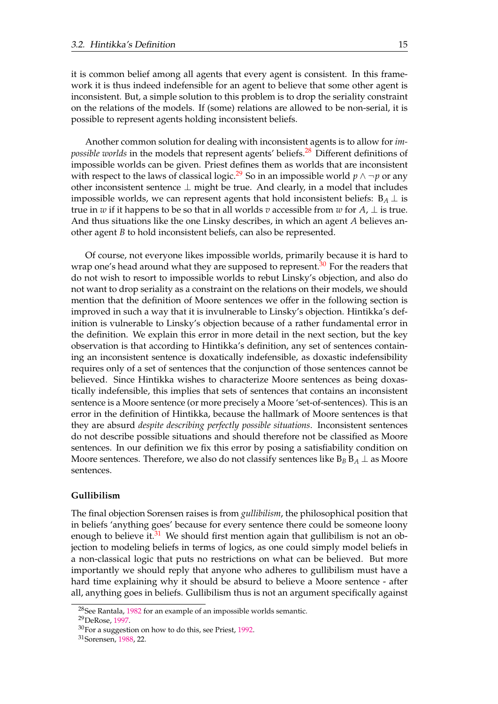<span id="page-24-0"></span>it is common belief among all agents that every agent is consistent. In this framework it is thus indeed indefensible for an agent to believe that some other agent is inconsistent. But, a simple solution to this problem is to drop the seriality constraint on the relations of the models. If (some) relations are allowed to be non-serial, it is possible to represent agents holding inconsistent beliefs.

Another common solution for dealing with inconsistent agents is to allow for *impossible worlds* in the models that represent agents' beliefs.<sup>[28](#page-25-0)</sup> Different definitions of impossible worlds can be given. Priest defines them as worlds that are inconsistent with respect to the laws of classical logic.<sup>[29](#page-25-0)</sup> So in an impossible world *p*  $\land \neg p$  or any other inconsistent sentence  $\perp$  might be true. And clearly, in a model that includes impossible worlds, we can represent agents that hold inconsistent beliefs:  $B_A \perp$  is true in *w* if it happens to be so that in all worlds *v* accessible from *w* for *A*,  $\perp$  is true. And thus situations like the one Linsky describes, in which an agent *A* believes another agent *B* to hold inconsistent beliefs, can also be represented.

Of course, not everyone likes impossible worlds, primarily because it is hard to wrap one's head around what they are supposed to represent.<sup>[30](#page-25-0)</sup> For the readers that do not wish to resort to impossible worlds to rebut Linsky's objection, and also do not want to drop seriality as a constraint on the relations on their models, we should mention that the definition of Moore sentences we offer in the following section is improved in such a way that it is invulnerable to Linsky's objection. Hintikka's definition is vulnerable to Linsky's objection because of a rather fundamental error in the definition. We explain this error in more detail in the next section, but the key observation is that according to Hintikka's definition, any set of sentences containing an inconsistent sentence is doxatically indefensible, as doxastic indefensibility requires only of a set of sentences that the conjunction of those sentences cannot be believed. Since Hintikka wishes to characterize Moore sentences as being doxastically indefensible, this implies that sets of sentences that contains an inconsistent sentence is a Moore sentence (or more precisely a Moore 'set-of-sentences). This is an error in the definition of Hintikka, because the hallmark of Moore sentences is that they are absurd *despite describing perfectly possible situations*. Inconsistent sentences do not describe possible situations and should therefore not be classified as Moore sentences. In our definition we fix this error by posing a satisfiability condition on Moore sentences. Therefore, we also do not classify sentences like  $B_B B_A \perp$  as Moore sentences.

#### **Gullibilism**

The final objection Sorensen raises is from *gullibilism*, the philosophical position that in beliefs 'anything goes' because for every sentence there could be someone loony enough to believe it. $31$  We should first mention again that gullibilism is not an objection to modeling beliefs in terms of logics, as one could simply model beliefs in a non-classical logic that puts no restrictions on what can be believed. But more importantly we should reply that anyone who adheres to gullibilism must have a hard time explaining why it should be absurd to believe a Moore sentence - after all, anything goes in beliefs. Gullibilism thus is not an argument specifically against

<sup>28</sup>See Rantala, [1982](#page-76-0) for an example of an impossible worlds semantic.

<sup>29</sup>DeRose, [1997.](#page-75-0)

<sup>30</sup>For a suggestion on how to do this, see Priest, [1992.](#page-76-0)

<sup>31</sup>Sorensen, 1988, 22.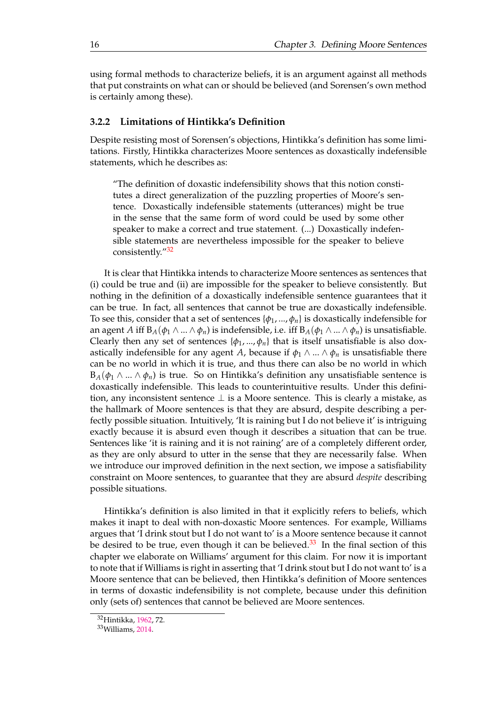<span id="page-25-0"></span>using formal methods to characterize beliefs, it is an argument against all methods that put constraints on what can or should be believed (and Sorensen's own method is certainly among these).

#### **3.2.2 Limitations of Hintikka's Definition**

Despite resisting most of Sorensen's objections, Hintikka's definition has some limitations. Firstly, Hintikka characterizes Moore sentences as doxastically indefensible statements, which he describes as:

"The definition of doxastic indefensibility shows that this notion constitutes a direct generalization of the puzzling properties of Moore's sentence. Doxastically indefensible statements (utterances) might be true in the sense that the same form of word could be used by some other speaker to make a correct and true statement. (...) Doxastically indefensible statements are nevertheless impossible for the speaker to believe consistently."<sup>[32](#page-26-0)</sup>

It is clear that Hintikka intends to characterize Moore sentences as sentences that (i) could be true and (ii) are impossible for the speaker to believe consistently. But nothing in the definition of a doxastically indefensible sentence guarantees that it can be true. In fact, all sentences that cannot be true are doxastically indefensible. To see this, consider that a set of sentences  $\{\phi_1, ..., \phi_n\}$  is doxastically indefensible for an agent *A* iff  $B_A(\phi_1 \wedge ... \wedge \phi_n)$  is indefensible, i.e. iff  $B_A(\phi_1 \wedge ... \wedge \phi_n)$  is unsatisfiable. Clearly then any set of sentences  $\{\phi_1, ..., \phi_n\}$  that is itself unsatisfiable is also doxastically indefensible for any agent *A*, because if  $\phi_1 \wedge ... \wedge \phi_n$  is unsatisfiable there can be no world in which it is true, and thus there can also be no world in which  $B_A(\phi_1 \wedge ... \wedge \phi_n)$  is true. So on Hintikka's definition any unsatisfiable sentence is doxastically indefensible. This leads to counterintuitive results. Under this definition, any inconsistent sentence  $\perp$  is a Moore sentence. This is clearly a mistake, as the hallmark of Moore sentences is that they are absurd, despite describing a perfectly possible situation. Intuitively, 'It is raining but I do not believe it' is intriguing exactly because it is absurd even though it describes a situation that can be true. Sentences like 'it is raining and it is not raining' are of a completely different order, as they are only absurd to utter in the sense that they are necessarily false. When we introduce our improved definition in the next section, we impose a satisfiability constraint on Moore sentences, to guarantee that they are absurd *despite* describing possible situations.

Hintikka's definition is also limited in that it explicitly refers to beliefs, which makes it inapt to deal with non-doxastic Moore sentences. For example, Williams argues that 'I drink stout but I do not want to' is a Moore sentence because it cannot be desired to be true, even though it can be believed.<sup>[33](#page-26-0)</sup> In the final section of this chapter we elaborate on Williams' argument for this claim. For now it is important to note that if Williams is right in asserting that 'I drink stout but I do not want to' is a Moore sentence that can be believed, then Hintikka's definition of Moore sentences in terms of doxastic indefensibility is not complete, because under this definition only (sets of) sentences that cannot be believed are Moore sentences.

<sup>32</sup>Hintikka, [1962,](#page-76-0) 72.

<sup>33</sup>Williams, 2014.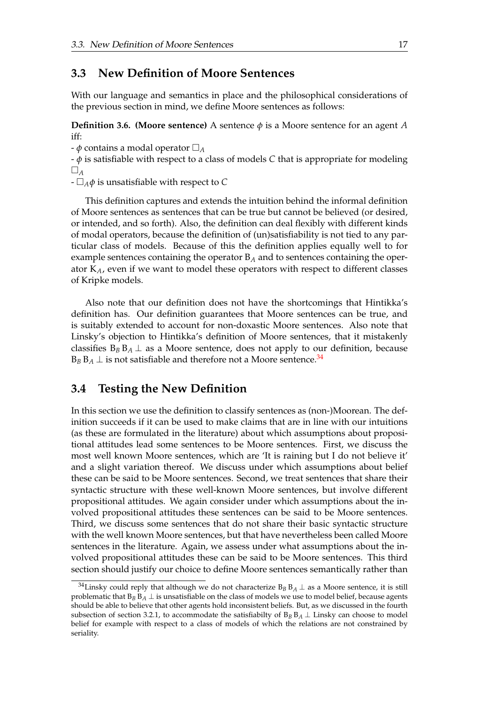### <span id="page-26-0"></span>**3.3 New Definition of Moore Sentences**

With our language and semantics in place and the philosophical considerations of the previous section in mind, we define Moore sentences as follows:

**Definition 3.6. (Moore sentence)** A sentence  $\phi$  is a Moore sentence for an agent A iff:

-  $\phi$  contains a modal operator  $\Box_A$ 

- *φ* is satisfiable with respect to a class of models *C* that is appropriate for modeling  $\Box$ <sub>A</sub>

 $-\Box_A \phi$  is unsatisfiable with respect to *C* 

This definition captures and extends the intuition behind the informal definition of Moore sentences as sentences that can be true but cannot be believed (or desired, or intended, and so forth). Also, the definition can deal flexibly with different kinds of modal operators, because the definition of (un)satisfiability is not tied to any particular class of models. Because of this the definition applies equally well to for example sentences containing the operator B*<sup>A</sup>* and to sentences containing the operator K*A*, even if we want to model these operators with respect to different classes of Kripke models.

Also note that our definition does not have the shortcomings that Hintikka's definition has. Our definition guarantees that Moore sentences can be true, and is suitably extended to account for non-doxastic Moore sentences. Also note that Linsky's objection to Hintikka's definition of Moore sentences, that it mistakenly classifies  $B_B B_A \perp$  as a Moore sentence, does not apply to our definition, because  $B_B B_A \perp$  is not satisfiable and therefore not a Moore sentence.<sup>[34](#page-27-0)</sup>

### **3.4 Testing the New Definition**

In this section we use the definition to classify sentences as (non-)Moorean. The definition succeeds if it can be used to make claims that are in line with our intuitions (as these are formulated in the literature) about which assumptions about propositional attitudes lead some sentences to be Moore sentences. First, we discuss the most well known Moore sentences, which are 'It is raining but I do not believe it' and a slight variation thereof. We discuss under which assumptions about belief these can be said to be Moore sentences. Second, we treat sentences that share their syntactic structure with these well-known Moore sentences, but involve different propositional attitudes. We again consider under which assumptions about the involved propositional attitudes these sentences can be said to be Moore sentences. Third, we discuss some sentences that do not share their basic syntactic structure with the well known Moore sentences, but that have nevertheless been called Moore sentences in the literature. Again, we assess under what assumptions about the involved propositional attitudes these can be said to be Moore sentences. This third section should justify our choice to define Moore sentences semantically rather than

<sup>&</sup>lt;sup>34</sup>Linsky could reply that although we do not characterize  $B_B B_A \perp$  as a Moore sentence, it is still problematic that  $B_B B_A \perp$  is unsatisfiable on the class of models we use to model belief, because agents should be able to believe that other agents hold inconsistent beliefs. But, as we discussed in the fourth subsection of section 3.2.1, to accommodate the satisfiabilty of  $B_B B_A \perp$  Linsky can choose to model belief for example with respect to a class of models of which the relations are not constrained by seriality.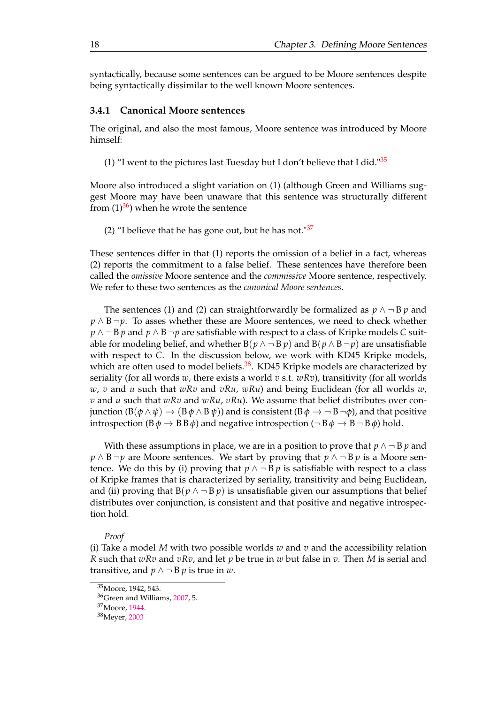<span id="page-27-0"></span>syntactically, because some sentences can be argued to be Moore sentences despite being syntactically dissimilar to the well known Moore sentences.

#### **3.4.1 Canonical Moore sentences**

The original, and also the most famous, Moore sentence was introduced by Moore himself:

(1) "I went to the pictures last Tuesday but I don't believe that I did." $35$ 

Moore also introduced a slight variation on (1) (although Green and Williams suggest Moore may have been unaware that this sentence was structurally different from  $(1)^{36}$  $(1)^{36}$  $(1)^{36}$ ) when he wrote the sentence

(2) "I believe that he has gone out, but he has not." $37$ 

These sentences differ in that (1) reports the omission of a belief in a fact, whereas (2) reports the commitment to a false belief. These sentences have therefore been called the *omissive* Moore sentence and the *commissive* Moore sentence, respectively. We refer to these two sentences as the *canonical Moore sentences*.

The sentences (1) and (2) can straightforwardly be formalized as  $p \wedge \neg B p$  and *p* ∧ B ¬*p*. To asses whether these are Moore sentences, we need to check whether *p* ∧ ¬ B *p* and *p* ∧ B ¬ *p* are satisfiable with respect to a class of Kripke models *C* suitable for modeling belief, and whether  $B(p \land \neg B p)$  and  $B(p \land B \neg p)$  are unsatisfiable with respect to *C*. In the discussion below, we work with KD45 Kripke models, which are often used to model beliefs. $38$ . KD45 Kripke models are characterized by seriality (for all words *w*, there exists a world *v* s.t. *wRv*), transitivity (for all worlds *w*, *v* and *u* such that *wRv* and *vRu*, *wRu*) and being Euclidean (for all worlds *w*, *v* and *u* such that *wRv* and *wRu*, *vRu*). We assume that belief distributes over conjunction  $(B(\phi \land \psi) \rightarrow (B\phi \land B\psi))$  and is consistent  $(B\phi \rightarrow \neg B \neg \phi)$ , and that positive introspection ( $B\phi \rightarrow B B \phi$ ) and negative introspection ( $\neg B\phi \rightarrow B \neg B \phi$ ) hold.

With these assumptions in place, we are in a position to prove that  $p \wedge \neg B p$  and *p* ∧ B ¬*p* are Moore sentences. We start by proving that *p* ∧ ¬ B *p* is a Moore sentence. We do this by (i) proving that  $p \wedge \neg B p$  is satisfiable with respect to a class of Kripke frames that is characterized by seriality, transitivity and being Euclidean, and (ii) proving that  $B(p \land \neg B p)$  is unsatisfiable given our assumptions that belief distributes over conjunction, is consistent and that positive and negative introspection hold.

#### *Proof*

(i) Take a model *M* with two possible worlds *w* and *v* and the accessibility relation *R* such that *wRv* and *vRv*, and let *p* be true in *w* but false in *v*. Then *M* is serial and transitive, and  $p \land \neg B p$  is true in *w*.

<sup>37</sup>Moore, [1944.](#page-76-0)

<sup>38</sup>Meyer, [2003](#page-76-0)

<sup>35</sup>Moore, 1942, 543.

<sup>36</sup>Green and Williams, [2007,](#page-76-0) 5.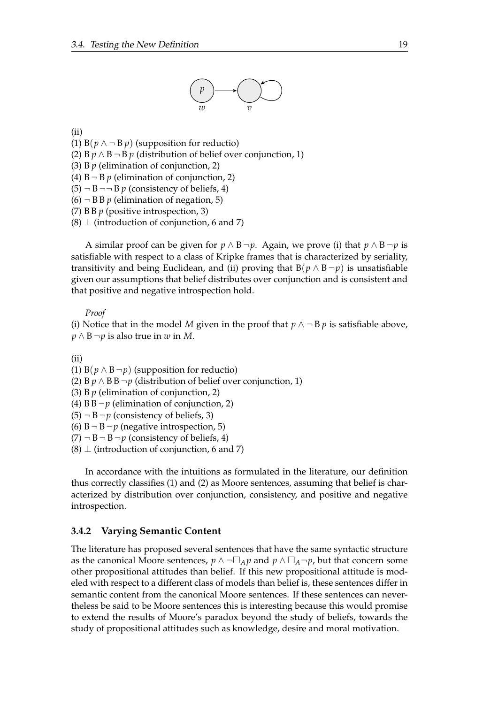

<span id="page-28-0"></span>(ii)

(1)  $B(p \land \neg B p)$  (supposition for reductio)

(2) B  $p \wedge B \neg B$  *p* (distribution of belief over conjunction, 1)

(3) B *p* (elimination of conjunction, 2)

(4)  $B \neg B p$  (elimination of conjunction, 2)

- $(5)$   $\neg$  B  $\neg$   $\neg$  B  $p$  (consistency of beliefs, 4)
- $(6)$   $\neg$  B B p (elimination of negation, 5)
- (7) B B *p* (positive introspection, 3)
- $(8)$   $\perp$  (introduction of conjunction, 6 and 7)

A similar proof can be given for  $p \wedge B \neg p$ . Again, we prove (i) that  $p \wedge B \neg p$  is satisfiable with respect to a class of Kripke frames that is characterized by seriality, transitivity and being Euclidean, and (ii) proving that  $B(p \wedge B \neg p)$  is unsatisfiable given our assumptions that belief distributes over conjunction and is consistent and that positive and negative introspection hold.

*Proof*

(i) Notice that in the model *M* given in the proof that  $p \wedge \neg B p$  is satisfiable above, *p* ∧ B ¬*p* is also true in *w* in *M*.

(ii)

(1)  $B(p \wedge B \neg p)$  (supposition for reductio)

(2) B  $p \wedge$  B B  $\neg p$  (distribution of belief over conjunction, 1)

- (3) B *p* (elimination of conjunction, 2)
- (4)  $B B \neg p$  (elimination of conjunction, 2)
- $(5)$   $\neg$  B  $\neg$ *p* (consistency of beliefs, 3)
- (6)  $B \neg B \neg p$  (negative introspection, 5)

 $(7)$   $\neg$  B  $\neg$  B  $\neg$  p (consistency of beliefs, 4)

 $(8)$   $\perp$  (introduction of conjunction, 6 and 7)

In accordance with the intuitions as formulated in the literature, our definition thus correctly classifies (1) and (2) as Moore sentences, assuming that belief is characterized by distribution over conjunction, consistency, and positive and negative introspection.

#### **3.4.2 Varying Semantic Content**

The literature has proposed several sentences that have the same syntactic structure as the canonical Moore sentences,  $p \wedge \neg \Box_A p$  and  $p \wedge \Box_A \neg p$ , but that concern some other propositional attitudes than belief. If this new propositional attitude is modeled with respect to a different class of models than belief is, these sentences differ in semantic content from the canonical Moore sentences. If these sentences can nevertheless be said to be Moore sentences this is interesting because this would promise to extend the results of Moore's paradox beyond the study of beliefs, towards the study of propositional attitudes such as knowledge, desire and moral motivation.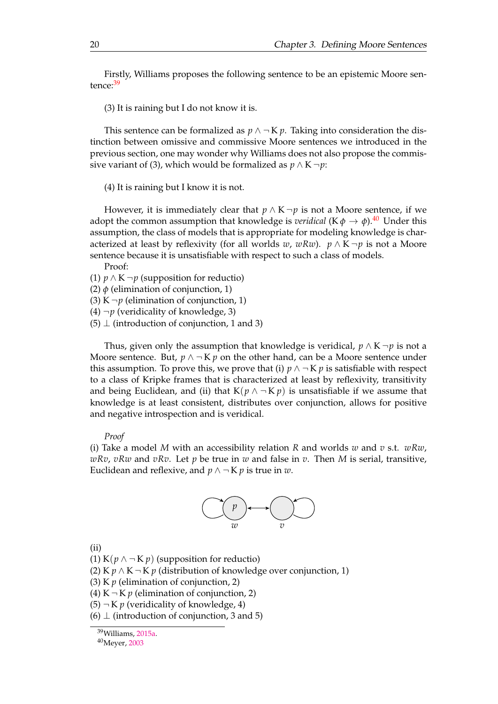<span id="page-29-0"></span>Firstly, Williams proposes the following sentence to be an epistemic Moore sen-tence:<sup>[39](#page-30-0)</sup>

(3) It is raining but I do not know it is.

This sentence can be formalized as  $p \wedge \neg K p$ . Taking into consideration the distinction between omissive and commissive Moore sentences we introduced in the previous section, one may wonder why Williams does not also propose the commissive variant of (3), which would be formalized as  $p \wedge K \neg p$ :

(4) It is raining but I know it is not.

However, it is immediately clear that  $p \wedge K \neg p$  is not a Moore sentence, if we adopt the common assumption that knowledge is *veridical* (K $\phi \rightarrow \phi$ ).<sup>[40](#page-30-0)</sup> Under this assumption, the class of models that is appropriate for modeling knowledge is characterized at least by reflexivity (for all worlds *w*, *wRw*). *p*  $\wedge$  K  $\neg$ *p* is not a Moore sentence because it is unsatisfiable with respect to such a class of models. Proof:

(1) *p* ∧ K ¬*p* (supposition for reductio)

(2)  $\phi$  (elimination of conjunction, 1)

(3) K  $\neg p$  (elimination of conjunction, 1)

(4)  $\neg p$  (veridicality of knowledge, 3)

 $(5)$   $\perp$  (introduction of conjunction, 1 and 3)

Thus, given only the assumption that knowledge is veridical,  $p \wedge K \neg p$  is not a Moore sentence. But,  $p \wedge \neg K p$  on the other hand, can be a Moore sentence under this assumption. To prove this, we prove that (i)  $p \land \neg K p$  is satisfiable with respect to a class of Kripke frames that is characterized at least by reflexivity, transitivity and being Euclidean, and (ii) that  $K(p \wedge \neg K p)$  is unsatisfiable if we assume that knowledge is at least consistent, distributes over conjunction, allows for positive and negative introspection and is veridical.

#### *Proof*

(i) Take a model *M* with an accessibility relation *R* and worlds *w* and *v* s.t. *wRw*, *wRv*, *vRw* and *vRv*. Let *p* be true in *w* and false in *v*. Then *M* is serial, transitive, Euclidean and reflexive, and  $p \wedge \neg K p$  is true in *w*.



(ii)

(1) K( $p \wedge \neg$ K $p$ ) (supposition for reductio)

(2) K  $p \wedge K \neg K p$  (distribution of knowledge over conjunction, 1)

(3) K *p* (elimination of conjunction, 2)

(4) K  $\neg$  K *p* (elimination of conjunction, 2)

 $(5)$   $\neg$  K *p* (veridicality of knowledge, 4)

 $(6)$   $\perp$  (introduction of conjunction, 3 and 5)

<sup>39</sup>Williams, 2015a.

<sup>40</sup>Meyer, [2003](#page-76-0)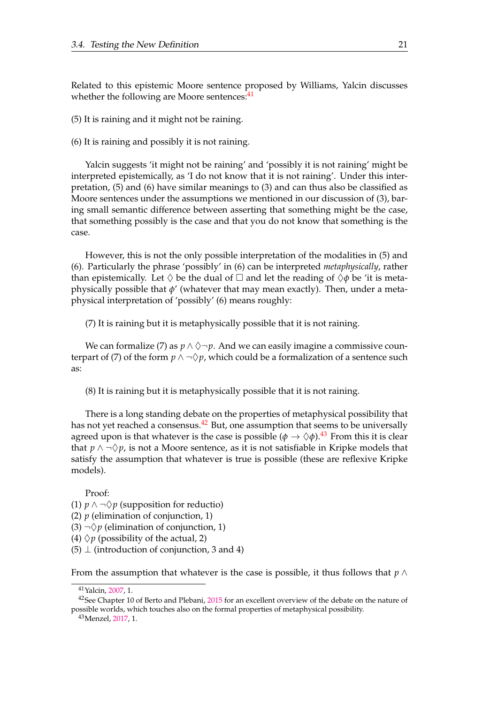<span id="page-30-0"></span>Related to this epistemic Moore sentence proposed by Williams, Yalcin discusses whether the following are Moore sentences:<sup>[41](#page-31-0)</sup>

(5) It is raining and it might not be raining.

(6) It is raining and possibly it is not raining.

Yalcin suggests 'it might not be raining' and 'possibly it is not raining' might be interpreted epistemically, as 'I do not know that it is not raining'. Under this interpretation, (5) and (6) have similar meanings to (3) and can thus also be classified as Moore sentences under the assumptions we mentioned in our discussion of (3), baring small semantic difference between asserting that something might be the case, that something possibly is the case and that you do not know that something is the case.

However, this is not the only possible interpretation of the modalities in (5) and (6). Particularly the phrase 'possibly' in (6) can be interpreted *metaphysically*, rather than epistemically. Let  $\Diamond$  be the dual of  $\Box$  and let the reading of  $\Diamond \phi$  be 'it is metaphysically possible that *φ*' (whatever that may mean exactly). Then, under a metaphysical interpretation of 'possibly' (6) means roughly:

(7) It is raining but it is metaphysically possible that it is not raining.

We can formalize (7) as  $p \wedge \Diamond \neg p$ . And we can easily imagine a commissive counterpart of (7) of the form  $p \wedge \neg \Diamond p$ , which could be a formalization of a sentence such as:

(8) It is raining but it is metaphysically possible that it is not raining.

There is a long standing debate on the properties of metaphysical possibility that has not yet reached a consensus.<sup>[42](#page-31-0)</sup> But, one assumption that seems to be universally agreed upon is that whatever is the case is possible  $(\phi \to \Diamond \phi)$ .<sup>[43](#page-31-0)</sup> From this it is clear that  $p \wedge \neg \Diamond p$ , is not a Moore sentence, as it is not satisfiable in Kripke models that satisfy the assumption that whatever is true is possible (these are reflexive Kripke models).

Proof: (1) *p* ∧  $\neg$   $\Diamond$ *p* (supposition for reductio) (2)  $p$  (elimination of conjunction, 1) (3)  $\neg$ \perimination of conjunction, 1) (4)  $\Diamond p$  (possibility of the actual, 2)  $(5)$   $\perp$  (introduction of conjunction, 3 and 4)

From the assumption that whatever is the case is possible, it thus follows that *p* ∧

<sup>43</sup>Menzel, [2017,](#page-76-0) 1.

<sup>41</sup>Yalcin, 2007, 1.

<sup>&</sup>lt;sup>42</sup>See Chapter 10 of Berto and Plebani, [2015](#page-75-0) for an excellent overview of the debate on the nature of possible worlds, which touches also on the formal properties of metaphysical possibility.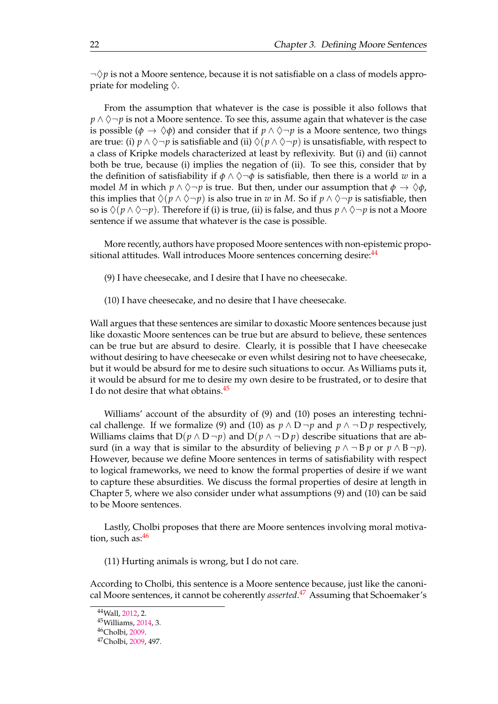<span id="page-31-0"></span> $\neg \Diamond p$  is not a Moore sentence, because it is not satisfiable on a class of models appropriate for modeling  $\Diamond$ .

From the assumption that whatever is the case is possible it also follows that  $p \wedge \Diamond \neg p$  is not a Moore sentence. To see this, assume again that whatever is the case is possible ( $\phi \to \Diamond \phi$ ) and consider that if  $p \land \Diamond \neg p$  is a Moore sentence, two things are true: (i)  $p \wedge \Diamond \neg p$  is satisfiable and (ii)  $\Diamond (p \wedge \Diamond \neg p)$  is unsatisfiable, with respect to a class of Kripke models characterized at least by reflexivity. But (i) and (ii) cannot both be true, because (i) implies the negation of (ii). To see this, consider that by the definition of satisfiability if  $\phi \land \Diamond \neg \phi$  is satisfiable, then there is a world *w* in a model *M* in which  $p \land \Diamond \neg p$  is true. But then, under our assumption that  $\phi \to \Diamond \phi$ , this implies that  $\Diamond(p \land \Diamond \neg p)$  is also true in *w* in *M*. So if  $p \land \Diamond \neg p$  is satisfiable, then so is  $\Diamond(p \land \Diamond \neg p)$ . Therefore if (i) is true, (ii) is false, and thus  $p \land \Diamond \neg p$  is not a Moore sentence if we assume that whatever is the case is possible.

More recently, authors have proposed Moore sentences with non-epistemic propo-sitional attitudes. Wall introduces Moore sentences concerning desire:<sup>[44](#page-32-0)</sup>

- (9) I have cheesecake, and I desire that I have no cheesecake.
- (10) I have cheesecake, and no desire that I have cheesecake.

Wall argues that these sentences are similar to doxastic Moore sentences because just like doxastic Moore sentences can be true but are absurd to believe, these sentences can be true but are absurd to desire. Clearly, it is possible that I have cheesecake without desiring to have cheesecake or even whilst desiring not to have cheesecake, but it would be absurd for me to desire such situations to occur. As Williams puts it, it would be absurd for me to desire my own desire to be frustrated, or to desire that I do not desire that what obtains.  $45$ 

Williams' account of the absurdity of (9) and (10) poses an interesting technical challenge. If we formalize (9) and (10) as  $p \wedge D \neg p$  and  $p \wedge \neg D p$  respectively, Williams claims that  $D(p \wedge D \neg p)$  and  $D(p \wedge \neg D p)$  describe situations that are absurd (in a way that is similar to the absurdity of believing  $p \wedge \neg Bp$  or  $p \wedge B \neg p$ ). However, because we define Moore sentences in terms of satisfiability with respect to logical frameworks, we need to know the formal properties of desire if we want to capture these absurdities. We discuss the formal properties of desire at length in Chapter 5, where we also consider under what assumptions (9) and (10) can be said to be Moore sentences.

Lastly, Cholbi proposes that there are Moore sentences involving moral motiva-tion, such as:<sup>[46](#page-32-0)</sup>

(11) Hurting animals is wrong, but I do not care.

According to Cholbi, this sentence is a Moore sentence because, just like the canonical Moore sentences, it cannot be coherently *asserted*. [47](#page-32-0) Assuming that Schoemaker's

<sup>44</sup>Wall, 2012, 2.

<sup>45</sup>Williams, 2014, 3.

<sup>46</sup>Cholbi, [2009.](#page-75-0)

<sup>47</sup>Cholbi, [2009,](#page-75-0) 497.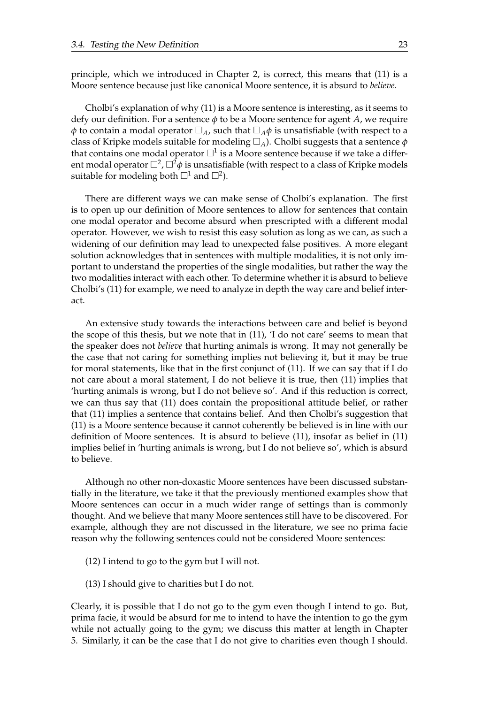<span id="page-32-0"></span>principle, which we introduced in Chapter 2, is correct, this means that (11) is a Moore sentence because just like canonical Moore sentence, it is absurd to *believe*.

Cholbi's explanation of why (11) is a Moore sentence is interesting, as it seems to defy our definition. For a sentence *φ* to be a Moore sentence for agent *A*, we require *φ* to contain a modal operator  $\Box_A$ , such that  $\Box_A \phi$  is unsatisfiable (with respect to a class of Kripke models suitable for modeling  $\Box_A$ ). Cholbi suggests that a sentence  $\phi$ that contains one modal operator  $\Box^1$  is a Moore sentence because if we take a different modal operator  $\Box^2$ ,  $\Box^2\phi$  is unsatisfiable (with respect to a class of Kripke models suitable for modeling both  $\square^1$  and  $\square^2$ ).

There are different ways we can make sense of Cholbi's explanation. The first is to open up our definition of Moore sentences to allow for sentences that contain one modal operator and become absurd when prescripted with a different modal operator. However, we wish to resist this easy solution as long as we can, as such a widening of our definition may lead to unexpected false positives. A more elegant solution acknowledges that in sentences with multiple modalities, it is not only important to understand the properties of the single modalities, but rather the way the two modalities interact with each other. To determine whether it is absurd to believe Cholbi's (11) for example, we need to analyze in depth the way care and belief interact.

An extensive study towards the interactions between care and belief is beyond the scope of this thesis, but we note that in (11), 'I do not care' seems to mean that the speaker does not *believe* that hurting animals is wrong. It may not generally be the case that not caring for something implies not believing it, but it may be true for moral statements, like that in the first conjunct of (11). If we can say that if I do not care about a moral statement, I do not believe it is true, then (11) implies that 'hurting animals is wrong, but I do not believe so'. And if this reduction is correct, we can thus say that (11) does contain the propositional attitude belief, or rather that (11) implies a sentence that contains belief. And then Cholbi's suggestion that (11) is a Moore sentence because it cannot coherently be believed is in line with our definition of Moore sentences. It is absurd to believe (11), insofar as belief in (11) implies belief in 'hurting animals is wrong, but I do not believe so', which is absurd to believe.

Although no other non-doxastic Moore sentences have been discussed substantially in the literature, we take it that the previously mentioned examples show that Moore sentences can occur in a much wider range of settings than is commonly thought. And we believe that many Moore sentences still have to be discovered. For example, although they are not discussed in the literature, we see no prima facie reason why the following sentences could not be considered Moore sentences:

- (12) I intend to go to the gym but I will not.
- (13) I should give to charities but I do not.

Clearly, it is possible that I do not go to the gym even though I intend to go. But, prima facie, it would be absurd for me to intend to have the intention to go the gym while not actually going to the gym; we discuss this matter at length in Chapter 5. Similarly, it can be the case that I do not give to charities even though I should.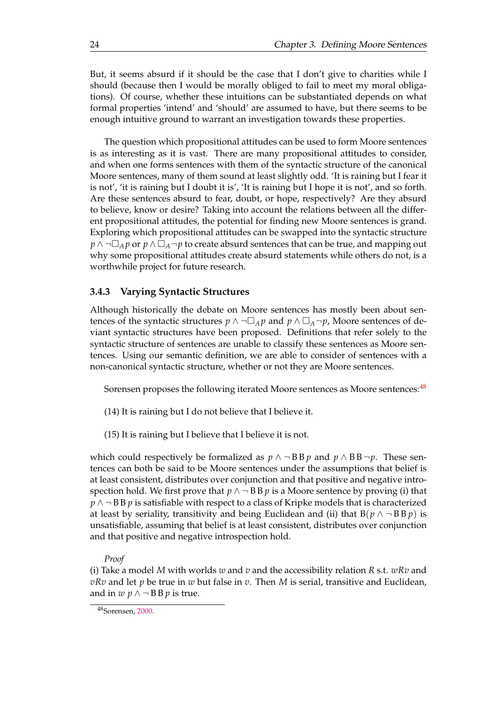But, it seems absurd if it should be the case that I don't give to charities while I should (because then I would be morally obliged to fail to meet my moral obligations). Of course, whether these intuitions can be substantiated depends on what formal properties 'intend' and 'should' are assumed to have, but there seems to be enough intuitive ground to warrant an investigation towards these properties.

The question which propositional attitudes can be used to form Moore sentences is as interesting as it is vast. There are many propositional attitudes to consider, and when one forms sentences with them of the syntactic structure of the canonical Moore sentences, many of them sound at least slightly odd. 'It is raining but I fear it is not', 'it is raining but I doubt it is', 'It is raining but I hope it is not', and so forth. Are these sentences absurd to fear, doubt, or hope, respectively? Are they absurd to believe, know or desire? Taking into account the relations between all the different propositional attitudes, the potential for finding new Moore sentences is grand. Exploring which propositional attitudes can be swapped into the syntactic structure *p* ∧ ¬ $\Box_A p$  or *p* ∧  $\Box_A \neg p$  to create absurd sentences that can be true, and mapping out why some propositional attitudes create absurd statements while others do not, is a worthwhile project for future research.

#### **3.4.3 Varying Syntactic Structures**

Although historically the debate on Moore sentences has mostly been about sentences of the syntactic structures  $p \wedge \neg \Box_A p$  and  $p \wedge \Box_A \neg p$ , Moore sentences of deviant syntactic structures have been proposed. Definitions that refer solely to the syntactic structure of sentences are unable to classify these sentences as Moore sentences. Using our semantic definition, we are able to consider of sentences with a non-canonical syntactic structure, whether or not they are Moore sentences.

Sorensen proposes the following iterated Moore sentences as Moore sentences:<sup>[48](#page-34-0)</sup>

- (14) It is raining but I do not believe that I believe it.
- (15) It is raining but I believe that I believe it is not.

which could respectively be formalized as  $p \wedge \neg BB p$  and  $p \wedge BB \neg p$ . These sentences can both be said to be Moore sentences under the assumptions that belief is at least consistent, distributes over conjunction and that positive and negative introspection hold. We first prove that  $p \wedge \neg B B p$  is a Moore sentence by proving (i) that *p* ∧ ¬ B B *p* is satisfiable with respect to a class of Kripke models that is characterized at least by seriality, transitivity and being Euclidean and (ii) that  $B(p \wedge \neg B B p)$  is unsatisfiable, assuming that belief is at least consistent, distributes over conjunction and that positive and negative introspection hold.

#### *Proof*

(i) Take a model *M* with worlds *w* and *v* and the accessibility relation *R* s.t. *wRv* and *vRv* and let *p* be true in *w* but false in *v*. Then *M* is serial, transitive and Euclidean, and in  $w$   $p \wedge \neg$  BB  $p$  is true.

<sup>48</sup>Sorensen, 2000.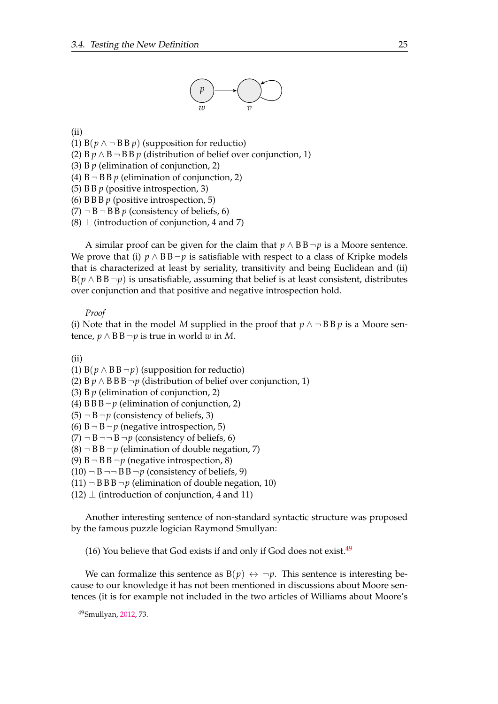

<span id="page-34-0"></span>(ii)

(1)  $B(p \land \neg B B p)$  (supposition for reductio)

- (2) B  $p \wedge B$  ¬ B  $p$  (distribution of belief over conjunction, 1)
- (3) B *p* (elimination of conjunction, 2)
- (4)  $B \neg B B p$  (elimination of conjunction, 2)

(5) B B *p* (positive introspection, 3)

- (6) B B B *p* (positive introspection, 5)
- $(7)$   $\neg$  B  $\neg$  B B  $p$  (consistency of beliefs, 6)
- $(8)$   $\perp$  (introduction of conjunction, 4 and 7)

A similar proof can be given for the claim that  $p \wedge BB \neg p$  is a Moore sentence. We prove that (i)  $p \wedge BB \neg p$  is satisfiable with respect to a class of Kripke models that is characterized at least by seriality, transitivity and being Euclidean and (ii)  $B(p \wedge BB \neg p)$  is unsatisfiable, assuming that belief is at least consistent, distributes over conjunction and that positive and negative introspection hold.

*Proof*

(i) Note that in the model *M* supplied in the proof that  $p \wedge \neg BB p$  is a Moore sentence, *p* ∧ B B ¬*p* is true in world *w* in *M*.

(ii)

(1) B( $p \wedge$  BB ¬ $p$ ) (supposition for reductio)

(2) B  $p \wedge B B B \neg p$  (distribution of belief over conjunction, 1)

(3) B *p* (elimination of conjunction, 2)

(4)  $B B \neg p$  (elimination of conjunction, 2)

- $(5)$   $\neg$  B  $\neg$ *p* (consistency of beliefs, 3)
- (6)  $B \neg B \neg p$  (negative introspection, 5)
- $(7)$   $\neg$  B  $\neg$  B  $\neg$  p (consistency of beliefs, 6)
- $(8)$   $\neg$  B  $\neg$  *p* (elimination of double negation, 7)
- (9)  $B \neg B B \neg p$  (negative introspection, 8)
- $(10)$   $\neg$  B  $\neg$  B B  $\neg$ *p* (consistency of beliefs, 9)
- $(11)$   $\neg$  B B  $\neg$  *p* (elimination of double negation, 10)
- $(12)$   $\perp$  (introduction of conjunction, 4 and 11)

Another interesting sentence of non-standard syntactic structure was proposed by the famous puzzle logician Raymond Smullyan:

(16) You believe that God exists if and only if God does not exist.  $49$ 

We can formalize this sentence as  $B(p) \leftrightarrow \neg p$ . This sentence is interesting because to our knowledge it has not been mentioned in discussions about Moore sentences (it is for example not included in the two articles of Williams about Moore's

<sup>49</sup>Smullyan, 2012, 73.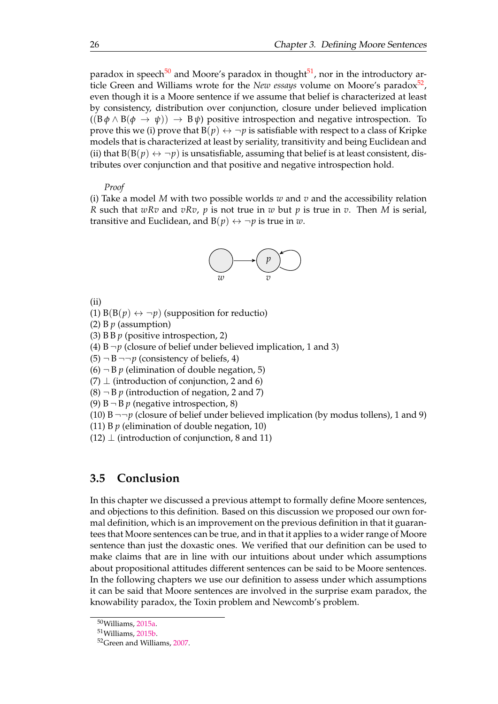<span id="page-35-0"></span>paradox in speech<sup>[50](#page-36-0)</sup> and Moore's paradox in thought<sup>[51](#page-36-0)</sup>, nor in the introductory article Green and Williams wrote for the *New essays* volume on Moore's paradox<sup>[52](#page-36-0)</sup>, even though it is a Moore sentence if we assume that belief is characterized at least by consistency, distribution over conjunction, closure under believed implication  $((B \phi \wedge B(\phi \rightarrow \psi)) \rightarrow B \psi)$  positive introspection and negative introspection. To prove this we (i) prove that  $B(p) \leftrightarrow \neg p$  is satisfiable with respect to a class of Kripke models that is characterized at least by seriality, transitivity and being Euclidean and (ii) that  $B(B(p) \leftrightarrow \neg p)$  is unsatisfiable, assuming that belief is at least consistent, distributes over conjunction and that positive and negative introspection hold.

#### *Proof*

(i) Take a model *M* with two possible worlds *w* and *v* and the accessibility relation *R* such that *wRv* and *vRv*, *p* is not true in *w* but *p* is true in *v*. Then *M* is serial, transitive and Euclidean, and  $B(p) \leftrightarrow \neg p$  is true in *w*.



(ii)

(1)  $B(B(p) \leftrightarrow \neg p)$  (supposition for reductio)

(2) B *p* (assumption)

(3) B B *p* (positive introspection, 2)

(4)  $B \neg p$  (closure of belief under believed implication, 1 and 3)

 $(5)$   $\neg$  B  $\neg$   $\neg$ *p* (consistency of beliefs, 4)

 $(6)$   $\neg$  *B p* (elimination of double negation, 5)

 $(7)$   $\perp$  (introduction of conjunction, 2 and 6)

 $(8)$   $\neg$  B  $p$  (introduction of negation, 2 and 7)

(9)  $B \neg B p$  (negative introspection, 8)

(10) B  $\neg\neg p$  (closure of belief under believed implication (by modus tollens), 1 and 9)

(11) B *p* (elimination of double negation, 10)

 $(12)$   $\perp$  (introduction of conjunction, 8 and 11)

### **3.5 Conclusion**

In this chapter we discussed a previous attempt to formally define Moore sentences, and objections to this definition. Based on this discussion we proposed our own formal definition, which is an improvement on the previous definition in that it guarantees that Moore sentences can be true, and in that it applies to a wider range of Moore sentence than just the doxastic ones. We verified that our definition can be used to make claims that are in line with our intuitions about under which assumptions about propositional attitudes different sentences can be said to be Moore sentences. In the following chapters we use our definition to assess under which assumptions it can be said that Moore sentences are involved in the surprise exam paradox, the knowability paradox, the Toxin problem and Newcomb's problem.

<sup>50</sup>Williams, 2015a.

<sup>51</sup>Williams, 2015b.

<sup>52</sup>Green and Williams, [2007.](#page-76-0)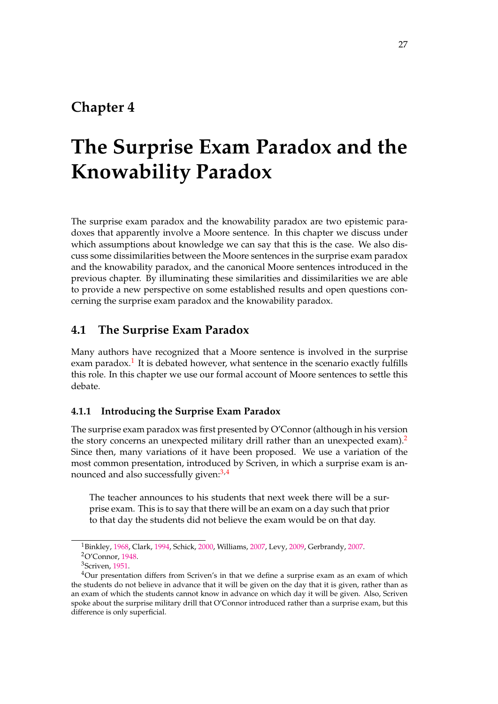# **Chapter 4**

# **The Surprise Exam Paradox and the Knowability Paradox**

The surprise exam paradox and the knowability paradox are two epistemic paradoxes that apparently involve a Moore sentence. In this chapter we discuss under which assumptions about knowledge we can say that this is the case. We also discuss some dissimilarities between the Moore sentences in the surprise exam paradox and the knowability paradox, and the canonical Moore sentences introduced in the previous chapter. By illuminating these similarities and dissimilarities we are able to provide a new perspective on some established results and open questions concerning the surprise exam paradox and the knowability paradox.

# **4.1 The Surprise Exam Paradox**

Many authors have recognized that a Moore sentence is involved in the surprise exam paradox.<sup>[1](#page-37-0)</sup> It is debated however, what sentence in the scenario exactly fulfills this role. In this chapter we use our formal account of Moore sentences to settle this debate.

# **4.1.1 Introducing the Surprise Exam Paradox**

The surprise exam paradox was first presented by O'Connor (although in his version the story concerns an unexpected military drill rather than an unexpected exam).<sup>[2](#page-37-0)</sup> Since then, many variations of it have been proposed. We use a variation of the most common presentation, introduced by Scriven, in which a surprise exam is an-nounced and also successfully given:<sup>[3,4](#page-37-0)</sup>

The teacher announces to his students that next week there will be a surprise exam. This is to say that there will be an exam on a day such that prior to that day the students did not believe the exam would be on that day.

<sup>1</sup>Binkley, [1968,](#page-75-0) Clark, [1994,](#page-75-0) Schick, [2000,](#page-76-0) Williams, 2007, Levy, [2009,](#page-76-0) Gerbrandy, [2007.](#page-75-0) <sup>2</sup>O'Connor, [1948.](#page-76-0)

<sup>3</sup>Scriven, [1951.](#page-76-0)

<sup>&</sup>lt;sup>4</sup>Our presentation differs from Scriven's in that we define a surprise exam as an exam of which the students do not believe in advance that it will be given on the day that it is given, rather than as an exam of which the students cannot know in advance on which day it will be given. Also, Scriven spoke about the surprise military drill that O'Connor introduced rather than a surprise exam, but this difference is only superficial.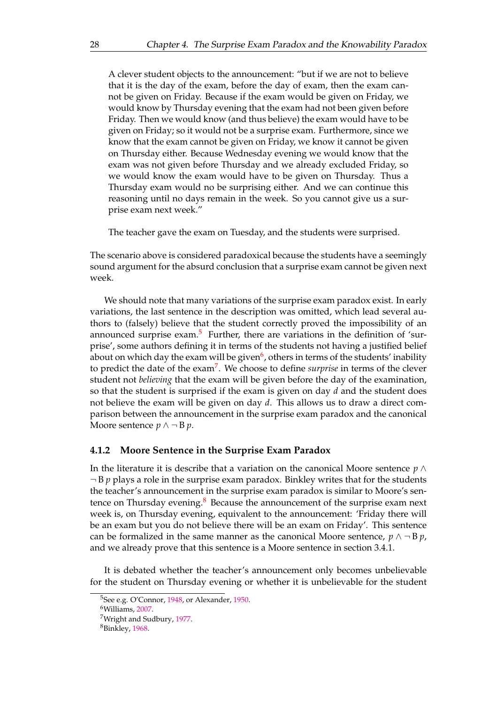<span id="page-37-0"></span>A clever student objects to the announcement: "but if we are not to believe that it is the day of the exam, before the day of exam, then the exam cannot be given on Friday. Because if the exam would be given on Friday, we would know by Thursday evening that the exam had not been given before Friday. Then we would know (and thus believe) the exam would have to be given on Friday; so it would not be a surprise exam. Furthermore, since we know that the exam cannot be given on Friday, we know it cannot be given on Thursday either. Because Wednesday evening we would know that the exam was not given before Thursday and we already excluded Friday, so we would know the exam would have to be given on Thursday. Thus a Thursday exam would no be surprising either. And we can continue this reasoning until no days remain in the week. So you cannot give us a surprise exam next week."

The teacher gave the exam on Tuesday, and the students were surprised.

The scenario above is considered paradoxical because the students have a seemingly sound argument for the absurd conclusion that a surprise exam cannot be given next week.

We should note that many variations of the surprise exam paradox exist. In early variations, the last sentence in the description was omitted, which lead several authors to (falsely) believe that the student correctly proved the impossibility of an announced surprise exam.<sup>[5](#page-38-0)</sup> Further, there are variations in the definition of 'surprise', some authors defining it in terms of the students not having a justified belief about on which day the exam will be given<sup>[6](#page-38-0)</sup>, others in terms of the students' inability to predict the date of the exam[7](#page-38-0) . We choose to define *surprise* in terms of the clever student not *believing* that the exam will be given before the day of the examination, so that the student is surprised if the exam is given on day *d* and the student does not believe the exam will be given on day *d*. This allows us to draw a direct comparison between the announcement in the surprise exam paradox and the canonical Moore sentence  $p \wedge \neg B p$ .

# **4.1.2 Moore Sentence in the Surprise Exam Paradox**

In the literature it is describe that a variation on the canonical Moore sentence *p* ∧  $\neg$  B  $p$  plays a role in the surprise exam paradox. Binkley writes that for the students the teacher's announcement in the surprise exam paradox is similar to Moore's sentence on Thursday evening. $8$  Because the announcement of the surprise exam next week is, on Thursday evening, equivalent to the announcement: 'Friday there will be an exam but you do not believe there will be an exam on Friday'. This sentence can be formalized in the same manner as the canonical Moore sentence,  $p \wedge \neg B p$ , and we already prove that this sentence is a Moore sentence in section 3.4.1.

It is debated whether the teacher's announcement only becomes unbelievable for the student on Thursday evening or whether it is unbelievable for the student

<sup>&</sup>lt;sup>5</sup>See e.g. O'Connor, [1948,](#page-76-0) or Alexander, [1950.](#page-75-0)

<sup>6</sup>Williams, 2007.

<sup>7</sup>Wright and Sudbury, 1977.

<sup>8</sup>Binkley, [1968.](#page-75-0)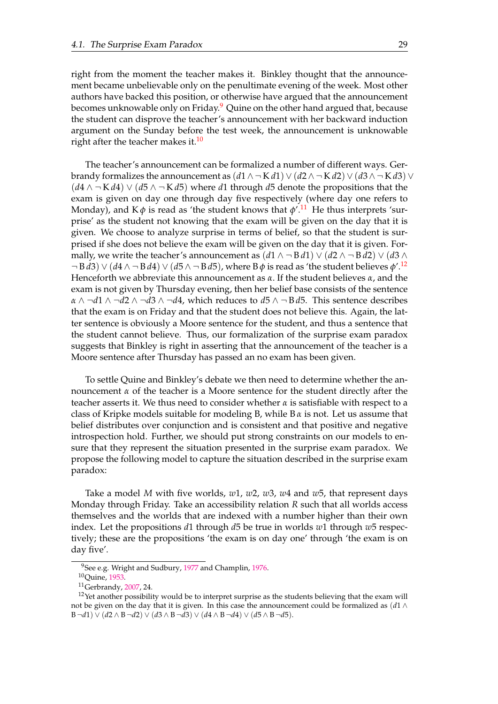<span id="page-38-0"></span>right from the moment the teacher makes it. Binkley thought that the announcement became unbelievable only on the penultimate evening of the week. Most other authors have backed this position, or otherwise have argued that the announcement becomes unknowable only on Friday.<sup>[9](#page-39-0)</sup> Quine on the other hand argued that, because the student can disprove the teacher's announcement with her backward induction argument on the Sunday before the test week, the announcement is unknowable right after the teacher makes it.<sup>[10](#page-39-0)</sup>

The teacher's announcement can be formalized a number of different ways. Gerbrandy formalizes the announcement as  $(d1 \wedge \neg K d1) \vee (d2 \wedge \neg K d2) \vee (d3 \wedge \neg K d3) \vee$ (*d*4 ∧ ¬ K *d*4) ∨ (*d*5 ∧ ¬ K *d*5) where *d*1 through *d*5 denote the propositions that the exam is given on day one through day five respectively (where day one refers to Monday), and K $\phi$  is read as 'the student knows that  $\phi'^{11}$  $\phi'^{11}$  $\phi'^{11}$ . He thus interprets 'surprise' as the student not knowing that the exam will be given on the day that it is given. We choose to analyze surprise in terms of belief, so that the student is surprised if she does not believe the exam will be given on the day that it is given. Formally, we write the teacher's announcement as  $(d1 \land \neg B d1) \lor (d2 \land \neg B d2) \lor (d3 \land \neg B d2)$ ¬ B *d*3) ∨ (*d*4 ∧ ¬ B *d*4) ∨ (*d*5 ∧ ¬ B *d*5), where B *φ* is read as 'the student believes *φ*'.[12](#page-39-0) Henceforth we abbreviate this announcement as *α*. If the student believes *α*, and the exam is not given by Thursday evening, then her belief base consists of the sentence *α* ∧ ¬*d*1 ∧ ¬*d*2 ∧ ¬*d*3 ∧ ¬*d*4, which reduces to *d*5 ∧ ¬ B *d*5. This sentence describes that the exam is on Friday and that the student does not believe this. Again, the latter sentence is obviously a Moore sentence for the student, and thus a sentence that the student cannot believe. Thus, our formalization of the surprise exam paradox suggests that Binkley is right in asserting that the announcement of the teacher is a Moore sentence after Thursday has passed an no exam has been given.

To settle Quine and Binkley's debate we then need to determine whether the announcement *α* of the teacher is a Moore sentence for the student directly after the teacher asserts it. We thus need to consider whether *α* is satisfiable with respect to a class of Kripke models suitable for modeling B, while B *α* is not. Let us assume that belief distributes over conjunction and is consistent and that positive and negative introspection hold. Further, we should put strong constraints on our models to ensure that they represent the situation presented in the surprise exam paradox. We propose the following model to capture the situation described in the surprise exam paradox:

Take a model *M* with five worlds, *w*1, *w*2, *w*3, *w*4 and *w*5, that represent days Monday through Friday. Take an accessibility relation *R* such that all worlds access themselves and the worlds that are indexed with a number higher than their own index. Let the propositions *d*1 through *d*5 be true in worlds *w*1 through *w*5 respectively; these are the propositions 'the exam is on day one' through 'the exam is on day five'.

 $9$ See e.g. Wright and Sudbury, 1977 and Champlin, [1976.](#page-75-0)

<sup>10</sup>Quine, [1953.](#page-76-0)

<sup>11</sup>Gerbrandy, [2007,](#page-75-0) 24.

 $12$ Yet another possibility would be to interpret surprise as the students believing that the exam will not be given on the day that it is given. In this case the announcement could be formalized as (*d*1 ∧ B ¬*d*1) ∨ (*d*2 ∧ B ¬*d*2) ∨ (*d*3 ∧ B ¬*d*3) ∨ (*d*4 ∧ B ¬*d*4) ∨ (*d*5 ∧ B ¬*d*5).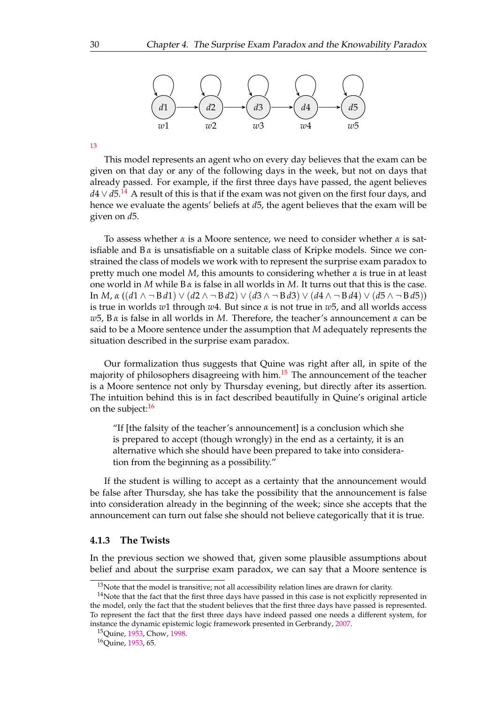<span id="page-39-0"></span>

[13](#page-40-0)

This model represents an agent who on every day believes that the exam can be given on that day or any of the following days in the week, but not on days that already passed. For example, if the first three days have passed, the agent believes *d*4 ∨ *d*5.<sup>[14](#page-40-0)</sup> A result of this is that if the exam was not given on the first four days, and hence we evaluate the agents' beliefs at *d*5, the agent believes that the exam will be given on *d*5.

To assess whether *α* is a Moore sentence, we need to consider whether *α* is satisfiable and  $B\alpha$  is unsatisfiable on a suitable class of Kripke models. Since we constrained the class of models we work with to represent the surprise exam paradox to pretty much one model *M*, this amounts to considering whether *α* is true in at least one world in *M* while B *α* is false in all worlds in *M*. It turns out that this is the case. In *M*, *α* ((*d*1 ∧ ¬ B *d*1) ∨ (*d*2 ∧ ¬ B *d*2) ∨ (*d*3 ∧ ¬ B *d*3) ∨ (*d*4 ∧ ¬ B *d*4) ∨ (*d*5 ∧ ¬ B *d*5)) is true in worlds *w*1 through *w*4. But since *α* is not true in *w*5, and all worlds access *w*5, B *α* is false in all worlds in *M*. Therefore, the teacher's announcement *α* can be said to be a Moore sentence under the assumption that *M* adequately represents the situation described in the surprise exam paradox.

Our formalization thus suggests that Quine was right after all, in spite of the majority of philosophers disagreeing with him.<sup>[15](#page-40-0)</sup> The announcement of the teacher is a Moore sentence not only by Thursday evening, but directly after its assertion. The intuition behind this is in fact described beautifully in Quine's original article on the subject:<sup>[16](#page-40-0)</sup>

"If [the falsity of the teacher's announcement] is a conclusion which she is prepared to accept (though wrongly) in the end as a certainty, it is an alternative which she should have been prepared to take into consideration from the beginning as a possibility."

If the student is willing to accept as a certainty that the announcement would be false after Thursday, she has take the possibility that the announcement is false into consideration already in the beginning of the week; since she accepts that the announcement can turn out false she should not believe categorically that it is true.

# **4.1.3 The Twists**

In the previous section we showed that, given some plausible assumptions about belief and about the surprise exam paradox, we can say that a Moore sentence is

 $13$ Note that the model is transitive; not all accessibility relation lines are drawn for clarity.

 $14$ Note that the fact that the first three days have passed in this case is not explicitly represented in the model, only the fact that the student believes that the first three days have passed is represented. To represent the fact that the first three days have indeed passed one needs a different system, for instance the dynamic epistemic logic framework presented in Gerbrandy, [2007.](#page-75-0)

<sup>15</sup>Quine, [1953,](#page-76-0) Chow, [1998.](#page-75-0)

<sup>16</sup>Quine, [1953,](#page-76-0) 65.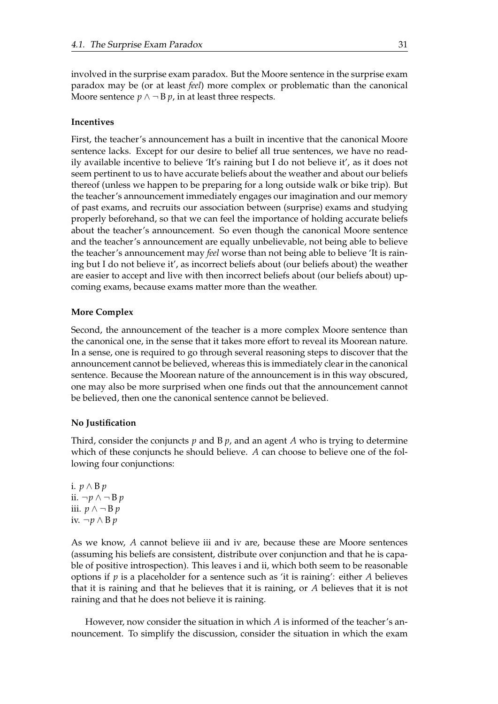<span id="page-40-0"></span>involved in the surprise exam paradox. But the Moore sentence in the surprise exam paradox may be (or at least *feel*) more complex or problematic than the canonical Moore sentence  $p \wedge \neg B p$ , in at least three respects.

# **Incentives**

First, the teacher's announcement has a built in incentive that the canonical Moore sentence lacks. Except for our desire to belief all true sentences, we have no readily available incentive to believe 'It's raining but I do not believe it', as it does not seem pertinent to us to have accurate beliefs about the weather and about our beliefs thereof (unless we happen to be preparing for a long outside walk or bike trip). But the teacher's announcement immediately engages our imagination and our memory of past exams, and recruits our association between (surprise) exams and studying properly beforehand, so that we can feel the importance of holding accurate beliefs about the teacher's announcement. So even though the canonical Moore sentence and the teacher's announcement are equally unbelievable, not being able to believe the teacher's announcement may *feel* worse than not being able to believe 'It is raining but I do not believe it', as incorrect beliefs about (our beliefs about) the weather are easier to accept and live with then incorrect beliefs about (our beliefs about) upcoming exams, because exams matter more than the weather.

# **More Complex**

Second, the announcement of the teacher is a more complex Moore sentence than the canonical one, in the sense that it takes more effort to reveal its Moorean nature. In a sense, one is required to go through several reasoning steps to discover that the announcement cannot be believed, whereas this is immediately clear in the canonical sentence. Because the Moorean nature of the announcement is in this way obscured, one may also be more surprised when one finds out that the announcement cannot be believed, then one the canonical sentence cannot be believed.

#### **No Justification**

Third, consider the conjuncts *p* and B *p*, and an agent *A* who is trying to determine which of these conjuncts he should believe. *A* can choose to believe one of the following four conjunctions:

i. *p* ∧ B *p* ii. ¬*p* ∧ ¬ B *p* iii. *p* ∧ ¬ B *p* iv. ¬*p* ∧ B *p*

As we know, *A* cannot believe iii and iv are, because these are Moore sentences (assuming his beliefs are consistent, distribute over conjunction and that he is capable of positive introspection). This leaves i and ii, which both seem to be reasonable options if *p* is a placeholder for a sentence such as 'it is raining': either *A* believes that it is raining and that he believes that it is raining, or *A* believes that it is not raining and that he does not believe it is raining.

However, now consider the situation in which *A* is informed of the teacher's announcement. To simplify the discussion, consider the situation in which the exam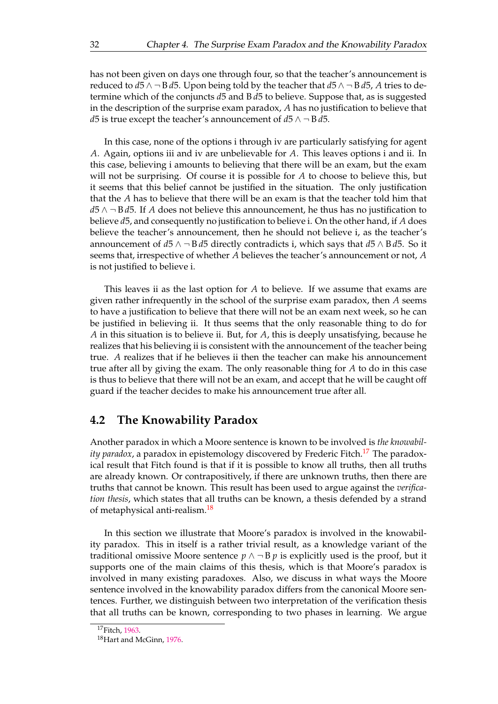has not been given on days one through four, so that the teacher's announcement is reduced to  $d5 \wedge \neg B d5$ . Upon being told by the teacher that  $d5 \wedge \neg B d5$ , *A* tries to determine which of the conjuncts *d*5 and B *d*5 to believe. Suppose that, as is suggested in the description of the surprise exam paradox, *A* has no justification to believe that *d*5 is true except the teacher's announcement of *d*5 ∧ ¬ B *d*5.

In this case, none of the options i through iv are particularly satisfying for agent *A*. Again, options iii and iv are unbelievable for *A*. This leaves options i and ii. In this case, believing i amounts to believing that there will be an exam, but the exam will not be surprising. Of course it is possible for *A* to choose to believe this, but it seems that this belief cannot be justified in the situation. The only justification that the *A* has to believe that there will be an exam is that the teacher told him that *d*5 ∧ ¬ B *d*5. If *A* does not believe this announcement, he thus has no justification to believe *d*5, and consequently no justification to believe i. On the other hand, if *A* does believe the teacher's announcement, then he should not believe i, as the teacher's announcement of *d*5 ∧ ¬ B *d*5 directly contradicts i, which says that *d*5 ∧ B *d*5. So it seems that, irrespective of whether *A* believes the teacher's announcement or not, *A* is not justified to believe i.

This leaves ii as the last option for *A* to believe. If we assume that exams are given rather infrequently in the school of the surprise exam paradox, then *A* seems to have a justification to believe that there will not be an exam next week, so he can be justified in believing ii. It thus seems that the only reasonable thing to do for *A* in this situation is to believe ii. But, for *A*, this is deeply unsatisfying, because he realizes that his believing ii is consistent with the announcement of the teacher being true. *A* realizes that if he believes ii then the teacher can make his announcement true after all by giving the exam. The only reasonable thing for *A* to do in this case is thus to believe that there will not be an exam, and accept that he will be caught off guard if the teacher decides to make his announcement true after all.

# **4.2 The Knowability Paradox**

Another paradox in which a Moore sentence is known to be involved is *the knowability paradox*, a paradox in epistemology discovered by Frederic Fitch.<sup>[17](#page-42-0)</sup> The paradoxical result that Fitch found is that if it is possible to know all truths, then all truths are already known. Or contrapositively, if there are unknown truths, then there are truths that cannot be known. This result has been used to argue against the *verification thesis*, which states that all truths can be known, a thesis defended by a strand of metaphysical anti-realism.<sup>[18](#page-42-0)</sup>

In this section we illustrate that Moore's paradox is involved in the knowability paradox. This in itself is a rather trivial result, as a knowledge variant of the traditional omissive Moore sentence  $p \wedge \neg B p$  is explicitly used is the proof, but it supports one of the main claims of this thesis, which is that Moore's paradox is involved in many existing paradoxes. Also, we discuss in what ways the Moore sentence involved in the knowability paradox differs from the canonical Moore sentences. Further, we distinguish between two interpretation of the verification thesis that all truths can be known, corresponding to two phases in learning. We argue

<sup>17</sup>Fitch, [1963.](#page-75-0)

<sup>18</sup>Hart and McGinn, [1976.](#page-76-0)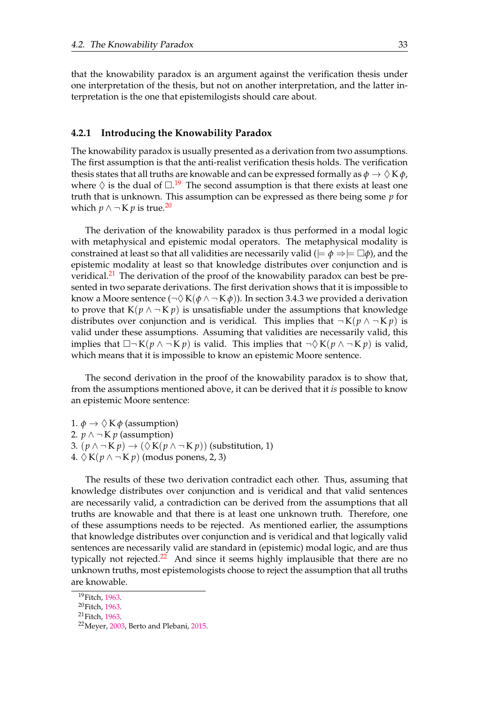<span id="page-42-0"></span>that the knowability paradox is an argument against the verification thesis under one interpretation of the thesis, but not on another interpretation, and the latter interpretation is the one that epistemilogists should care about.

# **4.2.1 Introducing the Knowability Paradox**

The knowability paradox is usually presented as a derivation from two assumptions. The first assumption is that the anti-realist verification thesis holds. The verification thesis states that all truths are knowable and can be expressed formally as  $\phi \to \Diamond K \phi$ , where  $\Diamond$  is the dual of  $\square$ .<sup>[19](#page-43-0)</sup> The second assumption is that there exists at least one truth that is unknown. This assumption can be expressed as there being some *p* for which *p* ∧  $\neg$  K *p* is true.<sup>[20](#page-43-0)</sup>

The derivation of the knowability paradox is thus performed in a modal logic with metaphysical and epistemic modal operators. The metaphysical modality is constrained at least so that all validities are necessarily valid ( $\models \phi \Rightarrow \models \Box \phi$ ), and the epistemic modality at least so that knowledge distributes over conjunction and is veridical.<sup>[21](#page-43-0)</sup> The derivation of the proof of the knowability paradox can best be presented in two separate derivations. The first derivation shows that it is impossible to know a Moore sentence ( $\neg \Diamond K(\phi \land \neg K \phi)$ ). In section 3.4.3 we provided a derivation to prove that  $K(p \wedge \neg K p)$  is unsatisfiable under the assumptions that knowledge distributes over conjunction and is veridical. This implies that  $\neg K(p \land \neg K p)$  is valid under these assumptions. Assuming that validities are necessarily valid, this implies that  $\Box\neg K(p \land \neg K p)$  is valid. This implies that  $\neg \Diamond K(p \land \neg K p)$  is valid, which means that it is impossible to know an epistemic Moore sentence.

The second derivation in the proof of the knowability paradox is to show that, from the assumptions mentioned above, it can be derived that it *is* possible to know an epistemic Moore sentence:

1.  $\phi \rightarrow \Diamond K \phi$  (assumption) 2.  $p \wedge \neg K p$  (assumption) 3.  $(p \land \neg K p) \rightarrow (\Diamond K(p \land \neg K p))$  (substitution, 1) 4.  $\Diamond K(p \land \neg K p)$  (modus ponens, 2, 3)

The results of these two derivation contradict each other. Thus, assuming that knowledge distributes over conjunction and is veridical and that valid sentences are necessarily valid, a contradiction can be derived from the assumptions that all truths are knowable and that there is at least one unknown truth. Therefore, one of these assumptions needs to be rejected. As mentioned earlier, the assumptions that knowledge distributes over conjunction and is veridical and that logically valid sentences are necessarily valid are standard in (epistemic) modal logic, and are thus typically not rejected.<sup>[22](#page-43-0)</sup> And since it seems highly implausible that there are no unknown truths, most epistemologists choose to reject the assumption that all truths are knowable.

<sup>19</sup>Fitch, [1963.](#page-75-0)

<sup>20</sup>Fitch, [1963.](#page-75-0)

<sup>21</sup>Fitch, [1963.](#page-75-0)

<sup>22</sup>Meyer, [2003,](#page-76-0) Berto and Plebani, [2015.](#page-75-0)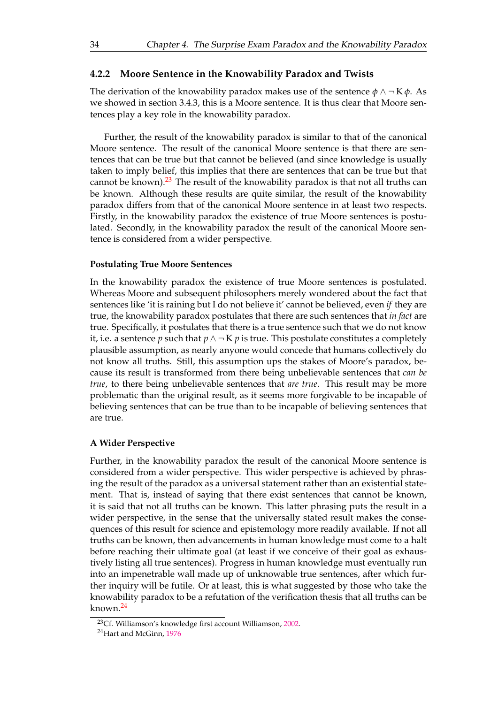## <span id="page-43-0"></span>**4.2.2 Moore Sentence in the Knowability Paradox and Twists**

The derivation of the knowability paradox makes use of the sentence  $\phi \wedge \neg K \phi$ . As we showed in section 3.4.3, this is a Moore sentence. It is thus clear that Moore sentences play a key role in the knowability paradox.

Further, the result of the knowability paradox is similar to that of the canonical Moore sentence. The result of the canonical Moore sentence is that there are sentences that can be true but that cannot be believed (and since knowledge is usually taken to imply belief, this implies that there are sentences that can be true but that cannot be known).<sup>[23](#page-44-0)</sup> The result of the knowability paradox is that not all truths can be known. Although these results are quite similar, the result of the knowability paradox differs from that of the canonical Moore sentence in at least two respects. Firstly, in the knowability paradox the existence of true Moore sentences is postulated. Secondly, in the knowability paradox the result of the canonical Moore sentence is considered from a wider perspective.

#### **Postulating True Moore Sentences**

In the knowability paradox the existence of true Moore sentences is postulated. Whereas Moore and subsequent philosophers merely wondered about the fact that sentences like 'it is raining but I do not believe it' cannot be believed, even *if* they are true, the knowability paradox postulates that there are such sentences that *in fact* are true. Specifically, it postulates that there is a true sentence such that we do not know it, i.e. a sentence *p* such that  $p \land \neg K p$  is true. This postulate constitutes a completely plausible assumption, as nearly anyone would concede that humans collectively do not know all truths. Still, this assumption ups the stakes of Moore's paradox, because its result is transformed from there being unbelievable sentences that *can be true*, to there being unbelievable sentences that *are true*. This result may be more problematic than the original result, as it seems more forgivable to be incapable of believing sentences that can be true than to be incapable of believing sentences that are true.

# **A Wider Perspective**

Further, in the knowability paradox the result of the canonical Moore sentence is considered from a wider perspective. This wider perspective is achieved by phrasing the result of the paradox as a universal statement rather than an existential statement. That is, instead of saying that there exist sentences that cannot be known, it is said that not all truths can be known. This latter phrasing puts the result in a wider perspective, in the sense that the universally stated result makes the consequences of this result for science and epistemology more readily available. If not all truths can be known, then advancements in human knowledge must come to a halt before reaching their ultimate goal (at least if we conceive of their goal as exhaustively listing all true sentences). Progress in human knowledge must eventually run into an impenetrable wall made up of unknowable true sentences, after which further inquiry will be futile. Or at least, this is what suggested by those who take the knowability paradox to be a refutation of the verification thesis that all truths can be known.[24](#page-44-0)

<sup>23</sup>Cf. Williamson's knowledge first account Williamson, 2002.

<sup>&</sup>lt;sup>24</sup>Hart and McGinn, [1976](#page-76-0)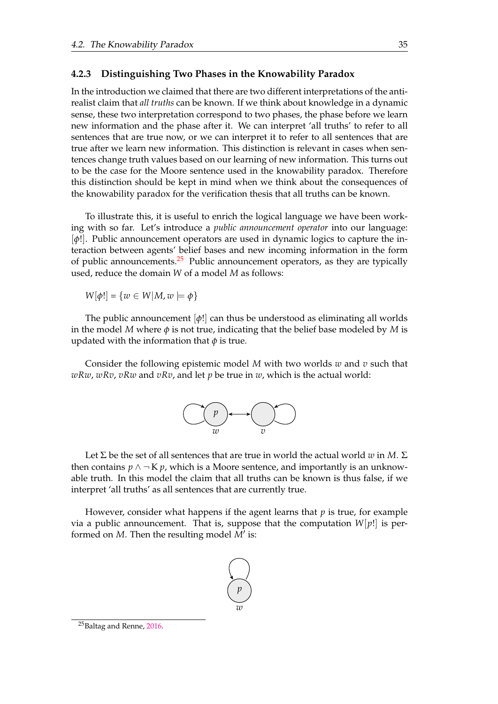## <span id="page-44-0"></span>**4.2.3 Distinguishing Two Phases in the Knowability Paradox**

In the introduction we claimed that there are two different interpretations of the antirealist claim that *all truths* can be known. If we think about knowledge in a dynamic sense, these two interpretation correspond to two phases, the phase before we learn new information and the phase after it. We can interpret 'all truths' to refer to all sentences that are true now, or we can interpret it to refer to all sentences that are true after we learn new information. This distinction is relevant in cases when sentences change truth values based on our learning of new information. This turns out to be the case for the Moore sentence used in the knowability paradox. Therefore this distinction should be kept in mind when we think about the consequences of the knowability paradox for the verification thesis that all truths can be known.

To illustrate this, it is useful to enrich the logical language we have been working with so far. Let's introduce a *public announcement operator* into our language: [*φ*!]. Public announcement operators are used in dynamic logics to capture the interaction between agents' belief bases and new incoming information in the form of public announcements. $25$  Public announcement operators, as they are typically used, reduce the domain *W* of a model *M* as follows:

 $W[\phi!] = \{w \in W | M, w \models \phi\}$ 

The public announcement [*φ*!] can thus be understood as eliminating all worlds in the model *M* where *φ* is not true, indicating that the belief base modeled by *M* is updated with the information that  $\phi$  is true.

Consider the following epistemic model *M* with two worlds *w* and *v* such that *wRw*, *wRv*, *vRw* and *vRv*, and let *p* be true in *w*, which is the actual world:



Let  $\Sigma$  be the set of all sentences that are true in world the actual world *w* in *M*.  $\Sigma$ then contains  $p \wedge \neg K p$ , which is a Moore sentence, and importantly is an unknowable truth. In this model the claim that all truths can be known is thus false, if we interpret 'all truths' as all sentences that are currently true.

However, consider what happens if the agent learns that *p* is true, for example via a public announcement. That is, suppose that the computation  $W[p!]$  is performed on  $M$ . Then the resulting model  $\overline{M}'$  is:



<sup>&</sup>lt;sup>25</sup>Baltag and Renne, [2016.](#page-75-0)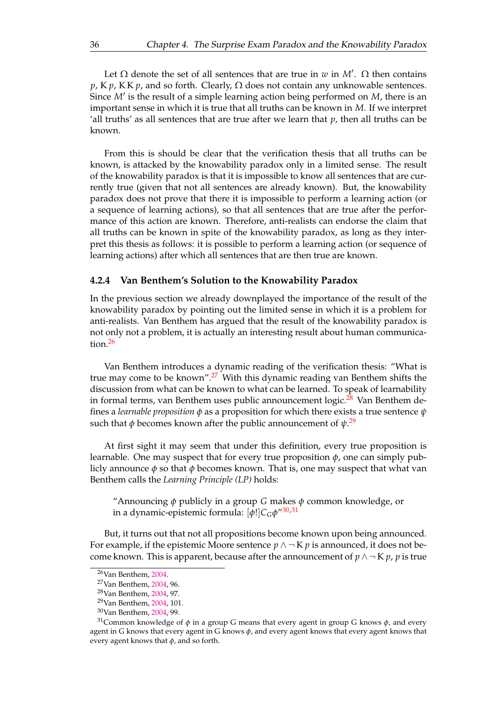<span id="page-45-0"></span>Let  $\Omega$  denote the set of all sentences that are true in *w* in *M'*.  $\Omega$  then contains  $p$ , K  $p$ , K K  $p$ , and so forth. Clearly,  $\Omega$  does not contain any unknowable sentences. Since *M'* is the result of a simple learning action being performed on *M*, there is an important sense in which it is true that all truths can be known in *M*. If we interpret 'all truths' as all sentences that are true after we learn that  $p$ , then all truths can be known.

From this is should be clear that the verification thesis that all truths can be known, is attacked by the knowability paradox only in a limited sense. The result of the knowability paradox is that it is impossible to know all sentences that are currently true (given that not all sentences are already known). But, the knowability paradox does not prove that there it is impossible to perform a learning action (or a sequence of learning actions), so that all sentences that are true after the performance of this action are known. Therefore, anti-realists can endorse the claim that all truths can be known in spite of the knowability paradox, as long as they interpret this thesis as follows: it is possible to perform a learning action (or sequence of learning actions) after which all sentences that are then true are known.

# **4.2.4 Van Benthem's Solution to the Knowability Paradox**

In the previous section we already downplayed the importance of the result of the knowability paradox by pointing out the limited sense in which it is a problem for anti-realists. Van Benthem has argued that the result of the knowability paradox is not only not a problem, it is actually an interesting result about human communication.[26](#page-46-0)

Van Benthem introduces a dynamic reading of the verification thesis: "What is true may come to be known".<sup>[27](#page-46-0)</sup> With this dynamic reading van Benthem shifts the discussion from what can be known to what can be learned. To speak of learnability in formal terms, van Benthem uses public announcement logic.<sup>[28](#page-46-0)</sup> Van Benthem defines a *learnable proposition φ* as a proposition for which there exists a true sentence *ψ* such that *φ* becomes known after the public announcement of *ψ*. [29](#page-46-0)

At first sight it may seem that under this definition, every true proposition is learnable. One may suspect that for every true proposition *φ*, one can simply publicly announce *φ* so that *φ* becomes known. That is, one may suspect that what van Benthem calls the *Learning Principle (LP)* holds:

"Announcing *φ* publicly in a group *G* makes *φ* common knowledge, or in a dynamic-epistemic formula: [*φ*!]*CGφ*" [30,31](#page-46-0)

But, it turns out that not all propositions become known upon being announced. For example, if the epistemic Moore sentence  $p \wedge \neg K p$  is announced, it does not become known. This is apparent, because after the announcement of  $p \wedge \neg K p$ , *p* is true

<sup>26</sup>Van Benthem, 2004.

<sup>27</sup>Van Benthem, 2004, 96.

<sup>28</sup>Van Benthem, 2004, 97.

<sup>29</sup>Van Benthem, 2004, 101.

<sup>30</sup>Van Benthem, 2004, 99.

<sup>&</sup>lt;sup>31</sup>Common knowledge of  $\phi$  in a group G means that every agent in group G knows  $\phi$ , and every agent in G knows that every agent in G knows *φ*, and every agent knows that every agent knows that every agent knows that *φ*, and so forth.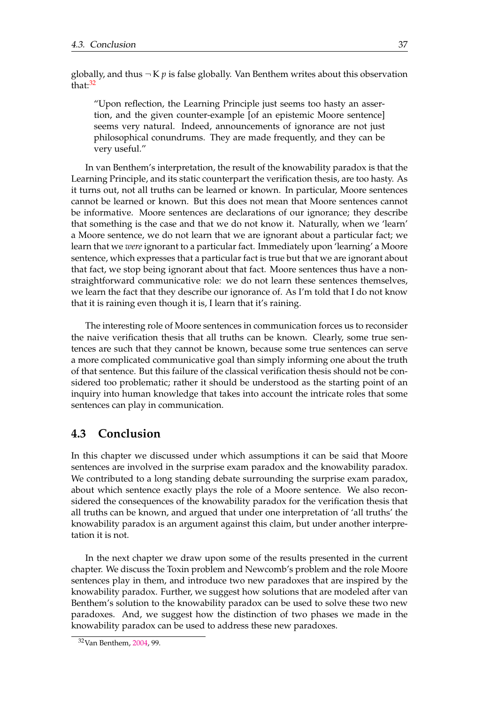<span id="page-46-0"></span>globally, and thus  $\neg K p$  is false globally. Van Benthem writes about this observation that:<sup>[32](#page-47-0)</sup>

"Upon reflection, the Learning Principle just seems too hasty an assertion, and the given counter-example [of an epistemic Moore sentence] seems very natural. Indeed, announcements of ignorance are not just philosophical conundrums. They are made frequently, and they can be very useful."

In van Benthem's interpretation, the result of the knowability paradox is that the Learning Principle, and its static counterpart the verification thesis, are too hasty. As it turns out, not all truths can be learned or known. In particular, Moore sentences cannot be learned or known. But this does not mean that Moore sentences cannot be informative. Moore sentences are declarations of our ignorance; they describe that something is the case and that we do not know it. Naturally, when we 'learn' a Moore sentence, we do not learn that we are ignorant about a particular fact; we learn that we *were* ignorant to a particular fact. Immediately upon 'learning' a Moore sentence, which expresses that a particular fact is true but that we are ignorant about that fact, we stop being ignorant about that fact. Moore sentences thus have a nonstraightforward communicative role: we do not learn these sentences themselves, we learn the fact that they describe our ignorance of. As I'm told that I do not know that it is raining even though it is, I learn that it's raining.

The interesting role of Moore sentences in communication forces us to reconsider the naive verification thesis that all truths can be known. Clearly, some true sentences are such that they cannot be known, because some true sentences can serve a more complicated communicative goal than simply informing one about the truth of that sentence. But this failure of the classical verification thesis should not be considered too problematic; rather it should be understood as the starting point of an inquiry into human knowledge that takes into account the intricate roles that some sentences can play in communication.

# **4.3 Conclusion**

In this chapter we discussed under which assumptions it can be said that Moore sentences are involved in the surprise exam paradox and the knowability paradox. We contributed to a long standing debate surrounding the surprise exam paradox, about which sentence exactly plays the role of a Moore sentence. We also reconsidered the consequences of the knowability paradox for the verification thesis that all truths can be known, and argued that under one interpretation of 'all truths' the knowability paradox is an argument against this claim, but under another interpretation it is not.

In the next chapter we draw upon some of the results presented in the current chapter. We discuss the Toxin problem and Newcomb's problem and the role Moore sentences play in them, and introduce two new paradoxes that are inspired by the knowability paradox. Further, we suggest how solutions that are modeled after van Benthem's solution to the knowability paradox can be used to solve these two new paradoxes. And, we suggest how the distinction of two phases we made in the knowability paradox can be used to address these new paradoxes.

<sup>32</sup>Van Benthem, 2004, 99.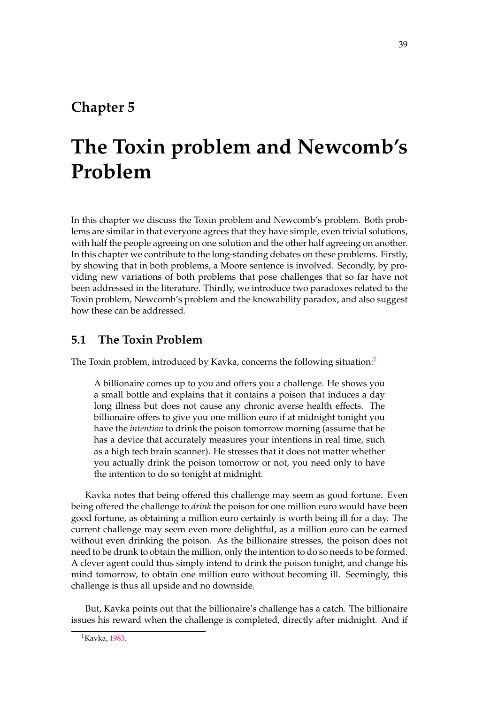# **Chapter 5**

# **The Toxin problem and Newcomb's Problem**

In this chapter we discuss the Toxin problem and Newcomb's problem. Both problems are similar in that everyone agrees that they have simple, even trivial solutions, with half the people agreeing on one solution and the other half agreeing on another. In this chapter we contribute to the long-standing debates on these problems. Firstly, by showing that in both problems, a Moore sentence is involved. Secondly, by providing new variations of both problems that pose challenges that so far have not been addressed in the literature. Thirdly, we introduce two paradoxes related to the Toxin problem, Newcomb's problem and the knowability paradox, and also suggest how these can be addressed.

# **5.1 The Toxin Problem**

The Toxin problem, introduced by Kavka, concerns the following situation:<sup>[1](#page-49-0)</sup>

A billionaire comes up to you and offers you a challenge. He shows you a small bottle and explains that it contains a poison that induces a day long illness but does not cause any chronic averse health effects. The billionaire offers to give you one million euro if at midnight tonight you have the *intention* to drink the poison tomorrow morning (assume that he has a device that accurately measures your intentions in real time, such as a high tech brain scanner). He stresses that it does not matter whether you actually drink the poison tomorrow or not, you need only to have the intention to do so tonight at midnight.

Kavka notes that being offered this challenge may seem as good fortune. Even being offered the challenge to *drink* the poison for one million euro would have been good fortune, as obtaining a million euro certainly is worth being ill for a day. The current challenge may seem even more delightful, as a million euro can be earned without even drinking the poison. As the billionaire stresses, the poison does not need to be drunk to obtain the million, only the intention to do so needs to be formed. A clever agent could thus simply intend to drink the poison tonight, and change his mind tomorrow, to obtain one million euro without becoming ill. Seemingly, this challenge is thus all upside and no downside.

But, Kavka points out that the billionaire's challenge has a catch. The billionaire issues his reward when the challenge is completed, directly after midnight. And if

<sup>&</sup>lt;sup>1</sup>Kavka, [1983.](#page-76-0)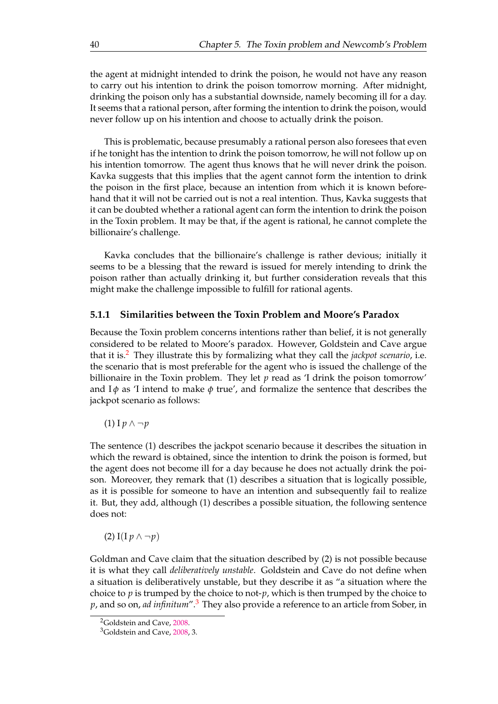<span id="page-49-0"></span>the agent at midnight intended to drink the poison, he would not have any reason to carry out his intention to drink the poison tomorrow morning. After midnight, drinking the poison only has a substantial downside, namely becoming ill for a day. It seems that a rational person, after forming the intention to drink the poison, would never follow up on his intention and choose to actually drink the poison.

This is problematic, because presumably a rational person also foresees that even if he tonight has the intention to drink the poison tomorrow, he will not follow up on his intention tomorrow. The agent thus knows that he will never drink the poison. Kavka suggests that this implies that the agent cannot form the intention to drink the poison in the first place, because an intention from which it is known beforehand that it will not be carried out is not a real intention. Thus, Kavka suggests that it can be doubted whether a rational agent can form the intention to drink the poison in the Toxin problem. It may be that, if the agent is rational, he cannot complete the billionaire's challenge.

Kavka concludes that the billionaire's challenge is rather devious; initially it seems to be a blessing that the reward is issued for merely intending to drink the poison rather than actually drinking it, but further consideration reveals that this might make the challenge impossible to fulfill for rational agents.

# **5.1.1 Similarities between the Toxin Problem and Moore's Paradox**

Because the Toxin problem concerns intentions rather than belief, it is not generally considered to be related to Moore's paradox. However, Goldstein and Cave argue that it is.[2](#page-50-0) They illustrate this by formalizing what they call the *jackpot scenario*, i.e. the scenario that is most preferable for the agent who is issued the challenge of the billionaire in the Toxin problem. They let *p* read as 'I drink the poison tomorrow' and  $I\phi$  as 'I intend to make  $\phi$  true', and formalize the sentence that describes the jackpot scenario as follows:

(1) I *p* ∧ ¬*p*

The sentence (1) describes the jackpot scenario because it describes the situation in which the reward is obtained, since the intention to drink the poison is formed, but the agent does not become ill for a day because he does not actually drink the poison. Moreover, they remark that (1) describes a situation that is logically possible, as it is possible for someone to have an intention and subsequently fail to realize it. But, they add, although (1) describes a possible situation, the following sentence does not:

(2) I(I  $p \wedge \neg p$ )

Goldman and Cave claim that the situation described by (2) is not possible because it is what they call *deliberatively unstable*. Goldstein and Cave do not define when a situation is deliberatively unstable, but they describe it as "a situation where the choice to *p* is trumped by the choice to not-*p*, which is then trumped by the choice to *p*, and so on, *ad infinitum*".[3](#page-50-0) They also provide a reference to an article from Sober, in

<sup>2</sup>Goldstein and Cave, [2008.](#page-75-0)

<sup>3</sup>Goldstein and Cave, [2008,](#page-75-0) 3.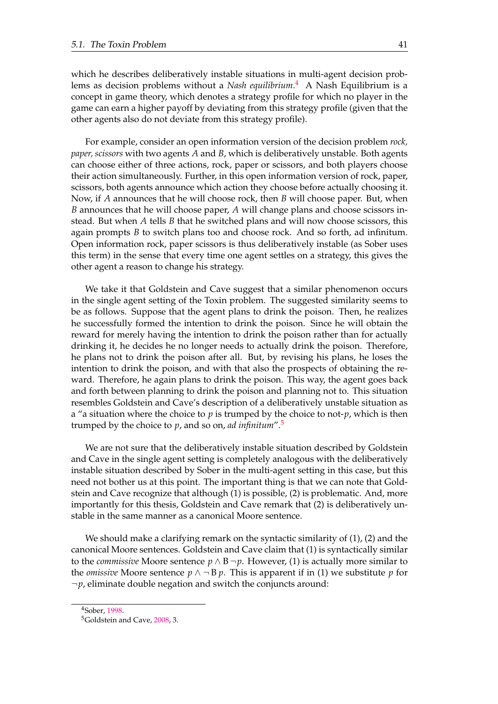<span id="page-50-0"></span>which he describes deliberatively instable situations in multi-agent decision problems as decision problems without a *Nash equilibrium*. [4](#page-51-0) A Nash Equilibrium is a concept in game theory, which denotes a strategy profile for which no player in the game can earn a higher payoff by deviating from this strategy profile (given that the other agents also do not deviate from this strategy profile).

For example, consider an open information version of the decision problem *rock, paper, scissors* with two agents *A* and *B*, which is deliberatively unstable. Both agents can choose either of three actions, rock, paper or scissors, and both players choose their action simultaneously. Further, in this open information version of rock, paper, scissors, both agents announce which action they choose before actually choosing it. Now, if *A* announces that he will choose rock, then *B* will choose paper. But, when *B* announces that he will choose paper, *A* will change plans and choose scissors instead. But when *A* tells *B* that he switched plans and will now choose scissors, this again prompts *B* to switch plans too and choose rock. And so forth, ad infinitum. Open information rock, paper scissors is thus deliberatively instable (as Sober uses this term) in the sense that every time one agent settles on a strategy, this gives the other agent a reason to change his strategy.

We take it that Goldstein and Cave suggest that a similar phenomenon occurs in the single agent setting of the Toxin problem. The suggested similarity seems to be as follows. Suppose that the agent plans to drink the poison. Then, he realizes he successfully formed the intention to drink the poison. Since he will obtain the reward for merely having the intention to drink the poison rather than for actually drinking it, he decides he no longer needs to actually drink the poison. Therefore, he plans not to drink the poison after all. But, by revising his plans, he loses the intention to drink the poison, and with that also the prospects of obtaining the reward. Therefore, he again plans to drink the poison. This way, the agent goes back and forth between planning to drink the poison and planning not to. This situation resembles Goldstein and Cave's description of a deliberatively unstable situation as a "a situation where the choice to *p* is trumped by the choice to not-*p*, which is then trumped by the choice to *p*, and so on, *ad infinitum*".[5](#page-51-0)

We are not sure that the deliberatively instable situation described by Goldstein and Cave in the single agent setting is completely analogous with the deliberatively instable situation described by Sober in the multi-agent setting in this case, but this need not bother us at this point. The important thing is that we can note that Goldstein and Cave recognize that although (1) is possible, (2) is problematic. And, more importantly for this thesis, Goldstein and Cave remark that (2) is deliberatively unstable in the same manner as a canonical Moore sentence.

We should make a clarifying remark on the syntactic similarity of (1), (2) and the canonical Moore sentences. Goldstein and Cave claim that (1) is syntactically similar to the *commissive* Moore sentence  $p \wedge B \neg p$ . However, (1) is actually more similar to the *omissive* Moore sentence  $p \wedge \neg B p$ . This is apparent if in (1) we substitute p for  $\neg p$ , eliminate double negation and switch the conjuncts around:

<sup>4</sup>Sober, 1998.

<sup>5</sup>Goldstein and Cave, [2008,](#page-75-0) 3.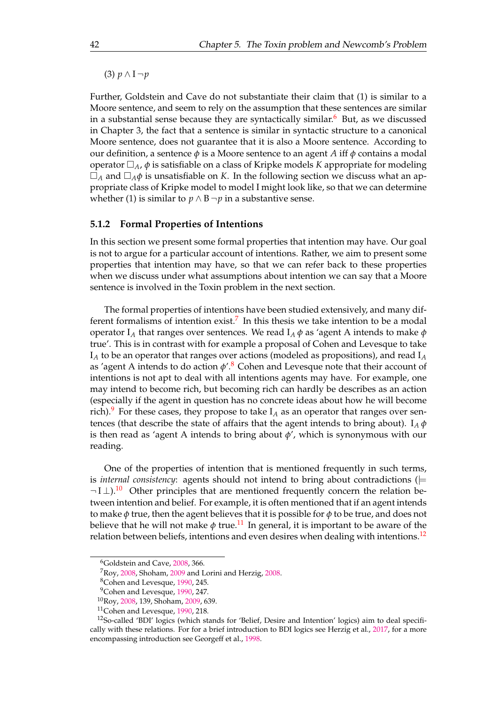<span id="page-51-0"></span>(3) *p* ∧ I ¬*p*

Further, Goldstein and Cave do not substantiate their claim that (1) is similar to a Moore sentence, and seem to rely on the assumption that these sentences are similar in a substantial sense because they are syntactically similar. $6$  But, as we discussed in Chapter 3, the fact that a sentence is similar in syntactic structure to a canonical Moore sentence, does not guarantee that it is also a Moore sentence. According to our definition, a sentence *φ* is a Moore sentence to an agent *A* iff *φ* contains a modal operator  $\Box_A$ ,  $\phi$  is satisfiable on a class of Kripke models *K* appropriate for modeling  $\Box_A$  and  $\Box_A \phi$  is unsatisfiable on *K*. In the following section we discuss what an appropriate class of Kripke model to model I might look like, so that we can determine whether (1) is similar to *p* ∧ B  $\neg$ *p* in a substantive sense.

# **5.1.2 Formal Properties of Intentions**

In this section we present some formal properties that intention may have. Our goal is not to argue for a particular account of intentions. Rather, we aim to present some properties that intention may have, so that we can refer back to these properties when we discuss under what assumptions about intention we can say that a Moore sentence is involved in the Toxin problem in the next section.

The formal properties of intentions have been studied extensively, and many dif-ferent formalisms of intention exist.<sup>[7](#page-52-0)</sup> In this thesis we take intention to be a modal operator I<sub>A</sub> that ranges over sentences. We read I<sub>A</sub> $\phi$  as 'agent A intends to make  $\phi$ true'. This is in contrast with for example a proposal of Cohen and Levesque to take I*<sup>A</sup>* to be an operator that ranges over actions (modeled as propositions), and read I*<sup>A</sup>* as 'agent A intends to do action  $\phi$ '.<sup>[8](#page-52-0)</sup> Cohen and Levesque note that their account of intentions is not apt to deal with all intentions agents may have. For example, one may intend to become rich, but becoming rich can hardly be describes as an action (especially if the agent in question has no concrete ideas about how he will become rich).<sup>[9](#page-52-0)</sup> For these cases, they propose to take  $I_A$  as an operator that ranges over sentences (that describe the state of affairs that the agent intends to bring about).  $I_A \phi$ is then read as 'agent A intends to bring about  $\phi'$ , which is synonymous with our reading.

One of the properties of intention that is mentioned frequently in such terms, is *internal consistency*: agents should not intend to bring about contradictions ( $\models$  $\neg$  I  $\perp$ ).<sup>[10](#page-52-0)</sup> Other principles that are mentioned frequently concern the relation between intention and belief. For example, it is often mentioned that if an agent intends to make *φ* true, then the agent believes that it is possible for *φ* to be true, and does not believe that he will not make  $\phi$  true.<sup>[11](#page-52-0)</sup> In general, it is important to be aware of the relation between beliefs, intentions and even desires when dealing with intentions.<sup>[12](#page-52-0)</sup>

<sup>6</sup>Goldstein and Cave, [2008,](#page-75-0) 366.

<sup>7</sup>Roy, [2008,](#page-76-0) Shoham, [2009](#page-76-0) and Lorini and Herzig, [2008.](#page-76-0)

<sup>8</sup>Cohen and Levesque, [1990,](#page-75-0) 245.

<sup>&</sup>lt;sup>9</sup>Cohen and Levesque, [1990,](#page-75-0) 247.

<sup>10</sup>Roy, [2008,](#page-76-0) 139, Shoham, [2009,](#page-76-0) 639.

<sup>11</sup>Cohen and Levesque, [1990,](#page-75-0) 218.

<sup>12</sup>So-called 'BDI' logics (which stands for 'Belief, Desire and Intention' logics) aim to deal specifically with these relations. For for a brief introduction to BDI logics see Herzig et al., [2017,](#page-76-0) for a more encompassing introduction see Georgeff et al., [1998.](#page-75-0)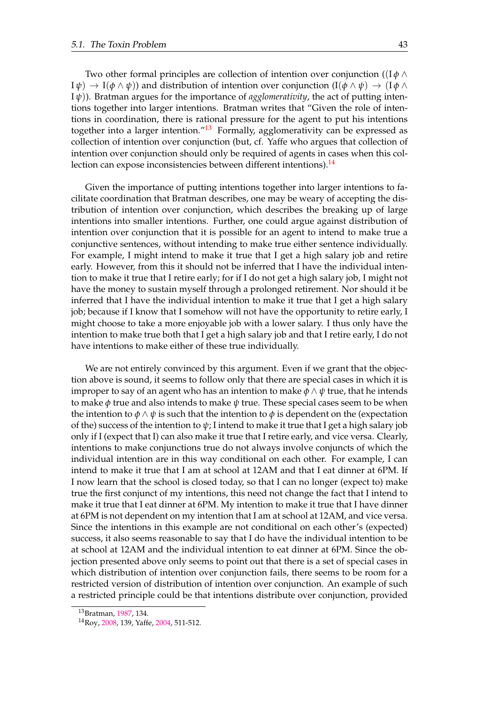<span id="page-52-0"></span>Two other formal principles are collection of intention over conjunction ((I *φ* ∧  $I \psi$   $\rightarrow$   $I(\phi \land \psi)$  and distribution of intention over conjunction  $(I(\phi \land \psi) \rightarrow (I \phi \land \psi))$ I *ψ*)). Bratman argues for the importance of *agglomerativity*, the act of putting intentions together into larger intentions. Bratman writes that "Given the role of intentions in coordination, there is rational pressure for the agent to put his intentions together into a larger intention." $13$  Formally, agglomerativity can be expressed as collection of intention over conjunction (but, cf. Yaffe who argues that collection of intention over conjunction should only be required of agents in cases when this col-lection can expose inconsistencies between different intentions).<sup>[14](#page-53-0)</sup>

Given the importance of putting intentions together into larger intentions to facilitate coordination that Bratman describes, one may be weary of accepting the distribution of intention over conjunction, which describes the breaking up of large intentions into smaller intentions. Further, one could argue against distribution of intention over conjunction that it is possible for an agent to intend to make true a conjunctive sentences, without intending to make true either sentence individually. For example, I might intend to make it true that I get a high salary job and retire early. However, from this it should not be inferred that I have the individual intention to make it true that I retire early; for if I do not get a high salary job, I might not have the money to sustain myself through a prolonged retirement. Nor should it be inferred that I have the individual intention to make it true that I get a high salary job; because if I know that I somehow will not have the opportunity to retire early, I might choose to take a more enjoyable job with a lower salary. I thus only have the intention to make true both that I get a high salary job and that I retire early, I do not have intentions to make either of these true individually.

We are not entirely convinced by this argument. Even if we grant that the objection above is sound, it seems to follow only that there are special cases in which it is improper to say of an agent who has an intention to make *φ* ∧ *ψ* true, that he intends to make  $\phi$  true and also intends to make  $\psi$  true. These special cases seem to be when the intention to  $\phi \land \psi$  is such that the intention to  $\phi$  is dependent on the (expectation of the) success of the intention to *ψ*; I intend to make it true that I get a high salary job only if I (expect that I) can also make it true that I retire early, and vice versa. Clearly, intentions to make conjunctions true do not always involve conjuncts of which the individual intention are in this way conditional on each other. For example, I can intend to make it true that I am at school at 12AM and that I eat dinner at 6PM. If I now learn that the school is closed today, so that I can no longer (expect to) make true the first conjunct of my intentions, this need not change the fact that I intend to make it true that I eat dinner at 6PM. My intention to make it true that I have dinner at 6PM is not dependent on my intention that I am at school at 12AM, and vice versa. Since the intentions in this example are not conditional on each other's (expected) success, it also seems reasonable to say that I do have the individual intention to be at school at 12AM and the individual intention to eat dinner at 6PM. Since the objection presented above only seems to point out that there is a set of special cases in which distribution of intention over conjunction fails, there seems to be room for a restricted version of distribution of intention over conjunction. An example of such a restricted principle could be that intentions distribute over conjunction, provided

<sup>13</sup>Bratman, [1987,](#page-75-0) 134.

<sup>14</sup>Roy, [2008,](#page-76-0) 139, Yaffe, 2004, 511-512.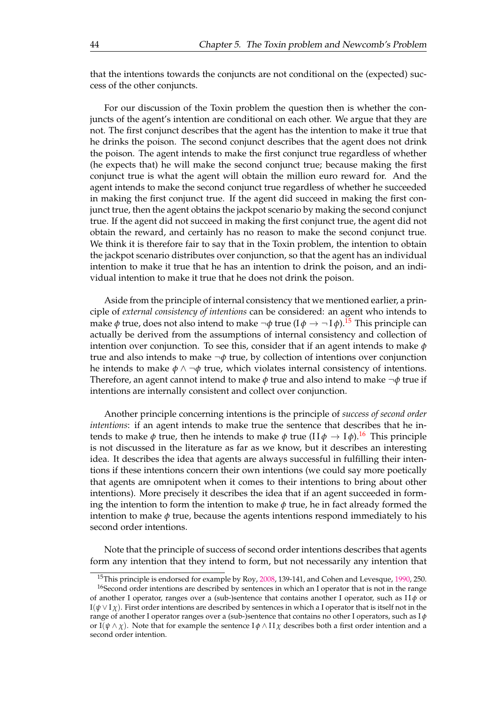<span id="page-53-0"></span>that the intentions towards the conjuncts are not conditional on the (expected) success of the other conjuncts.

For our discussion of the Toxin problem the question then is whether the conjuncts of the agent's intention are conditional on each other. We argue that they are not. The first conjunct describes that the agent has the intention to make it true that he drinks the poison. The second conjunct describes that the agent does not drink the poison. The agent intends to make the first conjunct true regardless of whether (he expects that) he will make the second conjunct true; because making the first conjunct true is what the agent will obtain the million euro reward for. And the agent intends to make the second conjunct true regardless of whether he succeeded in making the first conjunct true. If the agent did succeed in making the first conjunct true, then the agent obtains the jackpot scenario by making the second conjunct true. If the agent did not succeed in making the first conjunct true, the agent did not obtain the reward, and certainly has no reason to make the second conjunct true. We think it is therefore fair to say that in the Toxin problem, the intention to obtain the jackpot scenario distributes over conjunction, so that the agent has an individual intention to make it true that he has an intention to drink the poison, and an individual intention to make it true that he does not drink the poison.

Aside from the principle of internal consistency that we mentioned earlier, a principle of *external consistency of intentions* can be considered: an agent who intends to make  $\phi$  true, does not also intend to make  $\neg \phi$  true (I  $\phi \rightarrow \neg I \phi$ ).<sup>[15](#page-54-0)</sup> This principle can actually be derived from the assumptions of internal consistency and collection of intention over conjunction. To see this, consider that if an agent intends to make *φ* true and also intends to make ¬*φ* true, by collection of intentions over conjunction he intends to make  $\phi \land \neg \phi$  true, which violates internal consistency of intentions. Therefore, an agent cannot intend to make *φ* true and also intend to make ¬*φ* true if intentions are internally consistent and collect over conjunction.

Another principle concerning intentions is the principle of *success of second order intentions*: if an agent intends to make true the sentence that describes that he intends to make  $\phi$  true, then he intends to make  $\phi$  true ( $\text{II}\phi \to \text{I}\phi$ ).<sup>[16](#page-54-0)</sup> This principle is not discussed in the literature as far as we know, but it describes an interesting idea. It describes the idea that agents are always successful in fulfilling their intentions if these intentions concern their own intentions (we could say more poetically that agents are omnipotent when it comes to their intentions to bring about other intentions). More precisely it describes the idea that if an agent succeeded in forming the intention to form the intention to make *φ* true, he in fact already formed the intention to make  $\phi$  true, because the agents intentions respond immediately to his second order intentions.

Note that the principle of success of second order intentions describes that agents form any intention that they intend to form, but not necessarily any intention that

<sup>&</sup>lt;sup>15</sup>This principle is endorsed for example by Roy, [2008,](#page-76-0) 139-141, and Cohen and Levesque, [1990,](#page-75-0) 250.

<sup>&</sup>lt;sup>16</sup>Second order intentions are described by sentences in which an I operator that is not in the range of another I operator, ranges over a (sub-)sentence that contains another I operator, such as I I *φ* or  $I(\psi \vee I \chi)$ . First order intentions are described by sentences in which a I operator that is itself not in the range of another I operator ranges over a (sub-)sentence that contains no other I operators, such as I *φ* or I( $\psi \wedge \chi$ ). Note that for example the sentence I $\phi \wedge \Pi \chi$  describes both a first order intention and a second order intention.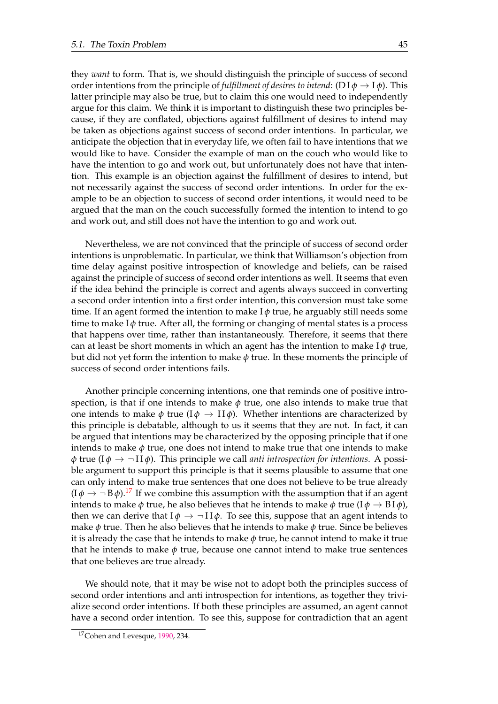<span id="page-54-0"></span>they *want* to form. That is, we should distinguish the principle of success of second order intentions from the principle of *fulfillment* of *desires* to *intend*: (DI $\phi \rightarrow I\phi$ ). This latter principle may also be true, but to claim this one would need to independently argue for this claim. We think it is important to distinguish these two principles because, if they are conflated, objections against fulfillment of desires to intend may be taken as objections against success of second order intentions. In particular, we anticipate the objection that in everyday life, we often fail to have intentions that we would like to have. Consider the example of man on the couch who would like to have the intention to go and work out, but unfortunately does not have that intention. This example is an objection against the fulfillment of desires to intend, but not necessarily against the success of second order intentions. In order for the example to be an objection to success of second order intentions, it would need to be argued that the man on the couch successfully formed the intention to intend to go and work out, and still does not have the intention to go and work out.

Nevertheless, we are not convinced that the principle of success of second order intentions is unproblematic. In particular, we think that Williamson's objection from time delay against positive introspection of knowledge and beliefs, can be raised against the principle of success of second order intentions as well. It seems that even if the idea behind the principle is correct and agents always succeed in converting a second order intention into a first order intention, this conversion must take some time. If an agent formed the intention to make I *φ* true, he arguably still needs some time to make  $I\phi$  true. After all, the forming or changing of mental states is a process that happens over time, rather than instantaneously. Therefore, it seems that there can at least be short moments in which an agent has the intention to make  $I\phi$  true, but did not yet form the intention to make *φ* true. In these moments the principle of success of second order intentions fails.

Another principle concerning intentions, one that reminds one of positive introspection, is that if one intends to make  $\phi$  true, one also intends to make true that one intends to make  $\phi$  true ( $I\phi \rightarrow II\phi$ ). Whether intentions are characterized by this principle is debatable, although to us it seems that they are not. In fact, it can be argued that intentions may be characterized by the opposing principle that if one intends to make  $\phi$  true, one does not intend to make true that one intends to make *φ* true ( $I\phi \rightarrow \neg II\phi$ ). This principle we call *anti introspection for intentions*. A possible argument to support this principle is that it seems plausible to assume that one can only intend to make true sentences that one does not believe to be true already  $(I\phi \rightarrow \neg B\phi)$ .<sup>[17](#page-55-0)</sup> If we combine this assumption with the assumption that if an agent intends to make *φ* true, he also believes that he intends to make *φ* true ( $I\phi \rightarrow B I \phi$ ), then we can derive that  $I\phi \rightarrow \neg II\phi$ . To see this, suppose that an agent intends to make *φ* true. Then he also believes that he intends to make *φ* true. Since be believes it is already the case that he intends to make  $\phi$  true, he cannot intend to make it true that he intends to make  $\phi$  true, because one cannot intend to make true sentences that one believes are true already.

We should note, that it may be wise not to adopt both the principles success of second order intentions and anti introspection for intentions, as together they trivialize second order intentions. If both these principles are assumed, an agent cannot have a second order intention. To see this, suppose for contradiction that an agent

<sup>17</sup>Cohen and Levesque, [1990,](#page-75-0) 234.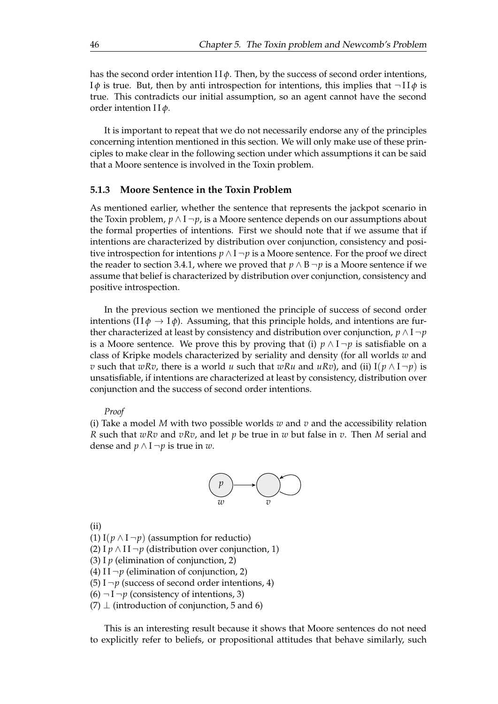<span id="page-55-0"></span>has the second order intention  $\prod \phi$ . Then, by the success of second order intentions, I*ϕ* is true. But, then by anti introspection for intentions, this implies that  $\neg$ II*ϕ* is true. This contradicts our initial assumption, so an agent cannot have the second order intention I I *φ*.

It is important to repeat that we do not necessarily endorse any of the principles concerning intention mentioned in this section. We will only make use of these principles to make clear in the following section under which assumptions it can be said that a Moore sentence is involved in the Toxin problem.

## **5.1.3 Moore Sentence in the Toxin Problem**

As mentioned earlier, whether the sentence that represents the jackpot scenario in the Toxin problem,  $p \wedge I \neg p$ , is a Moore sentence depends on our assumptions about the formal properties of intentions. First we should note that if we assume that if intentions are characterized by distribution over conjunction, consistency and positive introspection for intentions  $p \wedge I \neg p$  is a Moore sentence. For the proof we direct the reader to section 3.4.1, where we proved that  $p \wedge B \neg p$  is a Moore sentence if we assume that belief is characterized by distribution over conjunction, consistency and positive introspection.

In the previous section we mentioned the principle of success of second order intentions ( $\text{II}\phi \to \text{I}\phi$ ). Assuming, that this principle holds, and intentions are further characterized at least by consistency and distribution over conjunction,  $p \wedge I \neg p$ is a Moore sentence. We prove this by proving that (i)  $p \wedge 1 \neg p$  is satisfiable on a class of Kripke models characterized by seriality and density (for all worlds *w* and *v* such that *wRv*, there is a world *u* such that *wRu* and *uRv*), and (ii)  $I(p \land I \neg p)$  is unsatisfiable, if intentions are characterized at least by consistency, distribution over conjunction and the success of second order intentions.

#### *Proof*

(i) Take a model *M* with two possible worlds *w* and *v* and the accessibility relation *R* such that *wRv* and *vRv*, and let *p* be true in *w* but false in *v*. Then *M* serial and dense and  $p \wedge I \neg p$  is true in *w*.



(ii)

(1) I( $p \wedge I \neg p$ ) (assumption for reductio)

(2) I *p* ∧ I I ¬*p* (distribution over conjunction, 1)

(3) I  $p$  (elimination of conjunction, 2)

(4) I I  $\neg p$  (elimination of conjunction, 2)

(5)  $I \neg p$  (success of second order intentions, 4)

 $(6)$   $\neg$  I  $\neg$ *p* (consistency of intentions, 3)

 $(7)$   $\perp$  (introduction of conjunction, 5 and 6)

This is an interesting result because it shows that Moore sentences do not need to explicitly refer to beliefs, or propositional attitudes that behave similarly, such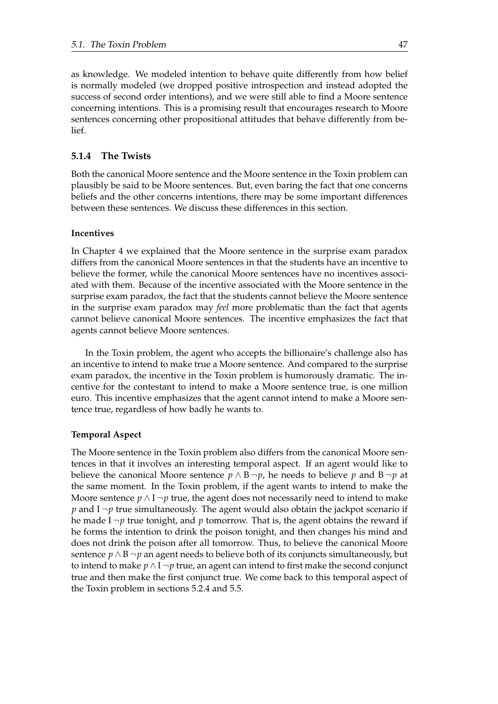as knowledge. We modeled intention to behave quite differently from how belief is normally modeled (we dropped positive introspection and instead adopted the success of second order intentions), and we were still able to find a Moore sentence concerning intentions. This is a promising result that encourages research to Moore sentences concerning other propositional attitudes that behave differently from belief.

# **5.1.4 The Twists**

Both the canonical Moore sentence and the Moore sentence in the Toxin problem can plausibly be said to be Moore sentences. But, even baring the fact that one concerns beliefs and the other concerns intentions, there may be some important differences between these sentences. We discuss these differences in this section.

# **Incentives**

In Chapter 4 we explained that the Moore sentence in the surprise exam paradox differs from the canonical Moore sentences in that the students have an incentive to believe the former, while the canonical Moore sentences have no incentives associated with them. Because of the incentive associated with the Moore sentence in the surprise exam paradox, the fact that the students cannot believe the Moore sentence in the surprise exam paradox may *feel* more problematic than the fact that agents cannot believe canonical Moore sentences. The incentive emphasizes the fact that agents cannot believe Moore sentences.

In the Toxin problem, the agent who accepts the billionaire's challenge also has an incentive to intend to make true a Moore sentence. And compared to the surprise exam paradox, the incentive in the Toxin problem is humorously dramatic. The incentive for the contestant to intend to make a Moore sentence true, is one million euro. This incentive emphasizes that the agent cannot intend to make a Moore sentence true, regardless of how badly he wants to.

# **Temporal Aspect**

The Moore sentence in the Toxin problem also differs from the canonical Moore sentences in that it involves an interesting temporal aspect. If an agent would like to believe the canonical Moore sentence  $p \wedge B \neg p$ , he needs to believe p and  $B \neg p$  at the same moment. In the Toxin problem, if the agent wants to intend to make the Moore sentence  $p \wedge I \neg p$  true, the agent does not necessarily need to intend to make *p* and  $I \rightarrow p$  true simultaneously. The agent would also obtain the jackpot scenario if he made  $I \neg p$  true tonight, and p tomorrow. That is, the agent obtains the reward if he forms the intention to drink the poison tonight, and then changes his mind and does not drink the poison after all tomorrow. Thus, to believe the canonical Moore sentence  $p \wedge B \neg p$  an agent needs to believe both of its conjuncts simultaneously, but to intend to make  $p \wedge I \neg p$  true, an agent can intend to first make the second conjunct true and then make the first conjunct true. We come back to this temporal aspect of the Toxin problem in sections 5.2.4 and 5.5.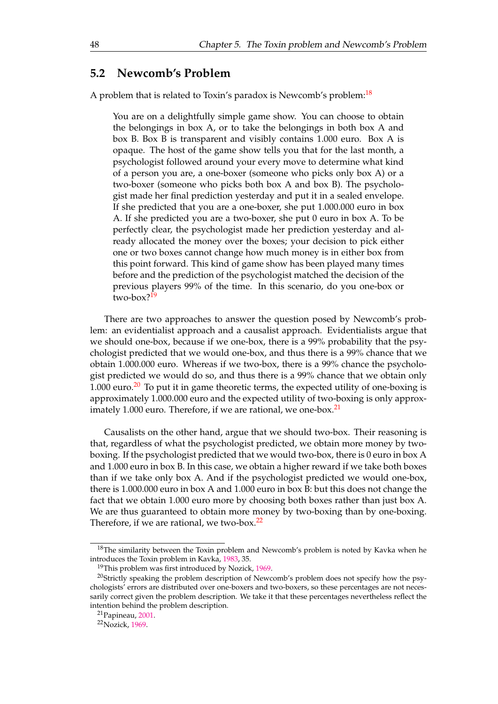# **5.2 Newcomb's Problem**

A problem that is related to Toxin's paradox is Newcomb's problem:<sup>[18](#page-58-0)</sup>

You are on a delightfully simple game show. You can choose to obtain the belongings in box A, or to take the belongings in both box A and box B. Box B is transparent and visibly contains 1.000 euro. Box A is opaque. The host of the game show tells you that for the last month, a psychologist followed around your every move to determine what kind of a person you are, a one-boxer (someone who picks only box A) or a two-boxer (someone who picks both box A and box B). The psychologist made her final prediction yesterday and put it in a sealed envelope. If she predicted that you are a one-boxer, she put 1.000.000 euro in box A. If she predicted you are a two-boxer, she put 0 euro in box A. To be perfectly clear, the psychologist made her prediction yesterday and already allocated the money over the boxes; your decision to pick either one or two boxes cannot change how much money is in either box from this point forward. This kind of game show has been played many times before and the prediction of the psychologist matched the decision of the previous players 99% of the time. In this scenario, do you one-box or two-box? $19$ 

There are two approaches to answer the question posed by Newcomb's problem: an evidentialist approach and a causalist approach. Evidentialists argue that we should one-box, because if we one-box, there is a 99% probability that the psychologist predicted that we would one-box, and thus there is a 99% chance that we obtain 1.000.000 euro. Whereas if we two-box, there is a 99% chance the psychologist predicted we would do so, and thus there is a 99% chance that we obtain only 1.000 euro.<sup>[20](#page-58-0)</sup> To put it in game theoretic terms, the expected utility of one-boxing is approximately 1.000.000 euro and the expected utility of two-boxing is only approx-imately 1.000 euro. Therefore, if we are rational, we one-box.<sup>[21](#page-58-0)</sup>

Causalists on the other hand, argue that we should two-box. Their reasoning is that, regardless of what the psychologist predicted, we obtain more money by twoboxing. If the psychologist predicted that we would two-box, there is 0 euro in box A and 1.000 euro in box B. In this case, we obtain a higher reward if we take both boxes than if we take only box A. And if the psychologist predicted we would one-box, there is 1.000.000 euro in box A and 1.000 euro in box B: but this does not change the fact that we obtain 1.000 euro more by choosing both boxes rather than just box A. We are thus guaranteed to obtain more money by two-boxing than by one-boxing. Therefore, if we are rational, we two-box.<sup>[22](#page-58-0)</sup>

 $18$ The similarity between the Toxin problem and Newcomb's problem is noted by Kavka when he introduces the Toxin problem in Kavka, [1983,](#page-76-0) 35.

<sup>&</sup>lt;sup>19</sup>This problem was first introduced by Nozick, [1969.](#page-76-0)

<sup>&</sup>lt;sup>20</sup>Strictly speaking the problem description of Newcomb's problem does not specify how the psychologists' errors are distributed over one-boxers and two-boxers, so these percentages are not necessarily correct given the problem description. We take it that these percentages nevertheless reflect the intention behind the problem description.

<sup>21</sup>Papineau, [2001.](#page-76-0)

<sup>22</sup>Nozick, [1969.](#page-76-0)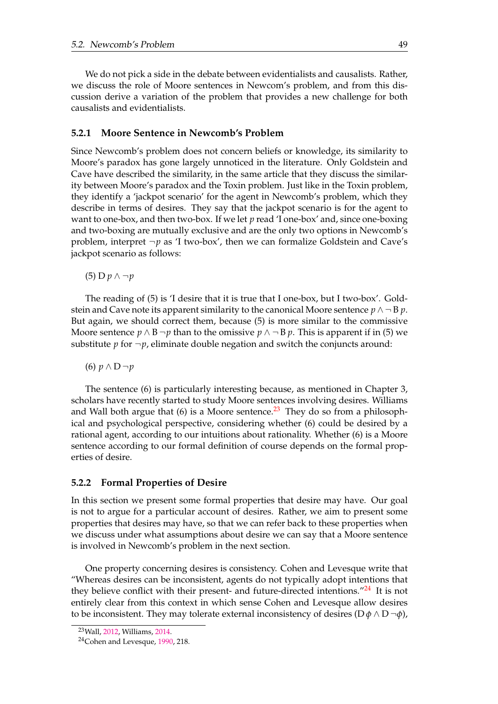<span id="page-58-0"></span>We do not pick a side in the debate between evidentialists and causalists. Rather, we discuss the role of Moore sentences in Newcom's problem, and from this discussion derive a variation of the problem that provides a new challenge for both causalists and evidentialists.

# **5.2.1 Moore Sentence in Newcomb's Problem**

Since Newcomb's problem does not concern beliefs or knowledge, its similarity to Moore's paradox has gone largely unnoticed in the literature. Only Goldstein and Cave have described the similarity, in the same article that they discuss the similarity between Moore's paradox and the Toxin problem. Just like in the Toxin problem, they identify a 'jackpot scenario' for the agent in Newcomb's problem, which they describe in terms of desires. They say that the jackpot scenario is for the agent to want to one-box, and then two-box. If we let *p* read 'I one-box' and, since one-boxing and two-boxing are mutually exclusive and are the only two options in Newcomb's problem, interpret  $\neg p$  as 'I two-box', then we can formalize Goldstein and Cave's jackpot scenario as follows:

(5) D *p* ∧ ¬*p*

The reading of (5) is 'I desire that it is true that I one-box, but I two-box'. Goldstein and Cave note its apparent similarity to the canonical Moore sentence  $p \wedge \neg B p$ . But again, we should correct them, because (5) is more similar to the commissive Moore sentence  $p \wedge B \neg p$  than to the omissive  $p \wedge \neg B p$ . This is apparent if in (5) we substitute  $p$  for  $\neg p$ , eliminate double negation and switch the conjuncts around:

(6) *p* ∧ D ¬*p*

The sentence (6) is particularly interesting because, as mentioned in Chapter 3, scholars have recently started to study Moore sentences involving desires. Williams and Wall both argue that (6) is a Moore sentence.<sup>[23](#page-59-0)</sup> They do so from a philosophical and psychological perspective, considering whether (6) could be desired by a rational agent, according to our intuitions about rationality. Whether (6) is a Moore sentence according to our formal definition of course depends on the formal properties of desire.

# **5.2.2 Formal Properties of Desire**

In this section we present some formal properties that desire may have. Our goal is not to argue for a particular account of desires. Rather, we aim to present some properties that desires may have, so that we can refer back to these properties when we discuss under what assumptions about desire we can say that a Moore sentence is involved in Newcomb's problem in the next section.

One property concerning desires is consistency. Cohen and Levesque write that "Whereas desires can be inconsistent, agents do not typically adopt intentions that they believe conflict with their present- and future-directed intentions. $124$  $124$  It is not entirely clear from this context in which sense Cohen and Levesque allow desires to be inconsistent. They may tolerate external inconsistency of desires  $(D \phi \wedge D \neg \phi)$ ,

<sup>23</sup>Wall, 2012, Williams, 2014.

<sup>24</sup>Cohen and Levesque, [1990,](#page-75-0) 218.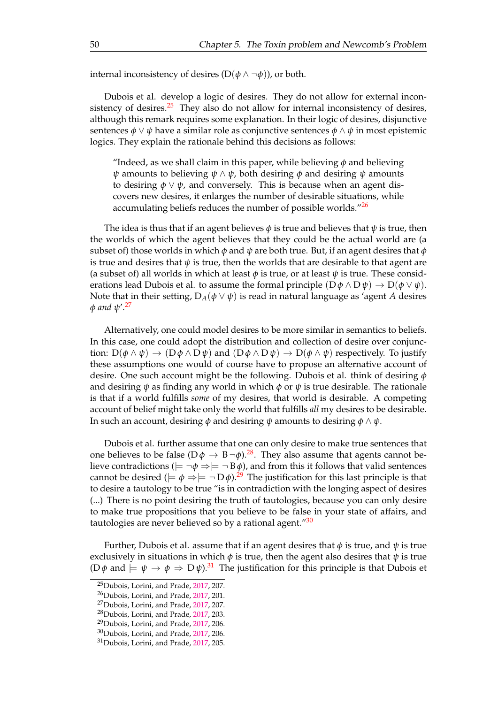<span id="page-59-0"></span>internal inconsistency of desires  $(D(\phi \land \neg \phi))$ , or both.

Dubois et al. develop a logic of desires. They do not allow for external incon-sistency of desires.<sup>[25](#page-60-0)</sup> They also do not allow for internal inconsistency of desires, although this remark requires some explanation. In their logic of desires, disjunctive sentences  $\phi \lor \psi$  have a similar role as conjunctive sentences  $\phi \land \psi$  in most epistemic logics. They explain the rationale behind this decisions as follows:

"Indeed, as we shall claim in this paper, while believing  $\phi$  and believing *ψ* amounts to believing *ψ* ∧ *ψ*, both desiring *φ* and desiring *ψ* amounts to desiring  $\phi \lor \psi$ , and conversely. This is because when an agent discovers new desires, it enlarges the number of desirable situations, while accumulating beliefs reduces the number of possible worlds."<sup>[26](#page-60-0)</sup>

The idea is thus that if an agent believes  $\phi$  is true and believes that  $\psi$  is true, then the worlds of which the agent believes that they could be the actual world are (a subset of) those worlds in which *φ* and *ψ* are both true. But, if an agent desires that *φ* is true and desires that  $\psi$  is true, then the worlds that are desirable to that agent are (a subset of) all worlds in which at least  $\phi$  is true, or at least  $\psi$  is true. These considerations lead Dubois et al. to assume the formal principle  $(D \phi \land D \psi) \rightarrow D(\phi \lor \psi)$ . Note that in their setting,  $D_A(\phi \lor \psi)$  is read in natural language as 'agent *A* desires *φ and ψ*'.[27](#page-60-0)

Alternatively, one could model desires to be more similar in semantics to beliefs. In this case, one could adopt the distribution and collection of desire over conjunction:  $D(\phi \land \psi) \rightarrow (D\phi \land D\psi)$  and  $(D\phi \land D\psi) \rightarrow D(\phi \land \psi)$  respectively. To justify these assumptions one would of course have to propose an alternative account of desire. One such account might be the following. Dubois et al. think of desiring *φ* and desiring  $\psi$  as finding any world in which  $\phi$  or  $\psi$  is true desirable. The rationale is that if a world fulfills *some* of my desires, that world is desirable. A competing account of belief might take only the world that fulfills *all* my desires to be desirable. In such an account, desiring  $\phi$  and desiring  $\psi$  amounts to desiring  $\phi \wedge \psi$ .

Dubois et al. further assume that one can only desire to make true sentences that one believes to be false ( $D \phi \rightarrow B \neg \phi$ ).<sup>[28](#page-60-0)</sup>. They also assume that agents cannot believe contradictions ( $\models \neg \phi \Rightarrow \models \neg B \phi$ ), and from this it follows that valid sentences cannot be desired ( $\models \phi \Rightarrow \models \neg D\phi$ ).<sup>[29](#page-60-0)</sup> The justification for this last principle is that to desire a tautology to be true "is in contradiction with the longing aspect of desires (...) There is no point desiring the truth of tautologies, because you can only desire to make true propositions that you believe to be false in your state of affairs, and tautologies are never believed so by a rational agent."[30](#page-60-0)

Further, Dubois et al. assume that if an agent desires that *φ* is true, and *ψ* is true exclusively in situations in which  $\phi$  is true, then the agent also desires that  $\psi$  is true (D $\phi$  and  $\models \psi \rightarrow \phi \Rightarrow D\psi$ ).<sup>[31](#page-60-0)</sup> The justification for this principle is that Dubois et

<sup>25</sup>Dubois, Lorini, and Prade, [2017,](#page-75-0) 207.

<sup>26</sup>Dubois, Lorini, and Prade, [2017,](#page-75-0) 201.

<sup>27</sup>Dubois, Lorini, and Prade, [2017,](#page-75-0) 207.

<sup>28</sup>Dubois, Lorini, and Prade, [2017,](#page-75-0) 203.

<sup>29</sup>Dubois, Lorini, and Prade, [2017,](#page-75-0) 206.

<sup>30</sup>Dubois, Lorini, and Prade, [2017,](#page-75-0) 206.

<sup>31</sup>Dubois, Lorini, and Prade, [2017,](#page-75-0) 205.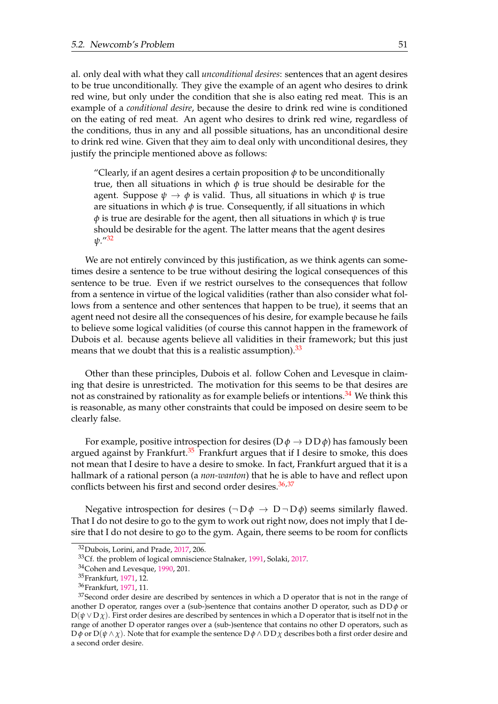<span id="page-60-0"></span>al. only deal with what they call *unconditional desires*: sentences that an agent desires to be true unconditionally. They give the example of an agent who desires to drink red wine, but only under the condition that she is also eating red meat. This is an example of a *conditional desire*, because the desire to drink red wine is conditioned on the eating of red meat. An agent who desires to drink red wine, regardless of the conditions, thus in any and all possible situations, has an unconditional desire to drink red wine. Given that they aim to deal only with unconditional desires, they justify the principle mentioned above as follows:

"Clearly, if an agent desires a certain proposition  $\phi$  to be unconditionally true, then all situations in which *φ* is true should be desirable for the agent. Suppose  $\psi \to \phi$  is valid. Thus, all situations in which  $\psi$  is true are situations in which  $\phi$  is true. Consequently, if all situations in which *φ* is true are desirable for the agent, then all situations in which *ψ* is true should be desirable for the agent. The latter means that the agent desires *ψ*."[32](#page-61-0)

We are not entirely convinced by this justification, as we think agents can sometimes desire a sentence to be true without desiring the logical consequences of this sentence to be true. Even if we restrict ourselves to the consequences that follow from a sentence in virtue of the logical validities (rather than also consider what follows from a sentence and other sentences that happen to be true), it seems that an agent need not desire all the consequences of his desire, for example because he fails to believe some logical validities (of course this cannot happen in the framework of Dubois et al. because agents believe all validities in their framework; but this just means that we doubt that this is a realistic assumption). $33$ 

Other than these principles, Dubois et al. follow Cohen and Levesque in claiming that desire is unrestricted. The motivation for this seems to be that desires are not as constrained by rationality as for example beliefs or intentions.<sup>[34](#page-61-0)</sup> We think this is reasonable, as many other constraints that could be imposed on desire seem to be clearly false.

For example, positive introspection for desires  $(D \phi \rightarrow D D \phi)$  has famously been argued against by Frankfurt.<sup>[35](#page-61-0)</sup> Frankfurt argues that if I desire to smoke, this does not mean that I desire to have a desire to smoke. In fact, Frankfurt argued that it is a hallmark of a rational person (a *non-wanton*) that he is able to have and reflect upon conflicts between his first and second order desires. $36,37$ 

Negative introspection for desires  $(\neg D\phi \rightarrow D\neg D\phi)$  seems similarly flawed. That I do not desire to go to the gym to work out right now, does not imply that I desire that I do not desire to go to the gym. Again, there seems to be room for conflicts

<sup>32</sup>Dubois, Lorini, and Prade, [2017,](#page-75-0) 206.

<sup>&</sup>lt;sup>33</sup>Cf. the problem of logical omniscience Stalnaker, 1991, Solaki, 2017.

<sup>34</sup>Cohen and Levesque, [1990,](#page-75-0) 201.

<sup>35</sup>Frankfurt, [1971,](#page-75-0) 12.

<sup>36</sup>Frankfurt, [1971,](#page-75-0) 11.

<sup>&</sup>lt;sup>37</sup> Second order desire are described by sentences in which a D operator that is not in the range of another D operator, ranges over a (sub-)sentence that contains another D operator, such as D D *φ* or  $D(\psi \vee D\chi)$ . First order desires are described by sentences in which a D operator that is itself not in the range of another D operator ranges over a (sub-)sentence that contains no other D operators, such as  $D\phi$  or  $D(\psi \wedge \chi)$ . Note that for example the sentence  $D\phi \wedge DD\chi$  describes both a first order desire and a second order desire.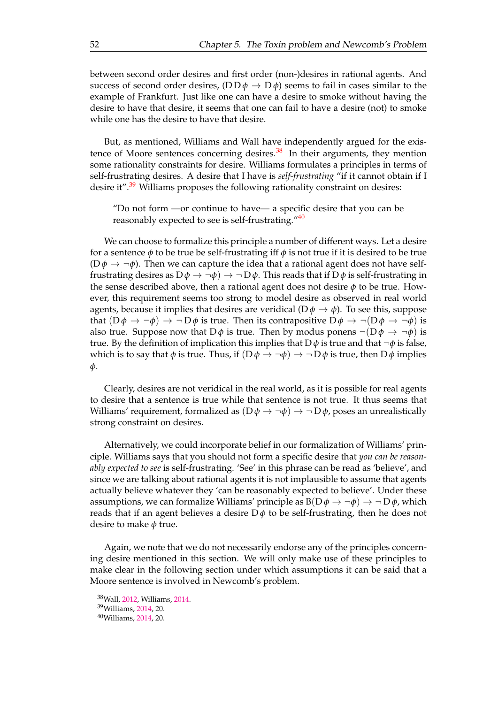<span id="page-61-0"></span>between second order desires and first order (non-)desires in rational agents. And success of second order desires,  $(D D \phi \rightarrow D \phi)$  seems to fail in cases similar to the example of Frankfurt. Just like one can have a desire to smoke without having the desire to have that desire, it seems that one can fail to have a desire (not) to smoke while one has the desire to have that desire.

But, as mentioned, Williams and Wall have independently argued for the existence of Moore sentences concerning desires. $38$  In their arguments, they mention some rationality constraints for desire. Williams formulates a principles in terms of self-frustrating desires. A desire that I have is *self-frustrating* "if it cannot obtain if I desire it".<sup>[39](#page-62-0)</sup> Williams proposes the following rationality constraint on desires:

"Do not form —or continue to have— a specific desire that you can be reasonably expected to see is self-frustrating."<sup>[40](#page-62-0)</sup>

We can choose to formalize this principle a number of different ways. Let a desire for a sentence  $\phi$  to be true be self-frustrating iff  $\phi$  is not true if it is desired to be true  $(D\phi \rightarrow \neg \phi)$ . Then we can capture the idea that a rational agent does not have selffrustrating desires as  $D\phi \rightarrow \neg \phi$ )  $\rightarrow \neg D\phi$ . This reads that if  $D\phi$  is self-frustrating in the sense described above, then a rational agent does not desire *φ* to be true. However, this requirement seems too strong to model desire as observed in real world agents, because it implies that desires are veridical  $(D \phi \rightarrow \phi)$ . To see this, suppose that  $(D\phi \to \neg \phi) \to \neg D\phi$  is true. Then its contrapositive  $D\phi \to \neg (D\phi \to \neg \phi)$  is also true. Suppose now that  $D\phi$  is true. Then by modus ponens  $\neg(D\phi \rightarrow \neg\phi)$  is true. By the definition of implication this implies that  $D\phi$  is true and that  $\neg \phi$  is false, which is to say that  $\phi$  is true. Thus, if  $(D\phi \to \neg \phi) \to \neg D\phi$  is true, then  $D\phi$  implies *φ*.

Clearly, desires are not veridical in the real world, as it is possible for real agents to desire that a sentence is true while that sentence is not true. It thus seems that Williams' requirement, formalized as  $(D\phi \rightarrow \neg \phi) \rightarrow \neg D\phi$ , poses an unrealistically strong constraint on desires.

Alternatively, we could incorporate belief in our formalization of Williams' principle. Williams says that you should not form a specific desire that *you can be reasonably expected to see* is self-frustrating. 'See' in this phrase can be read as 'believe', and since we are talking about rational agents it is not implausible to assume that agents actually believe whatever they 'can be reasonably expected to believe'. Under these assumptions, we can formalize Williams' principle as  $B(D \phi \rightarrow \neg \phi) \rightarrow \neg D \phi$ , which reads that if an agent believes a desire  $D\phi$  to be self-frustrating, then he does not desire to make *φ* true.

Again, we note that we do not necessarily endorse any of the principles concerning desire mentioned in this section. We will only make use of these principles to make clear in the following section under which assumptions it can be said that a Moore sentence is involved in Newcomb's problem.

<sup>38</sup>Wall, 2012, Williams, 2014.

<sup>39</sup>Williams, 2014, 20.

<sup>40</sup>Williams, 2014, 20.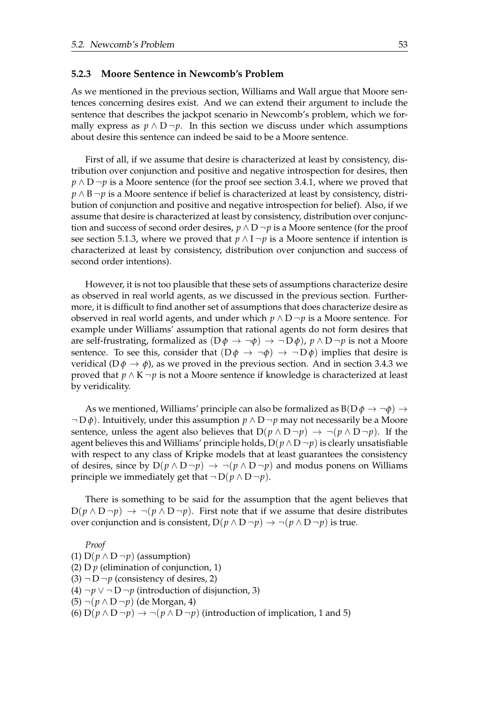### <span id="page-62-0"></span>**5.2.3 Moore Sentence in Newcomb's Problem**

As we mentioned in the previous section, Williams and Wall argue that Moore sentences concerning desires exist. And we can extend their argument to include the sentence that describes the jackpot scenario in Newcomb's problem, which we formally express as  $p \wedge D - p$ . In this section we discuss under which assumptions about desire this sentence can indeed be said to be a Moore sentence.

First of all, if we assume that desire is characterized at least by consistency, distribution over conjunction and positive and negative introspection for desires, then *p* ∧ D ¬*p* is a Moore sentence (for the proof see section 3.4.1, where we proved that *p* ∧ B ¬*p* is a Moore sentence if belief is characterized at least by consistency, distribution of conjunction and positive and negative introspection for belief). Also, if we assume that desire is characterized at least by consistency, distribution over conjunction and success of second order desires,  $p \wedge D \neg p$  is a Moore sentence (for the proof see section 5.1.3, where we proved that  $p \wedge 1 \neg p$  is a Moore sentence if intention is characterized at least by consistency, distribution over conjunction and success of second order intentions).

However, it is not too plausible that these sets of assumptions characterize desire as observed in real world agents, as we discussed in the previous section. Furthermore, it is difficult to find another set of assumptions that does characterize desire as observed in real world agents, and under which  $p \wedge D \neg p$  is a Moore sentence. For example under Williams' assumption that rational agents do not form desires that are self-frustrating, formalized as  $(D\phi \rightarrow \neg \phi) \rightarrow \neg D\phi$ ,  $p \wedge D \neg p$  is not a Moore sentence. To see this, consider that  $(D\phi \rightarrow \neg \phi) \rightarrow \neg D\phi$  implies that desire is veridical ( $D\phi \rightarrow \phi$ ), as we proved in the previous section. And in section 3.4.3 we proved that *p* ∧ K ¬*p* is not a Moore sentence if knowledge is characterized at least by veridicality.

As we mentioned, Williams' principle can also be formalized as  $B(D \phi \rightarrow \neg \phi) \rightarrow$ ¬ D *φ*). Intuitively, under this assumption *p* ∧ D ¬*p* may not necessarily be a Moore sentence, unless the agent also believes that  $D(p \wedge D \neg p) \rightarrow \neg (p \wedge D \neg p)$ . If the agent believes this and Williams' principle holds,  $D(p \wedge D \neg p)$  is clearly unsatisfiable with respect to any class of Kripke models that at least guarantees the consistency of desires, since by  $D(p \wedge D \neg p) \rightarrow \neg (p \wedge D \neg p)$  and modus ponens on Williams principle we immediately get that  $\neg D(p \wedge D\neg p)$ .

There is something to be said for the assumption that the agent believes that  $D(p \wedge D \neg p) \rightarrow \neg (p \wedge D \neg p)$ . First note that if we assume that desire distributes over conjunction and is consistent,  $D(p \wedge D \neg p) \rightarrow \neg (p \wedge D \neg p)$  is true.

*Proof* (1) D( $p \wedge D \neg p$ ) (assumption) (2)  $D p$  (elimination of conjunction, 1)  $(3)$   $\neg$  D  $\neg$ *p* (consistency of desires, 2) (4)  $\neg p ∨ ∎ D\neg p$  (introduction of disjunction, 3) (5) ¬(*p* ∧ D ¬*p*) (de Morgan, 4) (6)  $D(p \wedge D \neg p) \rightarrow \neg (p \wedge D \neg p)$  (introduction of implication, 1 and 5)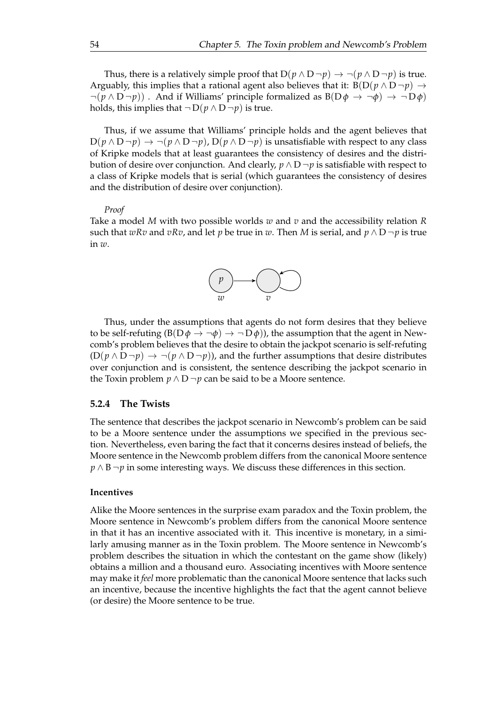Thus, there is a relatively simple proof that  $D(p \wedge D \neg p) \rightarrow \neg (p \wedge D \neg p)$  is true. Arguably, this implies that a rational agent also believes that it:  $B(D(p \wedge D \neg p) \rightarrow$  $\neg(p \land D \neg p)$ . And if Williams' principle formalized as  $B(D\phi \rightarrow \neg \phi) \rightarrow \neg D\phi$ holds, this implies that  $\neg D(p \land D \neg p)$  is true.

Thus, if we assume that Williams' principle holds and the agent believes that  $D(p \wedge D \neg p) \rightarrow \neg (p \wedge D \neg p)$ ,  $D(p \wedge D \neg p)$  is unsatisfiable with respect to any class of Kripke models that at least guarantees the consistency of desires and the distribution of desire over conjunction. And clearly,  $p \wedge D \neg p$  is satisfiable with respect to a class of Kripke models that is serial (which guarantees the consistency of desires and the distribution of desire over conjunction).

#### *Proof*

Take a model *M* with two possible worlds *w* and *v* and the accessibility relation *R* such that *wRv* and *vRv*, and let *p* be true in *w*. Then *M* is serial, and  $p \wedge D \neg p$  is true in *w*.



Thus, under the assumptions that agents do not form desires that they believe to be self-refuting  $(B(D \phi \rightarrow \neg \phi) \rightarrow \neg D \phi)$ , the assumption that the agent in Newcomb's problem believes that the desire to obtain the jackpot scenario is self-refuting  $(D(p \wedge D \neg p) \rightarrow \neg (p \wedge D \neg p))$ , and the further assumptions that desire distributes over conjunction and is consistent, the sentence describing the jackpot scenario in the Toxin problem *p* ∧ D  $\neg p$  can be said to be a Moore sentence.

#### **5.2.4 The Twists**

The sentence that describes the jackpot scenario in Newcomb's problem can be said to be a Moore sentence under the assumptions we specified in the previous section. Nevertheless, even baring the fact that it concerns desires instead of beliefs, the Moore sentence in the Newcomb problem differs from the canonical Moore sentence *p* ∧ B ¬*p* in some interesting ways. We discuss these differences in this section.

#### **Incentives**

Alike the Moore sentences in the surprise exam paradox and the Toxin problem, the Moore sentence in Newcomb's problem differs from the canonical Moore sentence in that it has an incentive associated with it. This incentive is monetary, in a similarly amusing manner as in the Toxin problem. The Moore sentence in Newcomb's problem describes the situation in which the contestant on the game show (likely) obtains a million and a thousand euro. Associating incentives with Moore sentence may make it *feel* more problematic than the canonical Moore sentence that lacks such an incentive, because the incentive highlights the fact that the agent cannot believe (or desire) the Moore sentence to be true.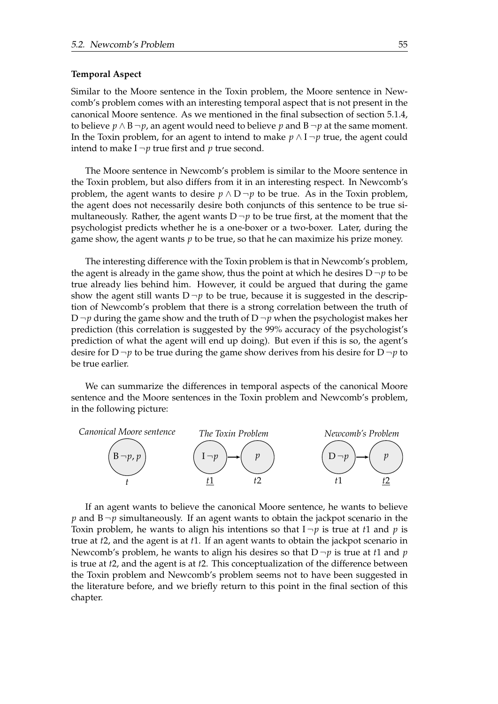#### **Temporal Aspect**

Similar to the Moore sentence in the Toxin problem, the Moore sentence in Newcomb's problem comes with an interesting temporal aspect that is not present in the canonical Moore sentence. As we mentioned in the final subsection of section 5.1.4, to believe *p* ∧ B  $\neg$ *p*, an agent would need to believe *p* and B  $\neg$ *p* at the same moment. In the Toxin problem, for an agent to intend to make  $p \wedge I \neg p$  true, the agent could intend to make  $I \neg p$  true first and  $p$  true second.

The Moore sentence in Newcomb's problem is similar to the Moore sentence in the Toxin problem, but also differs from it in an interesting respect. In Newcomb's problem, the agent wants to desire  $p \wedge D \neg p$  to be true. As in the Toxin problem, the agent does not necessarily desire both conjuncts of this sentence to be true simultaneously. Rather, the agent wants  $D \neg p$  to be true first, at the moment that the psychologist predicts whether he is a one-boxer or a two-boxer. Later, during the game show, the agent wants *p* to be true, so that he can maximize his prize money.

The interesting difference with the Toxin problem is that in Newcomb's problem, the agent is already in the game show, thus the point at which he desires  $D \neg p$  to be true already lies behind him. However, it could be argued that during the game show the agent still wants  $D \neg p$  to be true, because it is suggested in the description of Newcomb's problem that there is a strong correlation between the truth of D  $\neg p$  during the game show and the truth of D  $\neg p$  when the psychologist makes her prediction (this correlation is suggested by the 99% accuracy of the psychologist's prediction of what the agent will end up doing). But even if this is so, the agent's desire for  $D \neg p$  to be true during the game show derives from his desire for  $D \neg p$  to be true earlier.

We can summarize the differences in temporal aspects of the canonical Moore sentence and the Moore sentences in the Toxin problem and Newcomb's problem, in the following picture:



If an agent wants to believe the canonical Moore sentence, he wants to believe  $p$  and  $B \neg p$  simultaneously. If an agent wants to obtain the jackpot scenario in the Toxin problem, he wants to align his intentions so that  $I \neg p$  is true at *t*1 and *p* is true at *t*2, and the agent is at *t*1. If an agent wants to obtain the jackpot scenario in Newcomb's problem, he wants to align his desires so that  $D \neg p$  is true at *t*1 and *p* is true at *t*2, and the agent is at *t*2. This conceptualization of the difference between the Toxin problem and Newcomb's problem seems not to have been suggested in the literature before, and we briefly return to this point in the final section of this chapter.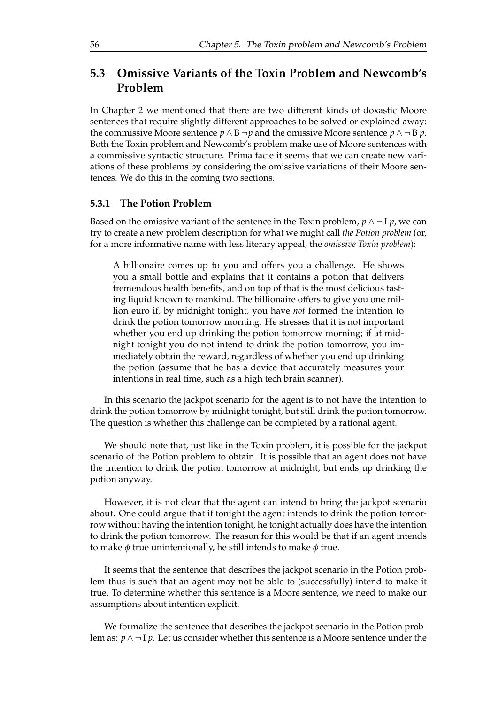# **5.3 Omissive Variants of the Toxin Problem and Newcomb's Problem**

In Chapter 2 we mentioned that there are two different kinds of doxastic Moore sentences that require slightly different approaches to be solved or explained away: the commissive Moore sentence  $p \wedge B \neg p$  and the omissive Moore sentence  $p \wedge \neg B p$ . Both the Toxin problem and Newcomb's problem make use of Moore sentences with a commissive syntactic structure. Prima facie it seems that we can create new variations of these problems by considering the omissive variations of their Moore sentences. We do this in the coming two sections.

# **5.3.1 The Potion Problem**

Based on the omissive variant of the sentence in the Toxin problem,  $p \wedge \neg I p$ , we can try to create a new problem description for what we might call *the Potion problem* (or, for a more informative name with less literary appeal, the *omissive Toxin problem*):

A billionaire comes up to you and offers you a challenge. He shows you a small bottle and explains that it contains a potion that delivers tremendous health benefits, and on top of that is the most delicious tasting liquid known to mankind. The billionaire offers to give you one million euro if, by midnight tonight, you have *not* formed the intention to drink the potion tomorrow morning. He stresses that it is not important whether you end up drinking the potion tomorrow morning; if at midnight tonight you do not intend to drink the potion tomorrow, you immediately obtain the reward, regardless of whether you end up drinking the potion (assume that he has a device that accurately measures your intentions in real time, such as a high tech brain scanner).

In this scenario the jackpot scenario for the agent is to not have the intention to drink the potion tomorrow by midnight tonight, but still drink the potion tomorrow. The question is whether this challenge can be completed by a rational agent.

We should note that, just like in the Toxin problem, it is possible for the jackpot scenario of the Potion problem to obtain. It is possible that an agent does not have the intention to drink the potion tomorrow at midnight, but ends up drinking the potion anyway.

However, it is not clear that the agent can intend to bring the jackpot scenario about. One could argue that if tonight the agent intends to drink the potion tomorrow without having the intention tonight, he tonight actually does have the intention to drink the potion tomorrow. The reason for this would be that if an agent intends to make *φ* true unintentionally, he still intends to make *φ* true.

It seems that the sentence that describes the jackpot scenario in the Potion problem thus is such that an agent may not be able to (successfully) intend to make it true. To determine whether this sentence is a Moore sentence, we need to make our assumptions about intention explicit.

We formalize the sentence that describes the jackpot scenario in the Potion problem as: *p* ∧ ¬ I *p*. Let us consider whether this sentence is a Moore sentence under the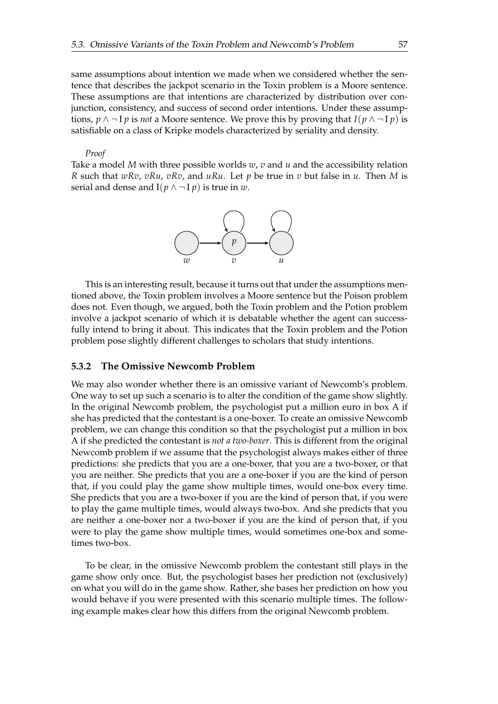same assumptions about intention we made when we considered whether the sentence that describes the jackpot scenario in the Toxin problem is a Moore sentence. These assumptions are that intentions are characterized by distribution over conjunction, consistency, and success of second order intentions. Under these assumptions,  $p \wedge \neg I p$  is *not* a Moore sentence. We prove this by proving that  $I(p \wedge \neg I p)$  is satisfiable on a class of Kripke models characterized by seriality and density.

*Proof*

Take a model *M* with three possible worlds *w*, *v* and *u* and the accessibility relation *R* such that *wRv*, *vRu*, *vRv*, and *uRu*. Let *p* be true in *v* but false in *u*. Then *M* is serial and dense and  $I(p \land \neg I p)$  is true in *w*.



This is an interesting result, because it turns out that under the assumptions mentioned above, the Toxin problem involves a Moore sentence but the Poison problem does not. Even though, we argued, both the Toxin problem and the Potion problem involve a jackpot scenario of which it is debatable whether the agent can successfully intend to bring it about. This indicates that the Toxin problem and the Potion problem pose slightly different challenges to scholars that study intentions.

### **5.3.2 The Omissive Newcomb Problem**

We may also wonder whether there is an omissive variant of Newcomb's problem. One way to set up such a scenario is to alter the condition of the game show slightly. In the original Newcomb problem, the psychologist put a million euro in box A if she has predicted that the contestant is a one-boxer. To create an omissive Newcomb problem, we can change this condition so that the psychologist put a million in box A if she predicted the contestant is *not a two-boxer*. This is different from the original Newcomb problem if we assume that the psychologist always makes either of three predictions: she predicts that you are a one-boxer, that you are a two-boxer, or that you are neither. She predicts that you are a one-boxer if you are the kind of person that, if you could play the game show multiple times, would one-box every time. She predicts that you are a two-boxer if you are the kind of person that, if you were to play the game multiple times, would always two-box. And she predicts that you are neither a one-boxer nor a two-boxer if you are the kind of person that, if you were to play the game show multiple times, would sometimes one-box and sometimes two-box.

To be clear, in the omissive Newcomb problem the contestant still plays in the game show only once. But, the psychologist bases her prediction not (exclusively) on what you will do in the game show. Rather, she bases her prediction on how you would behave if you were presented with this scenario multiple times. The following example makes clear how this differs from the original Newcomb problem.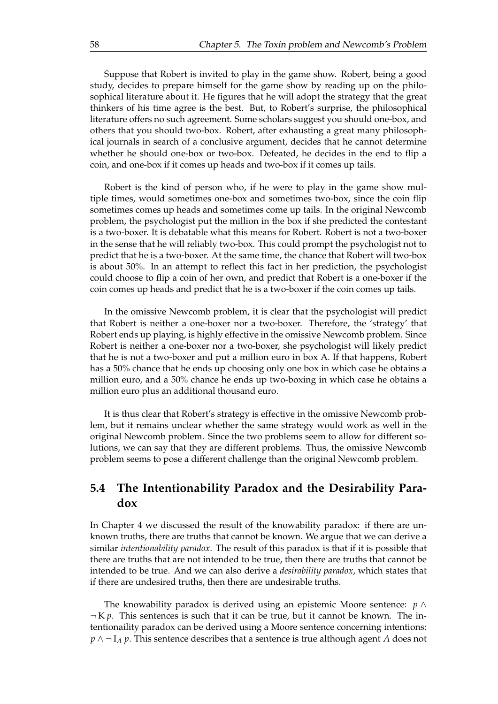Suppose that Robert is invited to play in the game show. Robert, being a good study, decides to prepare himself for the game show by reading up on the philosophical literature about it. He figures that he will adopt the strategy that the great thinkers of his time agree is the best. But, to Robert's surprise, the philosophical literature offers no such agreement. Some scholars suggest you should one-box, and others that you should two-box. Robert, after exhausting a great many philosophical journals in search of a conclusive argument, decides that he cannot determine whether he should one-box or two-box. Defeated, he decides in the end to flip a coin, and one-box if it comes up heads and two-box if it comes up tails.

Robert is the kind of person who, if he were to play in the game show multiple times, would sometimes one-box and sometimes two-box, since the coin flip sometimes comes up heads and sometimes come up tails. In the original Newcomb problem, the psychologist put the million in the box if she predicted the contestant is a two-boxer. It is debatable what this means for Robert. Robert is not a two-boxer in the sense that he will reliably two-box. This could prompt the psychologist not to predict that he is a two-boxer. At the same time, the chance that Robert will two-box is about 50%. In an attempt to reflect this fact in her prediction, the psychologist could choose to flip a coin of her own, and predict that Robert is a one-boxer if the coin comes up heads and predict that he is a two-boxer if the coin comes up tails.

In the omissive Newcomb problem, it is clear that the psychologist will predict that Robert is neither a one-boxer nor a two-boxer. Therefore, the 'strategy' that Robert ends up playing, is highly effective in the omissive Newcomb problem. Since Robert is neither a one-boxer nor a two-boxer, she psychologist will likely predict that he is not a two-boxer and put a million euro in box A. If that happens, Robert has a 50% chance that he ends up choosing only one box in which case he obtains a million euro, and a 50% chance he ends up two-boxing in which case he obtains a million euro plus an additional thousand euro.

It is thus clear that Robert's strategy is effective in the omissive Newcomb problem, but it remains unclear whether the same strategy would work as well in the original Newcomb problem. Since the two problems seem to allow for different solutions, we can say that they are different problems. Thus, the omissive Newcomb problem seems to pose a different challenge than the original Newcomb problem.

# **5.4 The Intentionability Paradox and the Desirability Paradox**

In Chapter 4 we discussed the result of the knowability paradox: if there are unknown truths, there are truths that cannot be known. We argue that we can derive a similar *intentionability paradox*. The result of this paradox is that if it is possible that there are truths that are not intended to be true, then there are truths that cannot be intended to be true. And we can also derive a *desirability paradox*, which states that if there are undesired truths, then there are undesirable truths.

The knowability paradox is derived using an epistemic Moore sentence: *p* ∧  $\neg K p$ . This sentences is such that it can be true, but it cannot be known. The intentionaility paradox can be derived using a Moore sentence concerning intentions: *p* ∧ ¬ I<sub>*A</sub> p*. This sentence describes that a sentence is true although agent *A* does not</sub>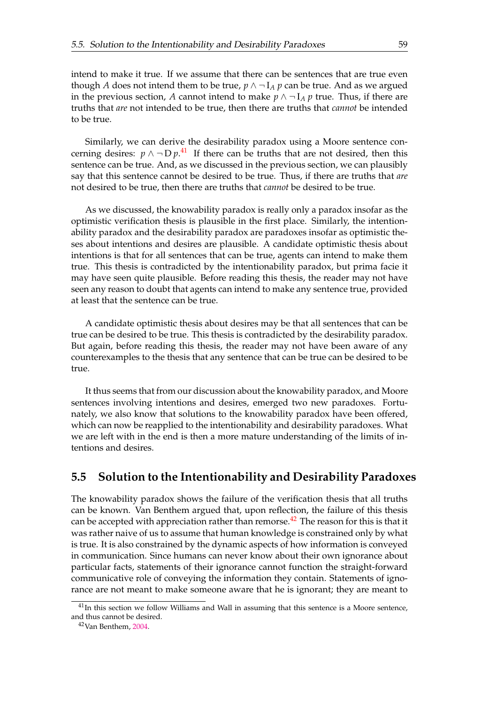intend to make it true. If we assume that there can be sentences that are true even though *A* does not intend them to be true,  $p \wedge \neg I_A p$  can be true. And as we argued in the previous section, *A* cannot intend to make  $p \wedge \neg I_A p$  true. Thus, if there are truths that *are* not intended to be true, then there are truths that *cannot* be intended to be true.

Similarly, we can derive the desirability paradox using a Moore sentence concerning desires:  $p \wedge \neg D p$ .<sup>[41](#page-69-0)</sup> If there can be truths that are not desired, then this sentence can be true. And, as we discussed in the previous section, we can plausibly say that this sentence cannot be desired to be true. Thus, if there are truths that *are* not desired to be true, then there are truths that *cannot* be desired to be true.

As we discussed, the knowability paradox is really only a paradox insofar as the optimistic verification thesis is plausible in the first place. Similarly, the intentionability paradox and the desirability paradox are paradoxes insofar as optimistic theses about intentions and desires are plausible. A candidate optimistic thesis about intentions is that for all sentences that can be true, agents can intend to make them true. This thesis is contradicted by the intentionability paradox, but prima facie it may have seen quite plausible. Before reading this thesis, the reader may not have seen any reason to doubt that agents can intend to make any sentence true, provided at least that the sentence can be true.

A candidate optimistic thesis about desires may be that all sentences that can be true can be desired to be true. This thesis is contradicted by the desirability paradox. But again, before reading this thesis, the reader may not have been aware of any counterexamples to the thesis that any sentence that can be true can be desired to be true.

It thus seems that from our discussion about the knowability paradox, and Moore sentences involving intentions and desires, emerged two new paradoxes. Fortunately, we also know that solutions to the knowability paradox have been offered, which can now be reapplied to the intentionability and desirability paradoxes. What we are left with in the end is then a more mature understanding of the limits of intentions and desires.

# **5.5 Solution to the Intentionability and Desirability Paradoxes**

The knowability paradox shows the failure of the verification thesis that all truths can be known. Van Benthem argued that, upon reflection, the failure of this thesis can be accepted with appreciation rather than remorse.<sup>[42](#page-69-0)</sup> The reason for this is that it was rather naive of us to assume that human knowledge is constrained only by what is true. It is also constrained by the dynamic aspects of how information is conveyed in communication. Since humans can never know about their own ignorance about particular facts, statements of their ignorance cannot function the straight-forward communicative role of conveying the information they contain. Statements of ignorance are not meant to make someone aware that he is ignorant; they are meant to

 $41$ In this section we follow Williams and Wall in assuming that this sentence is a Moore sentence, and thus cannot be desired.

<sup>42</sup>Van Benthem, 2004.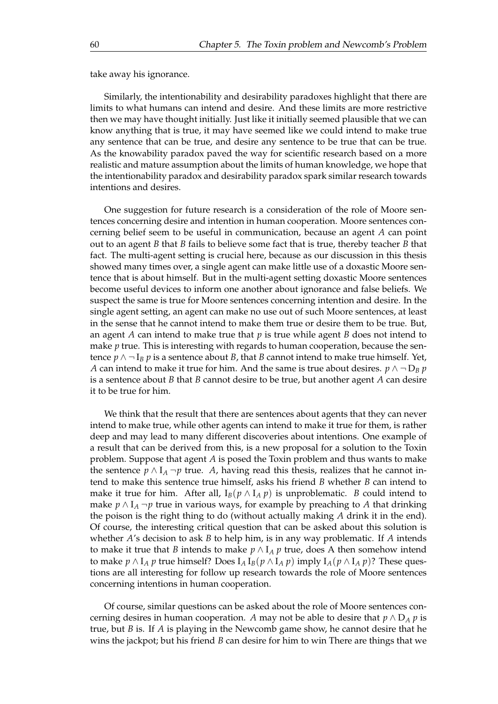<span id="page-69-0"></span>take away his ignorance.

Similarly, the intentionability and desirability paradoxes highlight that there are limits to what humans can intend and desire. And these limits are more restrictive then we may have thought initially. Just like it initially seemed plausible that we can know anything that is true, it may have seemed like we could intend to make true any sentence that can be true, and desire any sentence to be true that can be true. As the knowability paradox paved the way for scientific research based on a more realistic and mature assumption about the limits of human knowledge, we hope that the intentionability paradox and desirability paradox spark similar research towards intentions and desires.

One suggestion for future research is a consideration of the role of Moore sentences concerning desire and intention in human cooperation. Moore sentences concerning belief seem to be useful in communication, because an agent *A* can point out to an agent *B* that *B* fails to believe some fact that is true, thereby teacher *B* that fact. The multi-agent setting is crucial here, because as our discussion in this thesis showed many times over, a single agent can make little use of a doxastic Moore sentence that is about himself. But in the multi-agent setting doxastic Moore sentences become useful devices to inform one another about ignorance and false beliefs. We suspect the same is true for Moore sentences concerning intention and desire. In the single agent setting, an agent can make no use out of such Moore sentences, at least in the sense that he cannot intend to make them true or desire them to be true. But, an agent *A* can intend to make true that *p* is true while agent *B* does not intend to make *p* true. This is interesting with regards to human cooperation, because the sentence  $p \wedge \neg I_B p$  is a sentence about *B*, that *B* cannot intend to make true himself. Yet, *A* can intend to make it true for him. And the same is true about desires.  $p \wedge \neg D_B p$ is a sentence about *B* that *B* cannot desire to be true, but another agent *A* can desire it to be true for him.

We think that the result that there are sentences about agents that they can never intend to make true, while other agents can intend to make it true for them, is rather deep and may lead to many different discoveries about intentions. One example of a result that can be derived from this, is a new proposal for a solution to the Toxin problem. Suppose that agent *A* is posed the Toxin problem and thus wants to make the sentence  $p \wedge I_A \neg p$  true. A, having read this thesis, realizes that he cannot intend to make this sentence true himself, asks his friend *B* whether *B* can intend to make it true for him. After all,  $I_B(p \wedge I_A p)$  is unproblematic. *B* could intend to make *p* ∧  $I$ <sub>*A*</sub>  $\neg$ *p* true in various ways, for example by preaching to *A* that drinking the poison is the right thing to do (without actually making *A* drink it in the end). Of course, the interesting critical question that can be asked about this solution is whether *A*'s decision to ask *B* to help him, is in any way problematic. If *A* intends to make it true that *B* intends to make  $p \wedge I_A p$  true, does A then somehow intend to make  $p \wedge I_A p$  true himself? Does  $I_A I_B(p \wedge I_A p)$  imply  $I_A(p \wedge I_A p)$ ? These questions are all interesting for follow up research towards the role of Moore sentences concerning intentions in human cooperation.

Of course, similar questions can be asked about the role of Moore sentences concerning desires in human cooperation. *A* may not be able to desire that  $p \wedge D_A p$  is true, but *B* is. If *A* is playing in the Newcomb game show, he cannot desire that he wins the jackpot; but his friend *B* can desire for him to win There are things that we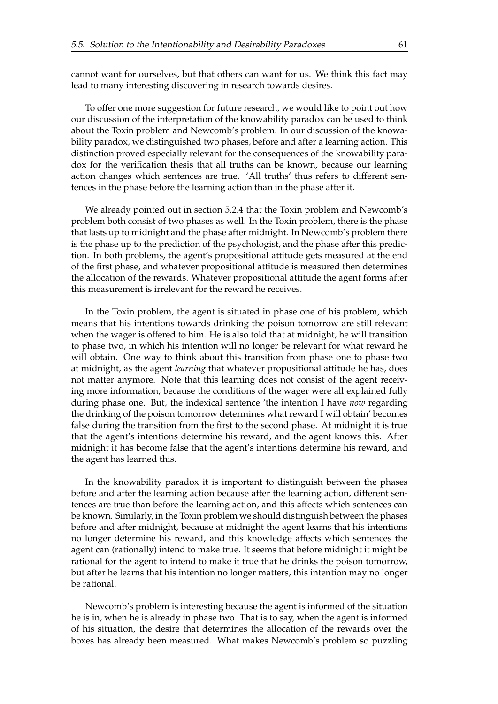cannot want for ourselves, but that others can want for us. We think this fact may lead to many interesting discovering in research towards desires.

To offer one more suggestion for future research, we would like to point out how our discussion of the interpretation of the knowability paradox can be used to think about the Toxin problem and Newcomb's problem. In our discussion of the knowability paradox, we distinguished two phases, before and after a learning action. This distinction proved especially relevant for the consequences of the knowability paradox for the verification thesis that all truths can be known, because our learning action changes which sentences are true. 'All truths' thus refers to different sentences in the phase before the learning action than in the phase after it.

We already pointed out in section 5.2.4 that the Toxin problem and Newcomb's problem both consist of two phases as well. In the Toxin problem, there is the phase that lasts up to midnight and the phase after midnight. In Newcomb's problem there is the phase up to the prediction of the psychologist, and the phase after this prediction. In both problems, the agent's propositional attitude gets measured at the end of the first phase, and whatever propositional attitude is measured then determines the allocation of the rewards. Whatever propositional attitude the agent forms after this measurement is irrelevant for the reward he receives.

In the Toxin problem, the agent is situated in phase one of his problem, which means that his intentions towards drinking the poison tomorrow are still relevant when the wager is offered to him. He is also told that at midnight, he will transition to phase two, in which his intention will no longer be relevant for what reward he will obtain. One way to think about this transition from phase one to phase two at midnight, as the agent *learning* that whatever propositional attitude he has, does not matter anymore. Note that this learning does not consist of the agent receiving more information, because the conditions of the wager were all explained fully during phase one. But, the indexical sentence 'the intention I have *now* regarding the drinking of the poison tomorrow determines what reward I will obtain' becomes false during the transition from the first to the second phase. At midnight it is true that the agent's intentions determine his reward, and the agent knows this. After midnight it has become false that the agent's intentions determine his reward, and the agent has learned this.

In the knowability paradox it is important to distinguish between the phases before and after the learning action because after the learning action, different sentences are true than before the learning action, and this affects which sentences can be known. Similarly, in the Toxin problem we should distinguish between the phases before and after midnight, because at midnight the agent learns that his intentions no longer determine his reward, and this knowledge affects which sentences the agent can (rationally) intend to make true. It seems that before midnight it might be rational for the agent to intend to make it true that he drinks the poison tomorrow, but after he learns that his intention no longer matters, this intention may no longer be rational.

Newcomb's problem is interesting because the agent is informed of the situation he is in, when he is already in phase two. That is to say, when the agent is informed of his situation, the desire that determines the allocation of the rewards over the boxes has already been measured. What makes Newcomb's problem so puzzling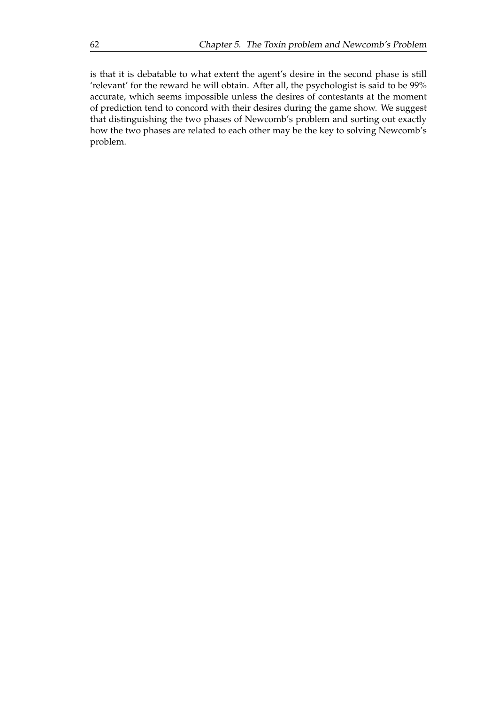is that it is debatable to what extent the agent's desire in the second phase is still 'relevant' for the reward he will obtain. After all, the psychologist is said to be 99% accurate, which seems impossible unless the desires of contestants at the moment of prediction tend to concord with their desires during the game show. We suggest that distinguishing the two phases of Newcomb's problem and sorting out exactly how the two phases are related to each other may be the key to solving Newcomb's problem.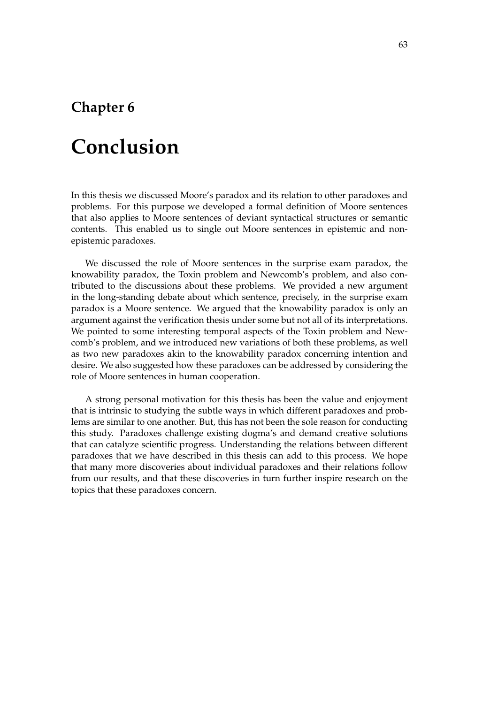## **Chapter 6**

## **Conclusion**

In this thesis we discussed Moore's paradox and its relation to other paradoxes and problems. For this purpose we developed a formal definition of Moore sentences that also applies to Moore sentences of deviant syntactical structures or semantic contents. This enabled us to single out Moore sentences in epistemic and nonepistemic paradoxes.

We discussed the role of Moore sentences in the surprise exam paradox, the knowability paradox, the Toxin problem and Newcomb's problem, and also contributed to the discussions about these problems. We provided a new argument in the long-standing debate about which sentence, precisely, in the surprise exam paradox is a Moore sentence. We argued that the knowability paradox is only an argument against the verification thesis under some but not all of its interpretations. We pointed to some interesting temporal aspects of the Toxin problem and Newcomb's problem, and we introduced new variations of both these problems, as well as two new paradoxes akin to the knowability paradox concerning intention and desire. We also suggested how these paradoxes can be addressed by considering the role of Moore sentences in human cooperation.

A strong personal motivation for this thesis has been the value and enjoyment that is intrinsic to studying the subtle ways in which different paradoxes and problems are similar to one another. But, this has not been the sole reason for conducting this study. Paradoxes challenge existing dogma's and demand creative solutions that can catalyze scientific progress. Understanding the relations between different paradoxes that we have described in this thesis can add to this process. We hope that many more discoveries about individual paradoxes and their relations follow from our results, and that these discoveries in turn further inspire research on the topics that these paradoxes concern.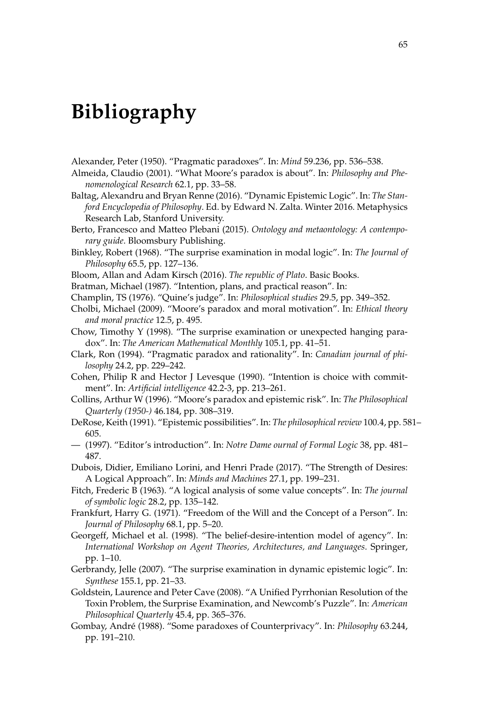## **Bibliography**

Alexander, Peter (1950). "Pragmatic paradoxes". In: *Mind* 59.236, pp. 536–538.

- Almeida, Claudio (2001). "What Moore's paradox is about". In: *Philosophy and Phenomenological Research* 62.1, pp. 33–58.
- Baltag, Alexandru and Bryan Renne (2016). "Dynamic Epistemic Logic". In: *The Stanford Encyclopedia of Philosophy*. Ed. by Edward N. Zalta. Winter 2016. Metaphysics Research Lab, Stanford University.
- Berto, Francesco and Matteo Plebani (2015). *Ontology and metaontology: A contemporary guide*. Bloomsbury Publishing.
- Binkley, Robert (1968). "The surprise examination in modal logic". In: *The Journal of Philosophy* 65.5, pp. 127–136.
- Bloom, Allan and Adam Kirsch (2016). *The republic of Plato*. Basic Books.
- Bratman, Michael (1987). "Intention, plans, and practical reason". In:
- Champlin, TS (1976). "Quine's judge". In: *Philosophical studies* 29.5, pp. 349–352.
- Cholbi, Michael (2009). "Moore's paradox and moral motivation". In: *Ethical theory and moral practice* 12.5, p. 495.
- Chow, Timothy Y (1998). "The surprise examination or unexpected hanging paradox". In: *The American Mathematical Monthly* 105.1, pp. 41–51.
- Clark, Ron (1994). "Pragmatic paradox and rationality". In: *Canadian journal of philosophy* 24.2, pp. 229–242.
- Cohen, Philip R and Hector J Levesque (1990). "Intention is choice with commitment". In: *Artificial intelligence* 42.2-3, pp. 213–261.
- Collins, Arthur W (1996). "Moore's paradox and epistemic risk". In: *The Philosophical Quarterly (1950-)* 46.184, pp. 308–319.
- DeRose, Keith (1991). "Epistemic possibilities". In: *The philosophical review* 100.4, pp. 581– 605.
- (1997). "Editor's introduction". In: *Notre Dame ournal of Formal Logic* 38, pp. 481– 487.
- Dubois, Didier, Emiliano Lorini, and Henri Prade (2017). "The Strength of Desires: A Logical Approach". In: *Minds and Machines* 27.1, pp. 199–231.
- Fitch, Frederic B (1963). "A logical analysis of some value concepts". In: *The journal of symbolic logic* 28.2, pp. 135–142.
- Frankfurt, Harry G. (1971). "Freedom of the Will and the Concept of a Person". In: *Journal of Philosophy* 68.1, pp. 5–20.
- Georgeff, Michael et al. (1998). "The belief-desire-intention model of agency". In: *International Workshop on Agent Theories, Architectures, and Languages*. Springer, pp. 1–10.
- Gerbrandy, Jelle (2007). "The surprise examination in dynamic epistemic logic". In: *Synthese* 155.1, pp. 21–33.
- Goldstein, Laurence and Peter Cave (2008). "A Unified Pyrrhonian Resolution of the Toxin Problem, the Surprise Examination, and Newcomb's Puzzle". In: *American Philosophical Quarterly* 45.4, pp. 365–376.
- Gombay, André (1988). "Some paradoxes of Counterprivacy". In: *Philosophy* 63.244, pp. 191–210.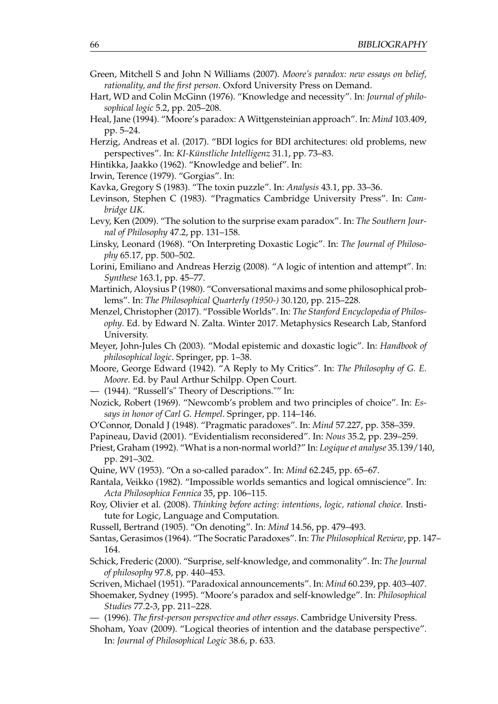- Green, Mitchell S and John N Williams (2007). *Moore's paradox: new essays on belief, rationality, and the first person*. Oxford University Press on Demand.
- Hart, WD and Colin McGinn (1976). "Knowledge and necessity". In: *Journal of philosophical logic* 5.2, pp. 205–208.
- Heal, Jane (1994). "Moore's paradox: A Wittgensteinian approach". In: *Mind* 103.409, pp. 5–24.
- Herzig, Andreas et al. (2017). "BDI logics for BDI architectures: old problems, new perspectives". In: *KI-Künstliche Intelligenz* 31.1, pp. 73–83.
- Hintikka, Jaakko (1962). "Knowledge and belief". In:
- Irwin, Terence (1979). "Gorgias". In:
- Kavka, Gregory S (1983). "The toxin puzzle". In: *Analysis* 43.1, pp. 33–36.
- Levinson, Stephen C (1983). "Pragmatics Cambridge University Press". In: *Cambridge UK*.
- Levy, Ken (2009). "The solution to the surprise exam paradox". In: *The Southern Journal of Philosophy* 47.2, pp. 131–158.
- Linsky, Leonard (1968). "On Interpreting Doxastic Logic". In: *The Journal of Philosophy* 65.17, pp. 500–502.
- Lorini, Emiliano and Andreas Herzig (2008). "A logic of intention and attempt". In: *Synthese* 163.1, pp. 45–77.
- Martinich, Aloysius P (1980). "Conversational maxims and some philosophical problems". In: *The Philosophical Quarterly (1950-)* 30.120, pp. 215–228.
- Menzel, Christopher (2017). "Possible Worlds". In: *The Stanford Encyclopedia of Philosophy*. Ed. by Edward N. Zalta. Winter 2017. Metaphysics Research Lab, Stanford University.
- Meyer, John-Jules Ch (2003). "Modal epistemic and doxastic logic". In: *Handbook of philosophical logic*. Springer, pp. 1–38.
- Moore, George Edward (1942). "A Reply to My Critics". In: *The Philosophy of G. E. Moore*. Ed. by Paul Arthur Schilpp. Open Court.
- (1944). "Russell's" Theory of Descriptions."" In:
- Nozick, Robert (1969). "Newcomb's problem and two principles of choice". In: *Essays in honor of Carl G. Hempel*. Springer, pp. 114–146.
- O'Connor, Donald J (1948). "Pragmatic paradoxes". In: *Mind* 57.227, pp. 358–359.
- Papineau, David (2001). "Evidentialism reconsidered". In: *Nous* 35.2, pp. 239–259.
- Priest, Graham (1992). "What is a non-normal world?" In: *Logique et analyse* 35.139/140, pp. 291–302.
- Quine, WV (1953). "On a so-called paradox". In: *Mind* 62.245, pp. 65–67.
- Rantala, Veikko (1982). "Impossible worlds semantics and logical omniscience". In: *Acta Philosophica Fennica* 35, pp. 106–115.
- Roy, Olivier et al. (2008). *Thinking before acting: intentions, logic, rational choice*. Institute for Logic, Language and Computation.
- Russell, Bertrand (1905). "On denoting". In: *Mind* 14.56, pp. 479–493.
- Santas, Gerasimos (1964). "The Socratic Paradoxes". In: *The Philosophical Review*, pp. 147– 164.
- Schick, Frederic (2000). "Surprise, self-knowledge, and commonality". In: *The Journal of philosophy* 97.8, pp. 440–453.
- Scriven, Michael (1951). "Paradoxical announcements". In: *Mind* 60.239, pp. 403–407.
- Shoemaker, Sydney (1995). "Moore's paradox and self-knowledge". In: *Philosophical Studies* 77.2-3, pp. 211–228.
- (1996). *The first-person perspective and other essays*. Cambridge University Press.
- Shoham, Yoav (2009). "Logical theories of intention and the database perspective". In: *Journal of Philosophical Logic* 38.6, p. 633.